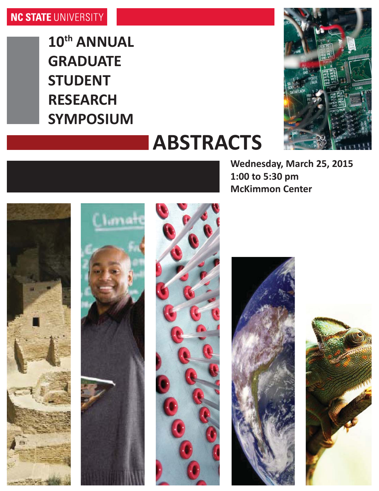**10th ANNUAL GRADUATE STUDENT RESEARCH SYMPOSIUM**



# **ABSTRACTS**

**Wednesday, March 25, 2015 1:00 to 5:30 pm McKimmon Center**









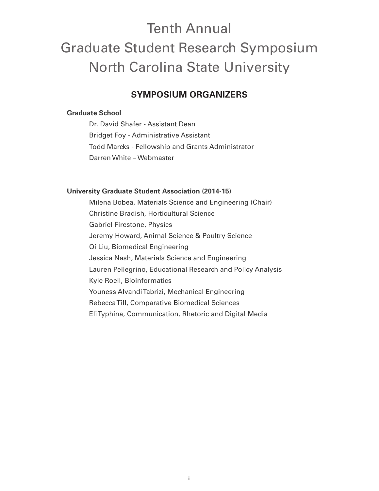# Tenth Annual Graduate Student Research Symposium North Carolina State University

# **SYMPOSIUM ORGANIZERS**

# **Graduate School**

Dr. David Shafer - Assistant Dean Bridget Foy - Administrative Assistant Todd Marcks - Fellowship and Grants Administrator Darren White – Webmaster

# **University Graduate Student Association (2014-15)**

Milena Bobea, Materials Science and Engineering (Chair) Christine Bradish, Horticultural Science Gabriel Firestone, Physics Jeremy Howard, Animal Science & Poultry Science Qi Liu, Biomedical Engineering Jessica Nash, Materials Science and Engineering Lauren Pellegrino, Educational Research and Policy Analysis Kyle Roell, Bioinformatics Youness Alvandi Tabrizi, Mechanical Engineering Rebecca Till, Comparative Biomedical Sciences Eli Typhina, Communication, Rhetoric and Digital Media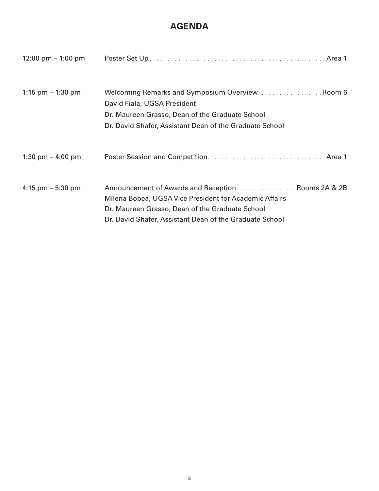# **AGENDA**

| 12:00 pm $-$ 1:00 pm |                                                                                                                                                                                                                           |
|----------------------|---------------------------------------------------------------------------------------------------------------------------------------------------------------------------------------------------------------------------|
| 1:15 pm $-$ 1:30 pm  | Welcoming Remarks and Symposium Overview Room 6<br>David Fiala, UGSA President<br>Dr. Maureen Grasso, Dean of the Graduate School<br>Dr. David Shafer, Assistant Dean of the Graduate School                              |
| 1:30 pm $-$ 4:00 pm  |                                                                                                                                                                                                                           |
| 4:15 pm $-$ 5:30 pm  | Announcement of Awards and ReceptionRooms 2A & 2B<br>Milena Bobea, UGSA Vice President for Academic Affairs<br>Dr. Maureen Grasso, Dean of the Graduate School<br>Dr. David Shafer, Assistant Dean of the Graduate School |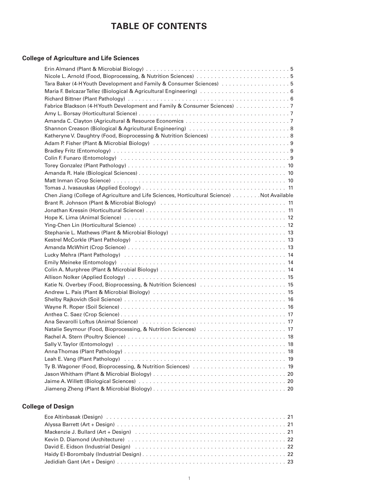# **TABLE OF CONTENTS**

# **College of Agriculture and Life Sciences**

| Tara Baker (4-H Youth Development and Family & Consumer Sciences) 5                                                                                                                                                            |
|--------------------------------------------------------------------------------------------------------------------------------------------------------------------------------------------------------------------------------|
|                                                                                                                                                                                                                                |
|                                                                                                                                                                                                                                |
| Fabrice Blackson (4-HYouth Development and Family & Consumer Sciences) 7                                                                                                                                                       |
|                                                                                                                                                                                                                                |
|                                                                                                                                                                                                                                |
|                                                                                                                                                                                                                                |
|                                                                                                                                                                                                                                |
|                                                                                                                                                                                                                                |
|                                                                                                                                                                                                                                |
|                                                                                                                                                                                                                                |
|                                                                                                                                                                                                                                |
|                                                                                                                                                                                                                                |
|                                                                                                                                                                                                                                |
|                                                                                                                                                                                                                                |
| Chen Jiang (College of Agriculture and Life Sciences, Horticultural Science) Not Available                                                                                                                                     |
|                                                                                                                                                                                                                                |
|                                                                                                                                                                                                                                |
|                                                                                                                                                                                                                                |
|                                                                                                                                                                                                                                |
|                                                                                                                                                                                                                                |
|                                                                                                                                                                                                                                |
|                                                                                                                                                                                                                                |
| Lucky Mehra (Plant Pathology) (and the contract of the contract of the contract of the contract of the contract of the contract of the contract of the contract of the contract of the contract of the contract of the contrac |
|                                                                                                                                                                                                                                |
|                                                                                                                                                                                                                                |
|                                                                                                                                                                                                                                |
|                                                                                                                                                                                                                                |
|                                                                                                                                                                                                                                |
|                                                                                                                                                                                                                                |
|                                                                                                                                                                                                                                |
|                                                                                                                                                                                                                                |
| Ana Sevarolli Loftus (Animal Science) (and all contracts of the series of the series of the Sevaroli Dorter and                                                                                                                |
|                                                                                                                                                                                                                                |
|                                                                                                                                                                                                                                |
|                                                                                                                                                                                                                                |
|                                                                                                                                                                                                                                |
| Leah E. Vang (Plant Pathology) (and account of the control of the control of the control of the control of the                                                                                                                 |
|                                                                                                                                                                                                                                |
|                                                                                                                                                                                                                                |
|                                                                                                                                                                                                                                |
|                                                                                                                                                                                                                                |

# **College of Design**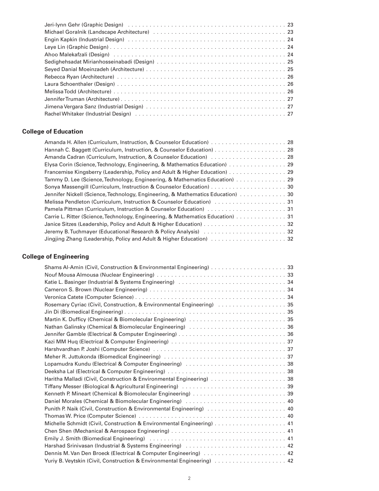| Jeri-Iynn Gehr (Graphic Design) (1996) (1996) (1997) (1997) (1998) (1997) (1998) (1998) (1998) (1998) (1999) ( |
|----------------------------------------------------------------------------------------------------------------|
|                                                                                                                |
|                                                                                                                |
|                                                                                                                |
|                                                                                                                |
|                                                                                                                |
|                                                                                                                |
|                                                                                                                |
|                                                                                                                |
|                                                                                                                |
|                                                                                                                |
|                                                                                                                |
| Rachel Whitaker (Industrial Design) Albert Library 2014 (1997) 2014 (1997) 2014 (1997) 2014 (1997) 2015 (1997) |

# **College of Education**

| Elysa Corin (Science, Technology, Engineering, & Mathematics Education) 29      |
|---------------------------------------------------------------------------------|
| Francemise Kingsberry (Leadership, Policy and Adult & Higher Education) 29      |
| Tammy D. Lee (Science, Technology, Engineering, & Mathematics Education) 29     |
|                                                                                 |
|                                                                                 |
|                                                                                 |
|                                                                                 |
| Carrie L. Ritter (Science, Technology, Engineering, & Mathematics Education) 31 |
|                                                                                 |
|                                                                                 |
|                                                                                 |

# **College of Engineering**

| Katie L. Basinger (Industrial & Systems Engineering) (and accommon contract the L. Basinger (Industrial & Systems Engineering) |
|--------------------------------------------------------------------------------------------------------------------------------|
|                                                                                                                                |
|                                                                                                                                |
|                                                                                                                                |
|                                                                                                                                |
|                                                                                                                                |
| Nathan Galinsky (Chemical & Biomolecular Engineering) (and contain the set of the Sa6                                          |
|                                                                                                                                |
|                                                                                                                                |
|                                                                                                                                |
|                                                                                                                                |
| Lopamudra Kundu (Electrical & Computer Engineering) Natal Accords Accordination Company 38                                     |
|                                                                                                                                |
|                                                                                                                                |
| Tiffany Messer (Biological & Agricultural Engineering) (and all all all all all all all all all 39                             |
|                                                                                                                                |
| Daniel Morales (Chemical & Biomolecular Engineering) (and accommon contract and 40                                             |
|                                                                                                                                |
|                                                                                                                                |
|                                                                                                                                |
|                                                                                                                                |
|                                                                                                                                |
| Harshad Srinivasan (Industrial & Systems Engineering) (and accompany of the System State of Az                                 |
|                                                                                                                                |
|                                                                                                                                |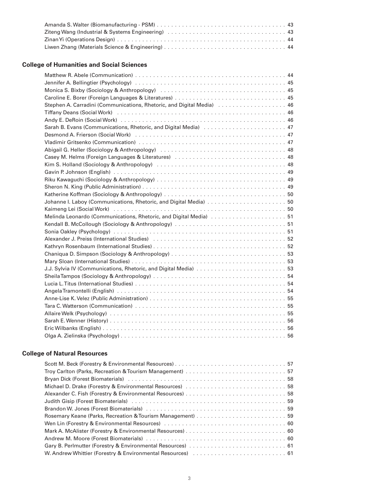| Ziteng Wang (Industrial & Systems Engineering) (and the content of the United States of the 243 |  |
|-------------------------------------------------------------------------------------------------|--|
|                                                                                                 |  |
|                                                                                                 |  |

# **College of Humanities and Social Sciences**

| Caroline E. Borer (Foreign Languages & Literatures)  45                                               |  |
|-------------------------------------------------------------------------------------------------------|--|
| Stephen A. Carradini (Communications, Rhetoric, and Digital Media)  46                                |  |
| Tiffany Deans (Social Work) Account Contract Contract Contract Contract Contract Contract Contract Co |  |
|                                                                                                       |  |
|                                                                                                       |  |
|                                                                                                       |  |
|                                                                                                       |  |
|                                                                                                       |  |
|                                                                                                       |  |
|                                                                                                       |  |
|                                                                                                       |  |
|                                                                                                       |  |
|                                                                                                       |  |
|                                                                                                       |  |
|                                                                                                       |  |
|                                                                                                       |  |
| Melinda Leonardo (Communications, Rhetoric, and Digital Media) 51                                     |  |
|                                                                                                       |  |
|                                                                                                       |  |
|                                                                                                       |  |
|                                                                                                       |  |
|                                                                                                       |  |
|                                                                                                       |  |
|                                                                                                       |  |
|                                                                                                       |  |
|                                                                                                       |  |
|                                                                                                       |  |
|                                                                                                       |  |
|                                                                                                       |  |
|                                                                                                       |  |
|                                                                                                       |  |
|                                                                                                       |  |
|                                                                                                       |  |
|                                                                                                       |  |

# **College of Natural Resources**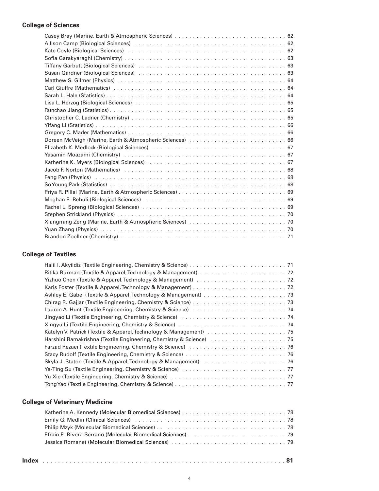# **College of Sciences**

| Yasamin Moazami (Chemistry) (and accommodation of the contract of the contract of the ST and Tasamin Contract o |  |
|-----------------------------------------------------------------------------------------------------------------|--|
|                                                                                                                 |  |
| Jacob F. Norton (Mathematics) (and all contracts of the contracts of the set of the set of the set of the set o |  |
|                                                                                                                 |  |
|                                                                                                                 |  |
|                                                                                                                 |  |
|                                                                                                                 |  |
|                                                                                                                 |  |
|                                                                                                                 |  |
|                                                                                                                 |  |
|                                                                                                                 |  |
|                                                                                                                 |  |
|                                                                                                                 |  |

# **College of Textiles**

# **College of Veterinary Medicine**

| Emily G. Medlin (Clinical Sciences) et al. (1996) and the control of the control of the Control of Ta |  |
|-------------------------------------------------------------------------------------------------------|--|
|                                                                                                       |  |
|                                                                                                       |  |
|                                                                                                       |  |
|                                                                                                       |  |

| Index |  |  |
|-------|--|--|
|-------|--|--|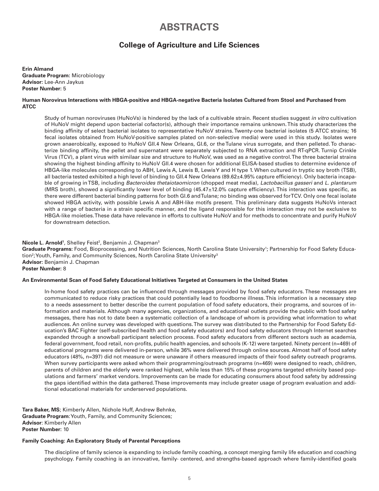# **ABSTRACTS**

# **College of Agriculture and Life Sciences**

**Erin Almand Graduate Program:** Microbiology **Advisor:** Lee-Ann Jaykus **Poster Number:** 5

# **Human Norovirus Interactions with HBGA-positive and HBGA-negative Bacteria Isolates Cultured from Stool and Purchased from ATCC**

Study of human noroviruses (HuNoVs) is hindered by the lack of a cultivable strain. Recent studies suggest *in vitro* cultivation of HuNoV might depend upon bacterial cofactor(s), although their importance remains unknown. This study characterizes the binding affinity of select bacterial isolates to representative HuNoV strains. Twenty-one bacterial isolates (5 ATCC strains; 16 fecal isolates obtained from HuNoV-positive samples plated on non-selective media) were used in this study. Isolates were grown anaerobically, exposed to HuNoV GII.4 New Orleans, GI.6, or the Tulane virus surrogate, and then pelleted. To characterize binding affinity, the pellet and supernatant were separately subjected to RNA extraction and RT-qPCR. Turnip Crinkle Virus (TCV), a plant virus with similaar size and structure to HuNoV, was used as a negative control. The three bacterial strains showing the highest binding affinity to HuNoV GII.4 were chosen for additional ELISA-based studies to determine evidence of HBGA-like molecules corresponding to ABH, Lewis A, Lewis B, Lewis Y and H type 1. When cultured in tryptic soy broth (TSB), all bacteria tested exhibited a high level of binding to GII.4 New Orleans (89.62±4.95% capture efficiency). Only bacteria incapable of growing in TSB, including *Bacteroides thetaiotaomicron* (chopped meat media), *Lactobacillus gasseri* and *L. plantarum*  (MRS broth), showed a significantly lower level of binding (45.47±12.0% capture efficiency). This interaction was specific, as there were different bacterial binding patterns for both GI.6 and Tulane; no binding was observed for TCV. Only one fecal isolate showed HBGA activity, with possible Lewis A and ABH-like motifs present. This preliminary data suggests HuNoVs interact with a range of bacteria in a strain specific manner, and the ligand responsible for this interaction may not be exclusive to HBGA-like moieties. These data have relevance in efforts to cultivate HuNoV and for methods to concentrate and purify HuNoV for downstream detection.

# **Nicole L. Arnold<sup>1</sup>, Shelley Feist<sup>2</sup>, Benjamin J. Chapman<sup>3</sup>**

Graduate Programs: Food, Bioprocessing, and Nutrition Sciences, North Carolina State University<sup>1</sup>; Partnership for Food Safety Education $^2$ ; Youth, Family, and Community Sciences, North Carolina State University $^3$ **Advisor:** Benjamin J. Chapman **Poster Number:** 8

# **An Environmental Scan of Food Safety Educational Initiatives Targeted at Consumers in the United States**

In-home food safety practices can be influenced through messages provided by food safety educators. These messages are communicated to reduce risky practices that could potentially lead to foodborne illness. This information is a necessary step to a needs assessment to better describe the current population of food safety educators, their programs, and sources of information and materials. Although many agencies, organizations, and educational outlets provide the public with food safety messages, there has not to date been a systematic collection of a landscape of whom is providing what information to what audiences. An online survey was developed with questions. The survey was distributed to the Partnership for Food Safety Education's BAC Fighter (self-subscribed health and food safety educators) and food safety educators through Internet searches expanded through a snowball participant selection process. Food safety educators from different sectors such as academia, federal government, food retail, non-profits, public health agencies, and schools (K-12) were targeted. Ninety percent (n=469) of educational programs were delivered in-person, while 36% were delivered through online sources. Almost half of food safety educators (48%, n=397) did not measure or were unaware if others measured impacts of their food safety outreach programs. When survey participants were asked whom their programming/outreach programs (n=469) were designed to reach, children, parents of children and the elderly were ranked highest, while less than 15% of these programs targeted ethnicity based populations and farmers' market vendors. Improvements can be made for educating consumers about food safety by addressing the gaps identified within the data gathered. These improvements may include greater usage of program evaluation and additional educational materials for underserved populations.

**Tara Baker, MS**; Kimberly Allen, Nichole Huff, Andrew Behnke, **Graduate Program**: Youth, Family, and Community Sciences; **Advisor**: Kimberly Allen **Poster Number:** 10

# **Family Coaching: An Exploratory Study of Parental Perceptions**

The discipline of family science is expanding to include family coaching, a concept merging family life education and coaching psychology. Family coaching is an innovative, family- centered, and strengths-based approach where family-identified goals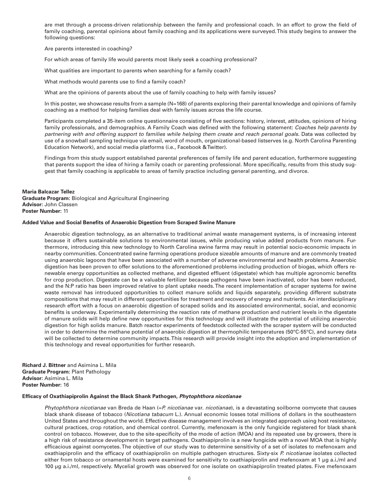are met through a process-driven relationship between the family and professional coach. In an effort to grow the field of family coaching, parental opinions about family coaching and its applications were surveyed. This study begins to answer the following questions:

Are parents interested in coaching?

For which areas of family life would parents most likely seek a coaching professional?

What qualities are important to parents when searching for a family coach?

What methods would parents use to find a family coach?

What are the opinions of parents about the use of family coaching to help with family issues?

In this poster, we showcase results from a sample (N=168) of parents exploring their parental knowledge and opinions of family coaching as a method for helping families deal with family issues across the life course.

Participants completed a 35-item online questionnaire consisting of five sections: history, interest, attitudes, opinions of hiring family professionals, and demographics. A Family Coach was defined with the following statement: *Coaches help parents by partnering with and offering support to families while helping them create and reach personal goals*. Data was collected by use of a snowball sampling technique via email, word of mouth, organizational-based listserves (e.g. North Carolina Parenting Education Network), and social media platforms (i.e., Facebook & Twitter).

Findings from this study support established parental preferences of family life and parent education, furthermore suggesting that parents support the idea of hiring a family coach or parenting professional. More specifically, results from this study suggest that family coaching is applicable to areas of family practice including general parenting, and divorce.

# **Maria Balcazar Tellez**

**Graduate Program:** Biological and Agricultural Engineering **Advisor:** John Classen **Poster Number:** 11

#### **Added Value and Social Benefits of Anaerobic Digestion from Scraped Swine Manure**

Anaerobic digestion technology, as an alternative to traditional animal waste management systems, is of increasing interest because it offers sustainable solutions to environmental issues, while producing value added products from manure. Furthermore, introducing this new technology to North Carolina swine farms may result in potential socio-economic impacts in nearby communities. Concentrated swine farming operations produce sizeable amounts of manure and are commonly treated using anaerobic lagoons that have been associated with a number of adverse environmental and health problems. Anaerobic digestion has been proven to offer solutions to the aforementioned problems including production of biogas, which offers renewable energy opportunities as collected methane, and digested effluent (digestate) which has multiple agronomic benefits for crop production. Digestate can be a valuable fertilizer because pathogens have been inactivated, odor has been reduced, and the N:P ratio has been improved relative to plant uptake needs. The recent implementation of scraper systems for swine waste removal has introduced opportunities to collect manure solids and liquids separately, providing different substrate compositions that may result in different opportunities for treatment and recovery of energy and nutrients. An interdisciplinary research effort with a focus on anaerobic digestion of scraped solids and its associated environmental, social, and economic benefits is underway. Experimentally determining the reaction rate of methane production and nutrient levels in the digestate of manure solids will help define new opportunities for this technology and will illustrate the potential of utilizing anaerobic digestion for high solids manure. Batch reactor experiments of feedstock collected with the scraper system will be conducted in order to determine the methane potential of anaerobic digestion at thermophilic temperatures (50°C-55°C), and survey data will be collected to determine community impacts. This research will provide insight into the adoption and implementation of this technology and reveal opportunities for further research.

**Richard J. Bittner** and Asimina L. Mila **Graduate Program:** Plant Pathology **Advisor:** Asimina L. Mila **Poster Number:** 16

#### **Efficacy of Oxathiapiprolin Against the Black Shank Pathogen,** *Phytophthora nicotianae*

*Phytophthora nicotianae* van Breda de Haan (=*P. nicotianae* var. *nicotianae*), is a devastating soilborne oomycete that causes black shank disease of tobacco (*Nicotiana tabacum* L.). Annual economic losses total millions of dollars in the southeastern United States and throughout the world. Effective disease management involves an integrated approach using host resistance, cultural practices, crop rotation, and chemical control. Currently, mefenoxam is the only fungicide registered for black shank control on tobacco. However, due to the site-specificity of the mode of action (MOA) and its repeated use by growers, there is a high risk of resistance development in target pathogens. Oxathiapiprolin is a new fungicide with a novel MOA that is highly efficacious against oomycetes. The objective of our study was to determine sensitivity of a set of isolates to mefenoxam and oxathiapiprolin and the efficacy of oxathiapiprolin on multiple pathogen structures. Sixty-six *P. nicotianae* isolates collected either from tobacco or ornamental hosts were examined for sensitivity to oxathiapiprolin and mefenoxam at 1 µg a.i./ml and 100 µg a.i./ml, respectively. Mycelial growth was observed for one isolate on oxathiapiprolin treated plates. Five mefenoxam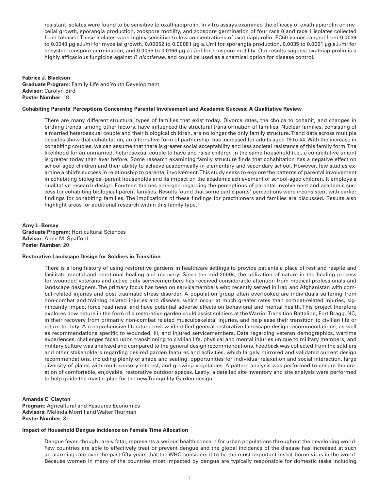resistant isolates were found to be sensitive to oxathiapiprolin. In vitro assays examined the efficacy of oxathiapiprolin on mycelial growth, sporangia production, zoospore motility, and zoospore germination of four race 0 and race 1 isolates collected from tobacco. These isolates were highly sensitive to low concentrations of oxathiapiprolin. EC50 values ranged from 0.0039 to 0.0049 µg a.i./ml for mycelial growth, 0.00052 to 0.00081 µg a.i./ml for sporangia production, 0.0035 to 0.0051 µg a.i./ml for encysted zoospore germination, and 0.0055 to 0.0166 µg a.i./ml for zoospore motility. Our results suggest oxathiapiprolin is a highly efficacious fungicide against *P. nicotianae*, and could be used as a chemical option for disease control.

# **Fabrice J. Blackson Graduate Program:** Family Life and Youth Development **Advisor:** Carolyn Bird **Poster Number:** 18

# **Cohabiting Parents' Perceptions Concerning Parental Involvement and Academic Success: A Qualitative Review**

There are many different structural types of families that exist today. Divorce rates, the choice to cohabit, and changes in birthing trends, among other factors, have influenced the structural transformation of families. Nuclear families, consisting of a married heterosexual couple and their biological children, are no longer the only family structure. Trend data across multiple decades show that cohabitation, an alternative form of partnership, has increased for adults aged 19 to 44. With the increase in cohabiting couples, we can assume that there is greater social acceptability and less societal resistance of this family form. The likelihood for an unmarried, heterosexual couple to have and raise children in the same household (i.e., a cohabitative union) is greater today than ever before. Some research examining family structure finds that cohabitation has a negative effect on school-aged children and their ability to achieve academically in elementary and secondary school. However, few studies examine a child's success in relationship to parental involvement. This study seeks to explore the patterns of parental involvement in cohabiting biological-parent households and its impact on the academic achievement of school-aged children. It employs a qualitative research design. Fourteen themes emerged regarding the perceptions of parental involvement and academic success for cohabiting biological-parent families. Results found that some participants' perceptions were inconsistent with earlier findings for cohabiting families. The implications of these findings for practitioners and families are discussed. Results also highlight areas for additional research within this family type.

**Amy L. Borsay Graduate Program:** Horticultural Sciences **Advisor:** Anne M. Spafford **Poster Number:** 20

#### **Restorative Landscape Design for Soldiers in Transition**

There is a long history of using restorative gardens in healthcare settings to provide patients a place of rest and respite and facilitate mental and emotional healing and recovery. Since the mid-2000s, the utilization of nature in the healing process for wounded veterans and active duty servicemembers has received considerable attention from medical professionals and landscape designers. The primary focus has been on servicemembers who recently served in Iraq and Afghanistan with combat-related injuries and post traumatic stress disorder. A population group often overlooked are individuals suffering from non-combat and training related injuries and disease, which occur at much greater rates than combat-related injuries, significantly impact force readiness, and have potential adverse effects on behavioral and mental health. This project therefore explores how nature in the form of a restorative garden could assist soldiers at the Warrior Transition Battalion, Fort Bragg, NC, in their recovery from primarily non-combat related musculoskeletal injuries, and help ease their transition to civilian life or return to duty. A comprehensive literature review identified general restorative landscape design recommendations, as well as recommendations specific to wounded, ill, and injured servicemembers. Data regarding veteran demographics, wartime experiences, challenges faced upon transitioning to civilian life, physical and mental injuries unique to military members, and military culture was analyzed and compared to the general design recommendations. Feedback was collected from the soldiers and other stakeholders regarding desired garden features and activities, which largely mirrored and validated current design recommendations, including plenty of shade and seating, opportunities for individual relaxation and social interaction, large diversity of plants with multi-sensory interest, and growing vegetables. A pattern analysis was performed to ensure the creation of comfortable, enjoyable, restorative outdoor spaces. Lastly, a detailed site inventory and site analysis were performed to help guide the master plan for the new Tranquility Garden design.

## **Amanda C. Clayton**

**Program:** Agricultural and Resource Economics **Advisors:** Melinda Morrill and Walter Thurman **Poster Number:** 31

## **Impact of Household Dengue Incidence on Female Time Allocation**

Dengue fever, though rarely fatal, represents a serious health concern for urban populations throughout the developing world. Few countries are able to effectively treat or prevent dengue and the global incidence of the disease has increased at such an alarming rate over the past fifty years that the WHO considers it to be the most important insect-borne virus in the world. Because women in many of the countries most impacted by dengue are typically responsible for domestic tasks including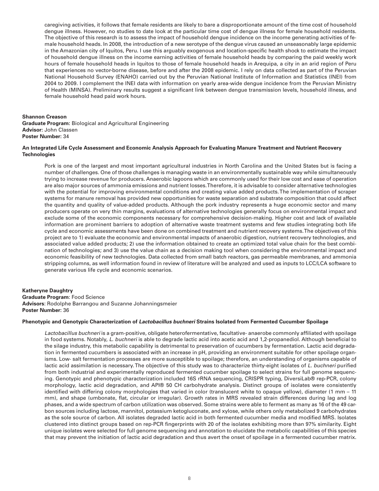caregiving activities, it follows that female residents are likely to bare a disproportionate amount of the time cost of household dengue illness. However, no studies to date look at the particular time cost of dengue illness for female household residents. The objective of this research is to assess the impact of household dengue incidence on the income generating activities of female household heads. In 2008, the introduction of a new serotype of the dengue virus caused an unseasonably large epidemic in the Amazonian city of Iquitos, Peru. I use this arguably exogenous and location-specific health shock to estimate the impact of household dengue illness on the income earning activities of female household heads by comparing the paid weekly work hours of female household heads in Iquitos to those of female household heads in Arequipa, a city in an arid region of Peru that experiences no vector-borne disease, before and after the 2008 epidemic. I rely on data collected as part of the Peruvian National Household Survey (ENAHO) carried out by the Peruvian National Institute of Information and Statistics (INEI) from 2004 to 2009. I complement the INEI data with information on yearly area-wide dengue incidence from the Peruvian Ministry of Health (MINSA). Preliminary results suggest a significant link between dengue transmission levels, household illness, and female household head paid work hours.

#### **Shannon Creason**

**Graduate Program:** Biological and Agricultural Engineering **Advisor:** John Classen **Poster Number:** 34

# **An Integrated Life Cycle Assessment and Economic Analysis Approach for Evaluating Manure Treatment and Nutrient Recovery Technologies**

Pork is one of the largest and most important agricultural industries in North Carolina and the United States but is facing a number of challenges. One of those challenges is managing waste in an environmentally sustainable way while simultaneously trying to increase revenue for producers. Anaerobic lagoons which are commonly used for their low cost and ease of operation are also major sources of ammonia emissions and nutrient losses. Therefore, it is advisable to consider alternative technologies with the potential for improving environmental conditions and creating value added products. The implementation of scraper systems for manure removal has provided new opportunities for waste separation and substrate composition that could affect the quantity and quality of value-added products. Although the pork industry represents a huge economic sector and many producers operate on very thin margins, evaluations of alternative technologies generally focus on environmental impact and exclude some of the economic components necessary for comprehensive decision-making. Higher cost and lack of available information are prominent barriers to adoption of alternative waste treatment systems and few studies integrating both life cycle and economic assessments have been done on combined treatment and nutrient recovery systems. The objectives of this project are to 1) evaluate the economic and environmental impacts of anaerobic digestion, nutrient recovery technologies, and associated value added products; 2) use the information obtained to create an optimized total value chain for the best combination of technologies; and 3) use the value chain as a decision making tool when considering the environmental impact and economic feasibility of new technologies. Data collected from small batch reactors, gas permeable membranes, and ammonia stripping columns, as well information found in review of literature will be analyzed and used as inputs to LCC/LCA software to generate various life cycle and economic scenarios.

# **Katheryne Daughtry**

**Graduate Program**: Food Science **Advisors**: Rodolphe Barrangou and Suzanne Johanningsmeier **Poster Number:** 36

# **Phenotypic and Genotypic Characterization of** *Lactobacillus buchneri* **Strains Isolated from Fermented Cucumber Spoilage**

*Lactobacillus buchneri* is a gram-positive, obligate heterofermentative, facultative- anaerobe commonly affiliated with spoilage in food systems. Notably, *L. buchneri* is able to degrade lactic acid into acetic acid and 1,2-propanediol. Although beneficial to the silage industry, this metabolic capability is detrimental to preservation of cucumbers by fermentation. Lactic acid degradation in fermented cucumbers is associated with an increase in pH, providing an environment suitable for other spoilage organisms. Low- salt fermentation processes are more susceptible to spoilage; therefore, an understanding of organisms capable of lactic acid assimilation is necessary. The objective of this study was to characterize thirty-eight isolates of *L. buchneri* purified from both industrial and experimentally reproduced fermented cucumber spoilage to select strains for full genome sequencing. Genotypic and phenotypic characterization included 16S rRNA sequencing, CRISPR typing, DiversiLab® rep-PCR, colony morphology, lactic acid degradation, and API® 50 CH carbohydrate analysis. Distinct groups of isolates were consistently identified with differing colony morphologies that varied in color (translucent white to opaque yellow), diameter (1 mm – 11 mm), and shape (umbonate, flat, circular or irregular). Growth rates in MRS revealed strain differences during lag and log phases, and a wide spectrum of carbon utilization was observed. Some strains were able to ferment as many as 16 of the 49 carbon sources including lactose, mannitol, potassium ketogluconate, and xylose, while others only metabolized 9 carbohydrates as the sole source of carbon. All isolates degraded lactic acid in both fermented cucumber media and modified MRS. Isolates clustered into distinct groups based on rep-PCR fingerprints with 20 of the isolates exhibiting more than 97% similarity. Eight unique isolates were selected for full genome sequencing and annotation to elucidate the metabolic capabilities of this species that may prevent the initiation of lactic acid degradation and thus avert the onset of spoilage in a fermented cucumber matrix.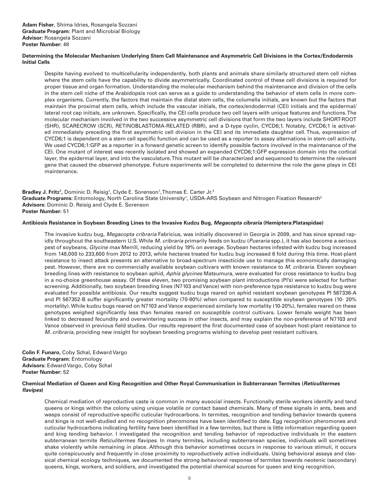# **Determining the Molecular Mechanism Underlying Stem Cell Maintenance and Asymmetric Cell Divisions in the Cortex/Endodermis Initial Cells**

Despite having evolved to multicellularity independently, both plants and animals share similarly structured stem cell niches where the stem cells have the capability to divide asymmetrically. Coordinated control of these cell divisions is required for proper tissue and organ formation. Understanding the molecular mechanism behind the maintenance and division of the cells in the stem cell niche of the Arabidopsis root can serve as a guide to understanding the behavior of stem cells in more complex organisms. Currently, the factors that maintain the distal stem cells, the columella initials, are known but the factors that maintain the proximal stem cells, which include the vascular initials, the cortex/endodermal (CEI) initials and the epidermal/ lateral root cap initials, are unknown. Specifically, the CEI cells produce two cell layers with unique features and functions. The molecular mechanism involved in the two successive asymmetric cell divisions that form the two layers include SHORT-ROOT (SHR), SCARECROW (SCR), RETINOBLASTOMA-RELATED (RBR), and a D-type cyclin, CYCD6;1. Notably, CYCD6;1 is activated immediately preceding the first asymmetric cell division in the CEI and its immediate daughter cell. Thus, expression of CYCD6;1 is dependent on a stem cell specific function and can be used as a reporter to assay alternations in stem cell activity. We used CYCD6;1:GFP as a reporter in a forward genetic screen to identify possible factors involved in the maintenance of the CEI. One mutant of interest was recently isolated and showed an expanded CYCD6;1:GFP expression domain into the cortical layer, the epidermal layer, and into the vasculature. This mutant will be characterized and sequenced to determine the relevant gene that caused the observed phenotype. Future experiments will be completed to determine the role the gene plays in CEI maintenance.

**Bradley J. Fritz<sup>1</sup>,** Dominic D. Reisig<sup>1</sup>, Clyde E. Sorenson<sup>1</sup>, Thomas E. Carter Jr.<sup>2</sup> Graduate Programs: Entomology, North Carolina State University<sup>1</sup>, USDA-ARS Soybean and Nitrogen Fixation Research<sup>2</sup> **Advisors:** Dominic D. Reisig and Clyde E. Sorenson **Poster Number:** 51

# **Antibiosis Resistance in Soybean Breeding Lines to the Invasive Kudzu Bug,** *Megacopta cibraria* **(Hemiptera:Plataspidae)**

The invasive kudzu bug, *Megacopta cribraria* Fabricius, was initially discovered in Georgia in 2009, and has since spread rapidly throughout the southeastern U.S. While *M. cribraria* primarily feeds on kudzu (*Pueraria* spp.), it has also become a serious pest of soybeans, *Glycine max* Merrill, reducing yield by 19% on average. Soybean hectares infested with kudzu bug increased from 148,000 to 233,600 from 2012 to 2013, while hectares treated for kudzu bug increased 6 fold during this time. Host-plant resistance to insect attack presents an alternative to broad-spectrum insecticide use to manage this economically damaging pest. However, there are no commercially available soybean cultivars with known resistance to *M. cribraria*. Eleven soybean breeding lines with resistance to soybean aphid, *Aphis glycines* Matsumura, were evaluated for cross resistance to kudzu bug in a no-choice greenhouse assay. Of these eleven, two promising soybean plant introductions (PI's) were selected for further screening. Additionally, two soybean breeding lines (N7103 and Vance) with non-preference type resistance to kudzu bug were evaluated for possible antibiosis. Our results suggest kudzu bugs reared on aphid resistant soybean genotypes PI 567336-A and PI 567352-B suffer significantly greater mortality (70-80%) when compared to susceptible soybean genotypes (10- 20% mortality). While kudzu bugs reared on N7103 and Vance experienced similarly low mortality (10-20%), females reared on these genotypes weighed significantly less than females reared on susceptible control cultivars. Lower female weight has been linked to decreased fecundity and overwintering success in other insects, and may explain the non-preference of N7103 and Vance observed in previous field studies. Our results represent the first documented case of soybean host-plant resistance to *M. cribraria,* providing new insight for soybean breeding programs wishing to develop pest resistant cultivars.

**Colin F. Funaro,** Coby Schal, Edward Vargo **Graduate Program:** Entomology **Advisors:** Edward Vargo, Coby Schal **Poster Number:** 52

# **Chemical Mediation of Queen and King Recognition and Other Royal Communication in Subterranean Termites (***Reticulitermes flavipes***)**

Chemical mediation of reproductive caste is common in many eusocial insects. Functionally sterile workers identify and tend queens or kings within the colony using unique volatile or contact based chemicals. Many of these signals in ants, bees and wasps consist of reproductive-specific cuticular hydrocarbons. In termites, recognition and tending behavior towards queens and kings is not well-studied and no recognition pheromones have been identified to date. Egg recognition pheromones and cuticular hydrocarbons indicating fertility have been identified in a few termites, but there is little information regarding queen and king tending behavior. I investigated the recognition and tending behavior of reproductive individuals in the eastern subterranean termite *Reticulitermes flavipes*. In many termites, including subterranean species, individuals will sometimes shake violently while remaining in place. Although this behavior sometimes occurs in response to various stimuli, it occurs quite conspicuously and frequently in close proximity to reproductively active individuals. Using behavioral assays and classical chemical ecology techniques, we documented the strong behavioral response of termites towards neotenic (secondary) queens, kings, workers, and soldiers, and investigated the potential chemical sources for queen and king recognition.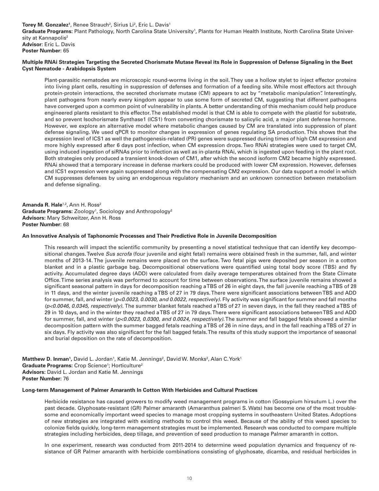Torey M. Gonzalez<sup>1</sup>, Renee Strauch<sup>2</sup>, Sirius Li<sup>2</sup>, Eric L. Davis<sup>1</sup> Graduate Programs: Plant Pathology, North Carolina State University<sup>1</sup>, Plants for Human Health Institute, North Carolina State University at Kannapolis<sup>2</sup> **Advisor**: Eric L. Davis **Poster Number:** 65

# **Multiple RNAi Strategies Targeting the Secreted Chorismate Mutase Reveal its Role in Suppression of Defense Signaling in the Beet Cyst Nematode - Arabidopsis System**

Plant-parasitic nematodes are microscopic round-worms living in the soil. They use a hollow stylet to inject effector proteins into living plant cells, resulting in suppression of defenses and formation of a feeding site. While most effectors act through protein-protein interactions, the secreted chorismate mutase (CM) appears to act by "metabolic manipulation". Interestingly, plant pathogens from nearly every kingdom appear to use some form of secreted CM, suggesting that different pathogens have converged upon a common point of vulnerability in plants. A better understanding of this mechanism could help produce engineered plants resistant to this effector. The established model is that CM is able to compete with the plastid for substrate, and so prevent Isochorismate Synthase1 (ICS1) from converting chorismate to salicylic acid, a major plant defense hormone. However, we explore an alternative model where metabolic changes caused by CM are translated into suppression of plant defense signaling. We used qPCR to monitor changes in expression of genes regulating SA production. This shows that the expression level of ICS1 as well the pathogenesis-related (PR) genes were suppressed during times of high CM expression and more highly expressed after 6 days post infection, when CM expression drops. Two RNAi strategies were used to target CM, using induced ingestion of siRNAs prior to infection as well as in-planta RNAi, which is ingested upon feeding in the plant root. Both strategies only produced a transient knock-down of CM1, after which the second isoform CM2 became highly expressed. RNAi showed that a temporary increase in defense markers could be produced with lower CM expression. However, defenses and ICS1 expression were again suppressed along with the compensating CM2 expression. Our data support a model in which CM suppresses defenses by using an endogenous regulatory mechanism and an unknown connection between metabolism and defense signaling.

Amanda R. Hale<sup>1,2</sup>, Ann H. Ross<sup>2</sup> **Graduate Programs:** Zoology<sup>1</sup>, Sociology and Anthropology<sup>2</sup> **Advisors:** Mary Schweitzer, Ann H. Ross **Poster Number:** 68

# **An Innovative Analysis of Taphonomic Processes and Their Predictive Role in Juvenile Decomposition**

This research will impact the scientific community by presenting a novel statistical technique that can identify key decompositional changes. Twelve *Sus scrofa* (four juvenile and eight fetal) remains were obtained fresh in the summer, fall, and winter months of 2013-14. The juvenile remains were placed on the surface. Two fetal pigs were deposited per season in a cotton blanket and in a plastic garbage bag. Decompositional observations were quantified using total body score (TBS) and fly activity. Accumulated degree days (ADD) were calculated from daily average temperatures obtained from the State Climate Office. Time series analysis was performed to account for time between observations. The surface juvenile remains showed a significant seasonal pattern in days for decomposition reaching a TBS of 26 in eight days, the fall juvenile reaching a TBS of 28 in 11 days, and the winter juvenile reaching a TBS of 27 in 79 days. There were significant associations between TBS and ADD for summer, fall, and winter (*p<0.0023, 0.0030, and 0.0022, respectively)*. Fly activity was significant for summer and fall months *(p<0.0046, 0.0345, respectively).* The summer blanket fetals reached a TBS of 27 in seven days, in the fall they reached a TBS of 29 in 10 days, and in the winter they reached a TBS of 27 in 79 days. There were significant associations between TBS and ADD for summer, fall, and winter (*p<0.0023, 0.0300, and 0.0024, respectively)*. The summer and fall bagged fetals showed a similar decomposition pattern with the summer bagged fetals reaching a TBS of 26 in nine days, and in the fall reaching a TBS of 27 in six days. Fly activity was also significant for the fall bagged fetals. The results of this study support the importance of seasonal and burial deposition on the rate of decomposition.

**Matthew D. Inman',** David L. Jordan', Katie M. Jennings<sup>2</sup>, David W. Monks<sup>2</sup>, Alan C. York<sup>1</sup> Graduate Programs: Crop Science<sup>1</sup>; Horticulture<sup>2</sup> **Advisors:** David L. Jordan and Katie M. Jennings **Poster Number:** 76

# **Long-term Management of Palmer Amaranth In Cotton With Herbicides and Cultural Practices**

Herbicide resistance has caused growers to modify weed management programs in cotton (Gossypium hirsutum L.) over the past decade. Glyphosate-resistant (GR) Palmer amaranth (Amaranthus palmeri S. Wats) has become one of the most troublesome and economically important weed species to manage most cropping systems in southeastern United States. Adoptions of new strategies are integrated with existing methods to control this weed. Because of the ability of this weed species to colonize fields quickly, long-term management strategies must be implemented. Research was conducted to compare multiple strategies including herbicides, deep tillage, and prevention of seed production to manage Palmer amaranth in cotton.

In one experiment, research was conducted from 2011-2014 to determine weed population dynamics and frequency of resistance of GR Palmer amaranth with herbicide combinations consisting of glyphosate, dicamba, and residual herbicides in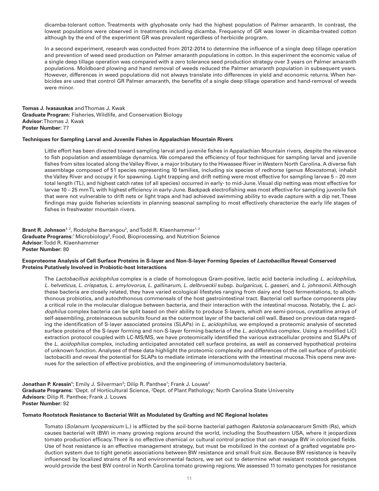dicamba-tolerant cotton. Treatments with glyphosate only had the highest population of Palmer amaranth. In contrast, the lowest populations were observed in treatments including dicamba. Frequency of GR was lower in dicamba-treated cotton although by the end of the experiment GR was prevalent regardless of herbicide program.

In a second experiment, research was conducted from 2012-2014 to determine the influence of a single deep tillage operation and prevention of weed seed production on Palmer amaranth populations in cotton. In this experiment the economic value of a single deep tillage operation was compared with a zero tolerance seed production strategy over 3 years on Palmer amaranth populations. Moldboard plowing and hand removal of weeds reduced the Palmer amaranth population in subsequent years. However, differences in weed populations did not always translate into differences in yield and economic returns. When herbicides are used that control GR Palmer amaranth, the benefits of a single deep tillage operation and hand-removal of weeds were minor.

**Tomas J. Ivasauskas** and Thomas J. Kwak **Graduate Program:** Fisheries, Wildlife, and Conservation Biology **Advisor:** Thomas J. Kwak **Poster Number:** 77

# **Techniques for Sampling Larval and Juvenile Fishes in Appalachian Mountain Rivers**

Little effort has been directed toward sampling larval and juvenile fishes in Appalachian Mountain rivers, despite the relevance to fish population and assemblage dynamics. We compared the efficiency of four techniques for sampling larval and juvenile fishes from sites located along the Valley River, a major tributary to the Hiwassee River in Western North Carolina. A diverse fish assemblage composed of 51 species representing 10 families, including six species of redhorse (genus *Moxostoma*), inhabit the Valley River and occupy it for spawning. Light trapping and drift netting were most effective for sampling larvae 5 – 20 mm total length (TL), and highest catch rates (of all species) occurred in early- to mid-June. Visual dip netting was most effective for larvae 10 – 25 mm TL with highest efficiency in early-June. Backpack electrofishing was most effective for sampling juvenile fish that were not vulnerable to drift nets or light traps and had achieved swimming ability to evade capture with a dip net. These findings may guide fisheries scientists in planning seasonal sampling to most effectively characterize the early life stages of fishes in freshwater mountain rivers.

**Brant R. Johnson**<sup>1, 2</sup>, Rodolphe Barrangou<sup>2</sup>, and Todd R. Klaenhammer<sup>1, 2</sup> Graduate Programs:<sup>1</sup> Microbiology<sup>2</sup>, Food, Bioprocessing, and Nutrition Science **Advisor**: Todd R. Klaenhammer **Poster Number:** 80

#### **Exoproteome Analysis of Cell Surface Proteins in S-layer and Non-S-layer Forming Species of** *Lactobacillus* **Reveal Conserved Proteins Putatively Involved in Probiotic-host Interactions**

The *Lactobacillus acidophilus* complex is a clade of homologous Gram-positive, lactic acid bacteria including *L. acidophilus*, *L. helveticus*, *L. crispatus*, *L. amylovorus*, *L. gallinarum*, *L. delbrueckii* subsp. *bulgaricus*, *L. gasseri*, and *L. johnsonii*. Although these bacteria are closely related, they have varied ecological lifestyles ranging from dairy and food fermentations, to allochthonous probiotics, and autochthonous commensals of the host gastrointestinal tract. Bacterial cell surface components play a critical role in the molecular dialogue between bacteria, and their interaction with the intestinal mucosa. Notably, the *L. acidophilus* complex bacteria can be split based on their ability to produce S-layers, which are semi-porous, crystalline arrays of self-assembling, proteinaceous subunits found as the outermost layer of the bacterial cell wall. Based on previous data regarding the identification of S-layer associated proteins (SLAPs) in *L. acidophilus*, we employed a proteomic analysis of secreted surface proteins of the S-layer forming and non-S-layer forming bacteria of the *L. acidophilus* complex. Using a modified LiCl extraction protocol coupled with LC-MS/MS, we have proteomically identified the various extracellular proteins and SLAPs of the *L. acidophilus* complex, including anticipated annotated cell surface proteins, as well as conserved hypothetical proteins of unknown function. Analyses of these data highlight the proteomic complexity and differences of the cell surface of probiotic lactobacilli and reveal the potential for SLAPs to mediate intimate interactions with the intestinal mucosa. This opens new avenues for the selection of effective probiotics, and the engineering of immunomodulatory bacteria.

Jonathan P. Kressin<sup>1</sup>; Emily J. Silverman<sup>2</sup>; Dilip R. Panthee<sup>1</sup>; Frank J. Louws<sup>2</sup> Graduate Programs: <sup>1</sup>Dept. of Horticultural Science, <sup>2</sup>Dept. of Plant Pathology; North Carolina State University **Advisors:** Dilip R. Panthee; Frank J. Louws **Poster Number:** 92

#### **Tomato Rootstock Resistance to Bacterial Wilt as Modulated by Grafting and NC Regional Isolates**

Tomato (*Solanum lycopersicum* L.) is afflicted by the soil-borne bacterial pathogen *Ralstonia solanacearum* Smith (Rs), which causes bacterial wilt (BW) in many growing regions around the world, including the Southeastern USA, where it jeopardizes tomato production efficacy. There is no effective chemical or cultural control practice that can manage BW in colonized fields. Use of host resistance is an effective management strategy, but must be mobilized in the context of a grafted vegetable production system due to tight genetic associations between BW resistance and small fruit size. Because BW resistance is heavily influenced by localized strains of Rs and environmental factors, we set out to determine what resistant rootstock genotypes would provide the best BW control in North Carolina tomato growing regions. We assessed 11 tomato genotypes for resistance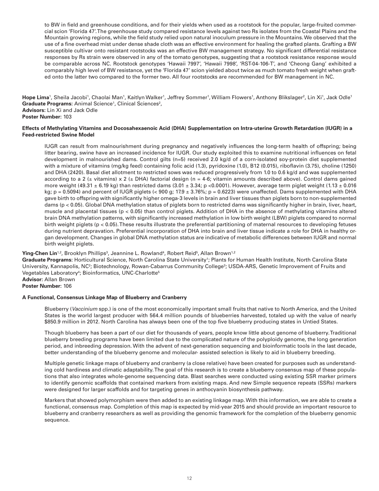to BW in field and greenhouse conditions, and for their yields when used as a rootstock for the popular, large-fruited commercial scion 'Florida 47'. The greenhouse study compared resistance levels against two Rs isolates from the Coastal Plains and the Mountain growing regions, while the field study relied upon natural inoculum pressure in the Mountains. We observed that the use of a fine overhead mist under dense shade cloth was an effective environment for healing the grafted plants. Grafting a BW susceptible cultivar onto resistant rootstocks was an effective BW management strategy. No significant differential resistance responses by Rs strain were observed in any of the tomato genotypes, suggesting that a rootstock resistance response would be comparable across NC. Rootstock genotypes 'Hawaii 7997', 'Hawaii 7998', 'RST-04-106-T', and 'Cheong Gang' exhibited a comparably high level of BW resistance, yet the 'Florida 47' scion yielded about twice as much tomato fresh weight when grafted onto the latter two compared to the former two. All four rootstocks are recommended for BW management in NC.

**Hope Lima**', Sheila Jacobi', Chaolai Man', Kaitlyn Walker', Jeffrey Sommer', William Flowers', Anthony Blikslager<sup>2</sup>, Lin Xi', Jack Odle' Graduate Programs: Animal Science<sup>1</sup>, Clinical Sciences<sup>2</sup>, **Advisors:** Lin Xi and Jack Odle **Poster Number:** 103

# **Effects of Methylating Vitamins and Docosahexaenoic Acid (DHA) Supplementation on Intra-uterine Growth Retardation (IUGR) in a Feed-restricted Swine Model**

IUGR can result from malnourishment during pregnancy and negatively influences the long-term health of offspring; being litter bearing, swine have an increased incidence for IUGR. Our study exploited this to examine nutritional influences on fetal development in malnourished dams. Control gilts (n=5) received 2.0 kg/d of a corn-isolated soy-protein diet supplemented with a mixture of vitamins (mg/kg feed) containing folic acid (1.3), pyridoxine (1.0), B12 (0.015), riboflavin (3.75), choline (1250) and DHA (2420). Basal diet allotment to restricted sows was reduced progressively from 1.0 to 0.6 kg/d and was supplemented according to a 2 ( $\pm$  vitamins) x 2 ( $\pm$  DHA) factorial design (n = 4-6; vitamin amounts described above). Control dams gained more weight (49.31  $\pm$  6.19 kg) than restricted dams (3.01  $\pm$  3.34; p <0.0001). However, average term piglet weight (1.13  $\pm$  0.016 kg;  $p = 0.5094$ ) and percent of IUGR piglets (< 900 g; 17.9  $\pm$  3.76%; p = 0.6223) were unaffected. Dams supplemented with DHA gave birth to offspring with significantly higher omega-3 levels in brain and liver tissues than piglets born to non-supplemented dams (p < 0.05). Global DNA methylation status of piglets born to restricted dams was significantly higher in brain, liver, heart, muscle and placental tissues ( $p < 0.05$ ) than control piglets. Addition of DHA in the absence of methylating vitamins altered brain DNA methylation patterns, with significantly increased methylation in low birth weight (LBW) piglets compared to normal birth weight piglets (p < 0.05). These results illustrate the preferential partitioning of maternal resources to developing fetuses during nutrient depravation. Preferential incorporation of DHA into brain and liver tissue indicate a role for DHA in healthy organ development. Changes in global DNA methylation status are indicative of metabolic differences between IUGR and normal birth weight piglets.

# **Ying-Chen Lin**<sup>1,2</sup>, Brooklyn Phillips<sup>3</sup>, Jeannine L. Rowland<sup>4</sup>, Robert Reid<sup>5</sup>, Allan Brown<sup>1,2</sup>

Graduate Programs: Horticultural Science, North Carolina State University<sup>1</sup>; Plants for Human Health Institute, North Carolina State University, Kannapolis, NC<sup>2</sup>; Biotechnology, Rowan-Cabarrus Community College<sup>3</sup>; USDA-ARS, Genetic Improvement of Fruits and Vegetables Laboratory<sup>4</sup>; Bioinformatics, UNC-Charlotte<sup>5</sup> **Advisor:** Allan Brown

**Poster Number:** 106

# **A Functional, Consensus Linkage Map of Blueberry and Cranberry**

Blueberry (*Vaccinium* spp.) is one of the most economically important small fruits that native to North America, and the United States is the world largest producer with 564.4 million pounds of blueberries harvested, totaled up with the value of nearly \$850.9 million in 2012. North Carolina has always been one of the top five blueberry producing states in Untied States.

Though blueberry has been a part of our diet for thousands of years, people know little about genome of blueberry. Traditional blueberry breeding programs have been limited due to the complicated nature of the polyploidy genome, the long generation period, and inbreeding depression. With the advent of next-generation sequencing and bioinformatic tools in the last decade, better understanding of the blueberry genome and molecular- assisted selection is likely to aid in blueberry breeding.

Multiple genetic linkage maps of blueberry and cranberry (a close relative) have been created for purposes such as understanding cold hardiness and climatic adaptability. The goal of this research is to create a blueberry consensus map of these populations that also integrates whole-genome sequencing data. Blast searches were conducted using existing SSR marker primers to identify genomic scaffolds that contained markers from existing maps. And new Simple sequence repeats (SSRs) markers were designed for larger scaffolds and for targeting genes in anthocyanin biosynthesis pathway.

Markers that showed polymorphism were then added to an existing linkage map. With this information, we are able to create a functional, consensus map. Completion of this map is expected by mid-year 2015 and should provide an important resource to blueberry and cranberry researchers as well as providing the genomic framework for the completion of the blueberry genomic sequence.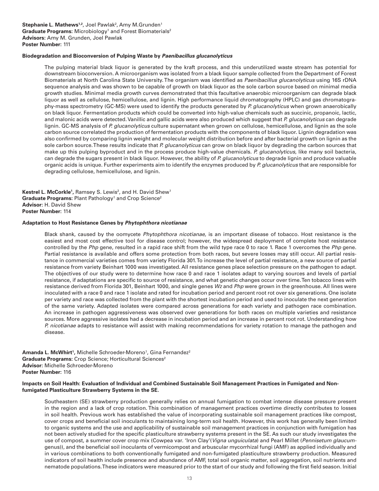# **Biodegradation and Bioconversion of Pulping Waste by** *Paenibacillus glucanolyticus*

The pulping material black liquor is generated by the kraft process, and this underutilized waste stream has potential for downstream bioconversion. A microorganism was isolated from a black liquor sample collected from the Department of Forest Biomaterials at North Carolina State University. The organism was identified as *Paenibacillus glucanolyticus* using 16S rDNA sequence analysis and was shown to be capable of growth on black liquor as the sole carbon source based on minimal media growth studies. Minimal media growth curves demonstrated that this facultative anaerobic microorganism can degrade black liquor as well as cellulose, hemicellulose, and lignin. High performance liquid chromatography (HPLC) and gas chromatography-mass spectrometry (GC-MS) were used to identify the products generated by *P. glucanolyticus* when grown anaerobically on black liquor. Fermentation products which could be converted into high-value chemicals such as succinic, propanoic, lactic, and malonic acids were detected. Vanillic and gallic acids were also produced which suggest that *P. glucanolyticus* can degrade lignin. GC-MS analysis of *P. glucanolyticus* culture supernatant when grown on cellulose, hemicellulose, and lignin as the sole carbon source correlated the production of fermentation products with the components of black liquor. Lignin degradation was also confirmed by comparing lignin weight and molecular weight distribution before and after bacterial growth on lignin as the sole carbon source. These results indicate that *P. glucanolyticus* can grow on black liquor by degrading the carbon sources that make up this pulping byproduct and in the process produce high-value chemicals. *P. glucanolyticus*, like many soil bacteria, can degrade the sugars present in black liquor. However, the ability of *P. glucanolyticus* to degrade lignin and produce valuable organic acids is unique. Further experiments aim to identify the enzymes produced by *P. glucanolyticus* that are responsible for degrading cellulose, hemicellulose, and lignin.

**Kestrel L. McCorkle<sup>1</sup>,** Ramsey S. Lewis<sup>2</sup>, and H. David Shew<sup>1</sup> Graduate Programs: Plant Pathology<sup>1</sup> and Crop Science<sup>2</sup> **Advisor:** H. David Shew **Poster Number:** 114

#### **Adaptation to Host Resistance Genes by** *Phytophthora nicotianae*

Black shank, caused by the oomycete *Phytophthora nicotianae,* is an important disease of tobacco. Host resistance is the easiest and most cost effective tool for disease control; however, the widespread deployment of complete host resistance controlled by the *Php* gene, resulted in a rapid race shift from the wild type race 0 to race 1. Race 1 overcomes the *Php* gene. Partial resistance is available and offers some protection from both races, but severe losses may still occur. All partial resistance in commercial varieties comes from variety Florida 301. To increase the level of partial resistance, a new source of partial resistance from variety Beinhart 1000 was investigated. All resistance genes place selection pressure on the pathogen to adapt*.*  The objectives of our study were to determine how race 0 and race 1 isolates adapt to varying sources and levels of partial resistance, if adaptations are specific to source of resistance, and what genetic changes occur over time. Ten tobacco lines with resistance derived from Florida 301, Beinhart 1000, and single genes *Wz* and *Php* were grown in the greenhouse. All lines were inoculated with a race 0 and race 1 isolate and rated for incubation period and percent root rot over six generations. One isolate per variety and race was collected from the plant with the shortest incubation period and used to inoculate the next generation of the same variety. Adapted isolates were compared across generations for each variety and pathogen race combination. An increase in pathogen aggressiveness was observed over generations for both races on multiple varieties and resistance sources. More aggressive isolates had a decrease in incubation period and an increase in percent root rot. Understanding how *P. nicotianae* adapts to resistance will assist with making recommendations for variety rotation to manage the pathogen and disease.

**Amanda L. McWhirt<sup>1</sup>,** Michelle Schroeder-Moreno<sup>1</sup>, Gina Fernandez<sup>2</sup> Graduate Programs: Crop Science; Horticultural Sciences<sup>2</sup> **Advisor:** Michelle Schroeder-Moreno **Poster Number:** 116

### **Impacts on Soil Health: Evaluation of Individual and Combined Sustainable Soil Management Practices in Fumigated and Nonfumigated Plasticulture Strawberry Systems in the SE.**

Southeastern (SE) strawberry production generally relies on annual fumigation to combat intense disease pressure present in the region and a lack of crop rotation. This combination of management practices overtime directly contributes to losses in soil health. Previous work has established the value of incorporating sustainable soil management practices like compost, cover crops and beneficial soil inoculants to maintaining long-term soil health. However, this work has generally been limited to organic systems and the use and applicability of sustainable soil management practices in conjunction with fumigation has not been actively studied for the specific plasticulture strawberry systems present in the SE. As such our study investigates the use of compost, a summer cover crop mix (Cowpea var. 'Iron Clay'(*Vigna unguiculata*) and Pearl Millet (*Pennisetum glaucum*genus)), and the beneficial soil inoculants of vermicompost and arbuscular mycorrhizal fungi (AMF) as applied individually and in various combinations to both conventionally fumigated and non-fumigated plasticulture strawberry production. Measured indicators of soil health include presence and abundance of AMF, total soil organic matter, soil aggregation, soil nutrients and nematode populations. These indicators were measured prior to the start of our study and following the first field season. Initial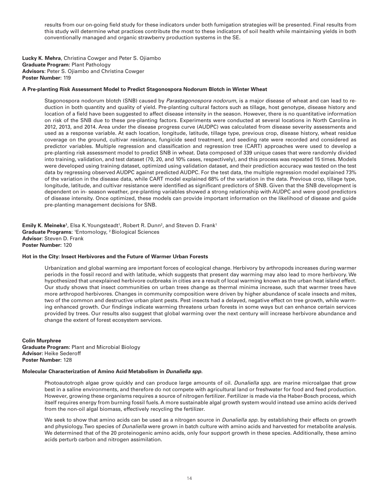results from our on-going field study for these indicators under both fumigation strategies will be presented. Final results from this study will determine what practices contribute the most to these indicators of soil health while maintaining yields in both conventionally managed and organic strawberry production systems in the SE.

**Lucky K. Mehra**, Christina Cowger and Peter S. Ojiambo **Graduate Program:** Plant Pathology **Advisors**: Peter S. Ojiambo and Christina Cowger **Poster Number:** 119

## **A Pre-planting Risk Assessment Model to Predict Stagonospora Nodorum Blotch in Winter Wheat**

Stagonospora nodorum blotch (SNB) caused by *Parastagonospora nodorum*, is a major disease of wheat and can lead to reduction in both quantity and quality of yield. Pre-planting cultural factors such as tillage, host genotype, disease history and location of a field have been suggested to affect disease intensity in the season. However, there is no quantitative information on risk of the SNB due to these pre-planting factors. Experiments were conducted at several locations in North Carolina in 2012, 2013, and 2014. Area under the disease progress curve (AUDPC) was calculated from disease severity assessments and used as a response variable. At each location, longitude, latitude, tillage type, previous crop, disease history, wheat residue coverage on the ground, cultivar resistance, fungicide seed treatment, and seeding rate were recorded and considered as predictor variables. Multiple regression and classification and regression tree (CART) approaches were used to develop a pre-planting risk assessment model to predict SNB in wheat. Data composed of 339 unique cases that were randomly divided into training, validation, and test dataset (70, 20, and 10% cases, respectively), and this process was repeated 15 times. Models were developed using training dataset, optimized using validation dataset, and their prediction accuracy was tested on the test data by regressing observed AUDPC against predicted AUDPC. For the test data, the multiple regression model explained 73% of the variation in the disease data, while CART model explained 68% of the variation in the data. Previous crop, tillage type, longitude, latitude, and cultivar resistance were identified as significant predictors of SNB. Given that the SNB development is dependent on in- season weather, pre-planting variables showed a strong relationship with AUDPC and were good predictors of disease intensity. Once optimized, these models can provide important information on the likelihood of disease and guide pre-planting management decisions for SNB.

**Emily K. Meineke**<sup>1</sup>, Elsa K. Youngsteadt<sup>1</sup>, Robert R. Dunn<sup>2</sup>, and Steven D. Frank<sup>1</sup> **Graduate Programs**: 1 Entomology, 2 Biological Sciences **Advisor**: Steven D. Frank **Poster Number:** 120

#### **Hot in the City: Insect Herbivores and the Future of Warmer Urban Forests**

Urbanization and global warming are important forces of ecological change. Herbivory by arthropods increases during warmer periods in the fossil record and with latitude, which suggests that present day warming may also lead to more herbivory. We hypothesized that unexplained herbivore outbreaks in cities are a result of local warming known as the urban heat island effect. Our study shows that insect communities on urban trees change as thermal minima increase, such that warmer trees have more arthropod herbivores. Changes in community composition were driven by higher abundance of scale insects and mites, two of the common and destructive urban plant pests. Pest insects had a delayed, negative effect on tree growth, while warming enhanced growth. Our findings indicate warming threatens urban forests in some ways but can enhance certain services provided by trees. Our results also suggest that global warming over the next century will increase herbivore abundance and change the extent of forest ecosystem services.

#### **Colin Murphree**

**Graduate Program:** Plant and Microbial Biology **Advisor:** Heike Sederoff **Poster Number:** 128

#### **Molecular Characterization of Amino Acid Metabolism in** *Dunaliella spp.*

Photoautotroph algae grow quickly and can produce large amounts of oil. *Dunaliella spp*. are marine microalgae that grow best in a saline environments, and therefore do not compete with agricultural land or freshwater for food and feed production. However, growing these organisms requires a source of nitrogen fertilizer. Fertilizer is made via the Haber-Bosch process, which itself requires energy from burning fossil fuels. A more sustainable algal growth system would instead use amino acids derived from the non-oil algal biomass, effectively recycling the fertilizer.

We seek to show that amino acids can be used as a nitrogen source in *Dunaliella spp.* by establishing their effects on growth and physiology. Two species of *Dunaliella* were grown in batch culture with amino acids and harvested for metabolite analysis. We determined that of the 20 proteinogenic amino acids, only four support growth in these species. Additionally, these amino acids perturb carbon and nitrogen assimilation.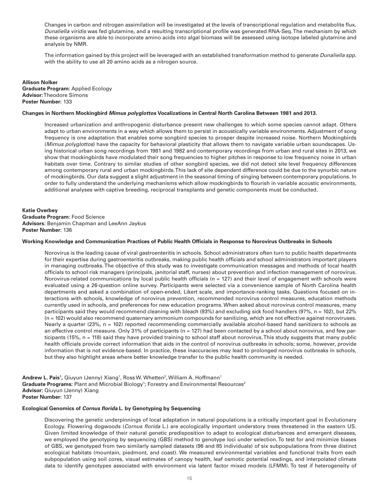Changes in carbon and nitrogen assimilation will be investigated at the levels of transcriptional regulation and metabolite flux. *Dunaliella viridis* was fed glutamine, and a resulting transcriptional profile was generated RNA-Seq. The mechanism by which these organisms are able to incorporate amino acids into algal biomass will be assessed using isotope labeled glutamine and analysis by NMR.

The information gained by this project will be leveraged with an established transformation method to generate *Dunaliella spp.*  with the ability to use all 20 amino acids as a nitrogen source.

**Allison Nolker Graduate Program:** Applied Ecology **Advisor:** Theodore Simons **Poster Number:** 133

## **Changes in Northern Mockingbird** *Mimus polyglottos* **Vocalizations in Central North Carolina Between 1981 and 2013.**

Increased urbanization and anthropogenic disturbance present new challenges to which some species cannot adapt. Others adapt to urban environments in a way which allows them to persist in acoustically variable environments. Adjustment of song frequency is one adaptation that enables some songbird species to prosper despite increased noise. Northern Mockingbirds (*Mimus polyglottos*) have the capacity for behavioral plasticity that allows them to navigate variable urban soundscapes. Using historical urban song recordings from 1981 and 1982 and contemporary recordings from urban and rural sites in 2013, we show that mockingbirds have modulated their song frequencies to higher pitches in response to low frequency noise in urban habitats over time. Contrary to similar studies of other songbird species, we did not detect site level frequency differences among contemporary rural and urban mockingbirds. This lack of site dependent difference could be due to the synurbic nature of mockingbirds. Our data suggest a slight adjustment in the seasonal timing of singing between contemporary populations. In order to fully understand the underlying mechanisms which allow mockingbirds to flourish in variable acoustic environments, additional analyses with captive breeding, reciprocal transplants and genetic components must be conducted.

**Katie Overbey Graduate Program**: Food Science **Advisors**: Benjamin Chapman and LeeAnn Jaykus **Poster Number:** 136

#### **Working Knowledge and Communication Practices of Public Health Officials in Response to Norovirus Outbreaks in Schools**

Norovirus is the leading cause of viral gastroenteritis in schools. School administrators often turn to public health departments for their expertise during gastroenteritis outbreaks, making public health officials and school administrators important players in managing outbreaks. The objective of this study was to investigate communication messages and methods of local health officials to school risk managers (principals, janitorial staff, nurses) about prevention and infection management of norovirus. Norovirus-related communications by local public health officials (n = 127) and their level of engagement with schools were evaluated using a 26-question online survey. Participants were selected via a convenience sample of North Carolina health departments and asked a combination of open-ended, Likert scale, and importance-ranking tasks. Questions focused on interactions with schools, knowledge of norovirus prevention, recommended norovirus control measures, education methods currently used in schools, and preferences for new education programs. When asked about norovirus control measures, many participants said they would recommend cleaning with bleach (93%) and excluding sick food handlers (97%, n = 102), but 22% (n = 102) would also recommend quaternary ammonium compounds for sanitizing, which are not effective against noroviruses. Nearly a quarter (23%, n = 102) reported recommending commercially available alcohol-based hand sanitizers to schools as an effective control measure. Only 31% of participants (n = 127) had been contacted by a school about norovirus, and few participants (15%, n = 118) said they have provided training to school staff about norovirus. This study suggests that many public health officials provide correct information that aids in the control of norovirus outbreaks in schools; some, however, provide information that is not evidence-based. In practice, these inaccuracies may lead to prolonged norovirus outbreaks in schools, but they also highlight areas where better knowledge transfer to the public health community is needed.

**Andrew L. Pais<sup>1</sup>,** Qiuyun (Jenny) Xiang<sup>1</sup>, Ross W. Whetten<sup>2</sup>, William A. Hoffmann<sup>1</sup> Graduate Programs: Plant and Microbial Biology<sup>1</sup>; Forestry and Environmental Resources<sup>2</sup> **Advisor:** Qiuyun (Jenny) Xiang **Poster Number:** 137

#### **Ecological Genomics of** *Cornus florida* **L. by Genotyping by Sequencing**

Discovering the genetic underpinnings of local adaptation in natural populations is a critically important goal in Evolutionary Ecology. Flowering dogwoods (*Cornus florida* L.) are ecologically important understory trees threatened in the eastern US. Given limited knowledge of their natural genetic predisposition to adapt to ecological disturbances and emergent diseases, we employed the genotyping by sequencing (GBS) method to genotype loci under selection. To test for and minimize biases of GBS, we genotyped from two similarly sampled datasets (96 and 85 individuals) of six subpopulations from three distinct ecological habitats (mountain, piedmont, and coast). We measured environmental variables and functional traits from each subpopulation using soil cores, visual estimates of canopy health, leaf osmotic potential readings, and interpolated climate data to identify genotypes associated with environment via latent factor mixed models (LFMM). To test if heterogeneity of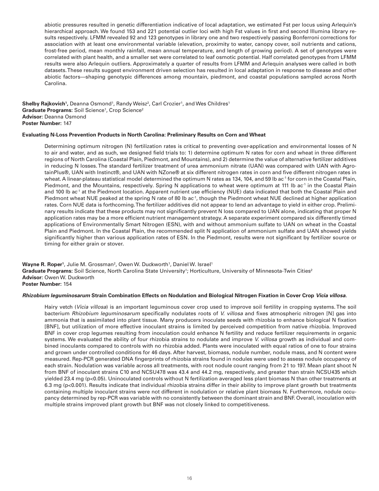abiotic pressures resulted in genetic differentiation indicative of local adaptation, we estimated Fst per locus using Arlequin's hierarchical approach. We found 153 and 221 potential outlier loci with high Fst values in first and second Illumina library results respectively. LFMM revealed 92 and 123 genotypes in library one and two respectively passing Bonferroni corrections for association with at least one environmental variable (elevation, proximity to water, canopy cover, soil nutrients and cations, frost-free period, mean monthly rainfall, mean annual temperature, and length of growing period). A set of genotypes were correlated with plant health, and a smaller set were correlated to leaf osmotic potential. Half correlated genotypes from LFMM results were also Arlequin outliers. Approximately a quarter of results from LFMM and Arlequin analyses were called in both datasets. These results suggest environment driven selection has resulted in local adaptation in response to disease and other abiotic factors—shaping genotypic differences among mountain, piedmont, and coastal populations sampled across North Carolina.

 ${\sf Shelby}$   ${\sf Rajkovich}$ <sup>1</sup>, Deanna Osmond<sup>1</sup>, Randy Weisz<sup>2</sup>, Carl Crozier<sup>1</sup>, and Wes Childres<sup>1</sup> Graduate Programs: Soil Science<sup>1</sup>, Crop Science<sup>2</sup> **Advisor:** Deanna Osmond **Poster Number:** 147

# **Evaluating N-Loss Prevention Products in North Carolina: Preliminary Results on Corn and Wheat**

Determining optimum nitrogen (N) fertilization rates is critical to preventing over-application and environmental losses of N to air and water, and as such, we designed field trials to: 1) determine optimum N rates for corn and wheat in three different regions of North Carolina (Coastal Plain, Piedmont, and Mountains), and 2) determine the value of alternative fertilizer additives in reducing N losses. The standard fertilizer treatment of urea ammonium nitrate (UAN) was compared with UAN with AgrotainPlus®, UAN with Instinct®, and UAN with NZone® at six different nitrogen rates in corn and five different nitrogen rates in wheat. A linear-plateau statistical model determined the optimum N rates as 134, 104, and 59 lb ac<sup>-1</sup> for corn in the Coastal Plain, Piedmont, and the Mountains, respectively. Spring N applications to wheat were optimum at 111 lb ac<sup>-1</sup> in the Coastal Plain and 100 lb ac<sup>-1</sup> at the Piedmont location. Apparent nutrient use efficiency (NUE) data indicated that both the Coastal Plain and Piedmont wheat NUE peaked at the spring N rate of 80 lb ac<sup>-1</sup>, though the Piedmont wheat NUE declined at higher application rates. Corn NUE data is forthcoming. The fertilizer additives did not appear to lend an advantage to yield in either crop. Preliminary results indicate that these products may not significantly prevent N loss compared to UAN alone, indicating that proper N application rates may be a more efficient nutrient management strategy. A separate experiment compared six differently timed applications of Environmentally Smart Nitrogen (ESN), with and without ammonium sulfate to UAN on wheat in the Coastal Plain and Piedmont. In the Coastal Plain, the recommended split N application of ammonium sulfate and UAN showed yields significantly higher than various application rates of ESN. In the Piedmont, results were not significant by fertilizer source or timing for either grain or stover.

**Wayne R. Roper'**, Julie M. Grossman<sup>2</sup>, Owen W. Duckworth', Daniel W. Israel' Graduate Programs: Soil Science, North Carolina State University<sup>1</sup>; Horticulture, University of Minnesota-Twin Cities<sup>2</sup> **Advisor:** Owen W. Duckworth **Poster Number:** 154

# *Rhizobium leguminosarum* **Strain Combination Effects on Nodulation and Biological Nitrogen Fixation in Cover Crop** *Vicia villosa***.**

Hairy vetch (*Vicia villosa*) is an important leguminous cover crop used to improve soil fertility in cropping systems. The soil bacterium *Rhizobium leguminosarum* specifically nodulates roots of *V. villosa* and fixes atmospheric nitrogen [N] gas into ammonia that is assimilated into plant tissue. Many producers inoculate seeds with rhizobia to enhance biological N fixation [BNF], but utilization of more effective inoculant strains is limited by perceived competition from native rhizobia. Improved BNF in cover crop legumes resulting from inoculation could enhance N fertility and reduce fertilizer requirements in organic systems. We evaluated the ability of four rhizobia strains to nodulate and improve *V. villosa* growth as individual and combined inoculants compared to controls with no rhizobia added. Plants were inoculated with equal ratios of one to four strains and grown under controlled conditions for 46 days. After harvest, biomass, nodule number, nodule mass, and N content were measured. Rep-PCR generated DNA fingerprints of rhizobia strains found in nodules were used to assess nodule occupancy of each strain. Nodulation was variable across all treatments, with root nodule count ranging from 21 to 197. Mean plant shoot N from BNF of inoculant strains C10 and NCSU478 was 43.4 and 44.2 mg, respectively, and greater than strain NCSU435 which yielded 23.4 mg (p<0.05). Uninoculated controls without N fertilization averaged less plant biomass N than other treatments at 6.3 mg (p<0.001). Results indicate that individual rhizobia strains differ in their ability to improve plant growth but treatments containing multiple inoculant strains were not different in nodulation or relative plant biomass N. Furthermore, nodule occupancy determined by rep-PCR was variable with no consistently between the dominant strain and BNF. Overall, inoculation with multiple strains improved plant growth but BNF was not closely linked to competitiveness.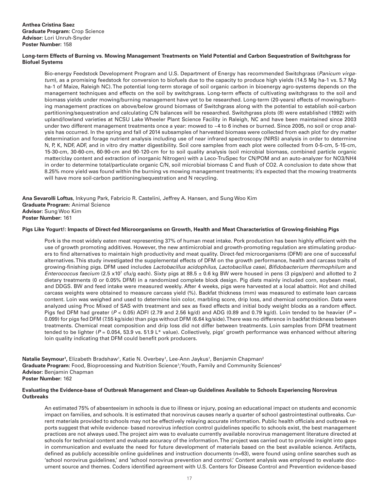# **Long-term Effects of Burning vs. Mowing Management Treatments on Yield Potential and Carbon Sequestration of Switchgrass for Biofuel Systems**

Bio-energy Feedstock Development Program and U.S. Department of Energy has recommended Switchgrass (*Panicum virgatum*), as a promising feedstock for conversion to biofuels due to the capacity to produce high yields (14.5 Mg ha-1 vs. 5.7 Mg ha-1 of Maize, Raleigh NC). The potential long-term storage of soil organic carbon in bioenergy agro-systems depends on the management techniques and effects on the soil by switchgrass. Long-term effects of cultivating switchgrass to the soil and biomass yields under mowing/burning management have yet to be researched. Long-term (20-years) effects of mowing/burning management practices on above/below ground biomass of Switchgrass along with the potential to establish soil-carbon partitioning/sequestration and calculating C/N balances will be researched. Switchgrass plots (8) were established (1992) with upland/lowland varieties at NCSU Lake Wheeler Plant Science Facility in Raleigh, NC and have been maintained since 2003 under two different management treatments once a year: mowed to ~4 to 6 inches or burned. Since 2005, no soil or crop analysis has occurred. In the spring and fall of 2014 subsamples of harvested biomass were collected from each plot for dry matter determination and forage nutrient analysis including use of near infrared spectroscopy (NIRS) analysis in order to determine N, P, K, NDF, ADF, and in vitro dry matter digestibility. Soil core samples from each plot were collected from 0-5-cm, 5-15-cm, 15-30-cm, 30-60-cm, 60-90-cm and 90-120-cm for to soil quality analysis (soil microbial biomass, combined particle organic matter/clay content and extraction of inorganic Nitrogen) with a Leco-TruSpec for CN/POM and an auto-analyzer for NO3/NH4 in order to determine total/particulate organic C/N, soil microbial biomass C and flush of CO2. A conclusion to date show that 8.25% more yield was found within the burning vs mowing management treatments; it's expected that the mowing treatments will have more soil-carbon partitioning/sequestration and N recycling.

**Ana Sevarolli Loftus**, Inkyung Park, Fabricio R. Castelini, Jeffrey A. Hansen, and Sung Woo Kim **Graduate Program:** Animal Science **Advisor:** Sung Woo Kim **Poster Number:** 161

#### **Pigs Like Yogurt!: Impacts of Direct-fed Microorganisms on Growth, Health and Meat Characteristics of Growing-finishing Pigs**

Pork is the most widely eaten meat representing 37% of human meat intake. Pork production has been highly efficient with the use of growth promoting additives. However, the new antimicrobial and growth-promoting regulation are stimulating producers to find alternatives to maintain high productivity and meat quality. Direct-fed microorganisms (DFM) are one of successful alternatives. This study investigated the supplemental effects of DFM on the growth performance, health and carcass traits of growing-finishing pigs. DFM used includes *Lactobacillus acidophilus*, *Lactobacillus casei*, *Bifidobacterium thermophilum* and *Enterococcus faecium* (2.5 x10<sup>7</sup> cfu/g each). Sixty pigs at 88.5 ± 0.6 kg BW were housed in pens (3 pigs/pen) and allotted to 2 dietary treatments (0 or 0.05% DFM) in a randomized complete block design. Pig diets mainly included corn, soybean meal, and DDGS. BW and feed intake were measured weekly. After 4 weeks, pigs were harvested at a local abattoir. Hot and chilled carcass weights were obtained to measure carcass yield (%). Backfat thickness (mm) was measured to estimate lean carcass content. Loin was weighed and used to determine loin color, marbling score, drip loss, and chemical composition. Data were analyzed using Proc Mixed of SAS with treatment and sex as fixed effects and initial body weight blocks as a random effect. Pigs fed DFM had greater (*P* < 0.05) ADFI (2.79 and 2.56 kg/d) and ADG (0.89 and 0.79 kg/d). Loin tended to be heavier (*P* = 0.099) for pigs fed DFM (7.55 kg/side) than pigs without DFM (6.64 kg/side). There was no difference in backfat thickness between treatments. Chemical meat composition and drip loss did not differ between treatments. Loin samples from DFM treatment tended to be lighter (*P* = 0.054, 53.9 vs. 51.9 L\* value). Collectively, pigs' growth performance was enhanced without altering loin quality indicating that DFM could benefit pork producers.

**Natalie Seymour<sup>1</sup>,** Elizabeth Bradshaw<sup>1</sup>, Katie N. Overbey<sup>1</sup>, Lee-Ann Jaykus<sup>1</sup>, Benjamin Chapman<sup>2</sup> Graduate Program: Food, Bioprocessing and Nutrition Science<sup>1</sup>; Youth, Family and Community Sciences<sup>2</sup> **Advisor:** Benjamin Chapman **Poster Number:** 162

#### **Evaluating the Evidence-base of Outbreak Management and Clean-up Guidelines Available to Schools Experiencing Norovirus Outbreaks**

An estimated 75% of absenteeism in schools is due to illness or injury, posing an educational impact on students and economic impact on families, and schools. It is estimated that norovirus causes nearly a quarter of school gastrointestinal outbreaks. Current materials provided to schools may not be effectively relaying accurate information. Public health officials and outbreak reports suggest that while evidence- based norovirus infection control guidelines specific to schools exist, the best management practices are not always used. The project aim was to evaluate currently available norovirus management literature directed at schools for technical content and evaluate accuracy of the information. The project was carried out to provide insight into gaps in communication and evaluate the need for future development of materials based on the best available science. Artifacts, defined as publicly accessible online guidelines and instruction documents (n=63), were found using online searches such as 'school norovirus guidelines,' and 'school norovirus prevention and control.' Content analysis was employed to evaluate document source and themes. Coders identified agreement with U.S. Centers for Disease Control and Prevention evidence-based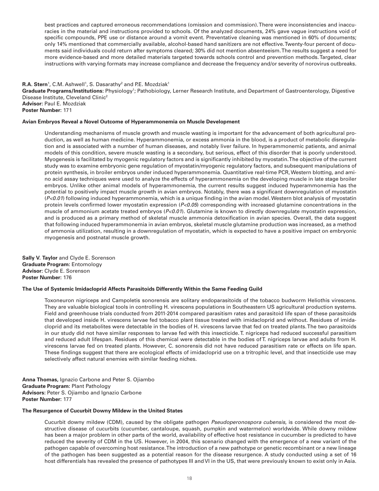best practices and captured erroneous recommendations (omission and commission). There were inconsistencies and inaccuracies in the material and instructions provided to schools. Of the analyzed documents, 24% gave vague instructions void of specific compounds, PPE use or distance around a vomit event. Preventative cleaning was mentioned in 60% of documents; only 14% mentioned that commercially available, alcohol-based hand sanitizers are not effective. Twenty-four percent of documents said individuals could return after symptoms cleared; 30% did not mention absenteeism. The results suggest a need for more evidence-based and more detailed materials targeted towards schools control and prevention methods. Targeted, clear instructions with varying formats may increase compliance and decrease the frequency and/or severity of norovirus outbreaks.

# **R.A. Stern**<sup>1</sup>, C.M. Ashwell<sup>1</sup>, S. Dasarathy<sup>2</sup> and P.E. Mozdziak<sup>1</sup> Graduate Programs/Institutions: Physiology<sup>1</sup>; Pathobiology, Lerner Research Institute, and Department of Gastroenterology, Digestive Disease Institute, Cleveland Clinic2 **Advisor:** Paul E. Mozdziak **Poster Number:** 171

## **Avian Embryos Reveal a Novel Outcome of Hyperammonemia on Muscle Development**

Understanding mechanisms of muscle growth and muscle wasting is important for the advancement of both agricultural production, as well as human medicine. Hyperammonemia, or excess ammonia in the blood, is a product of metabolic disregulation and is associated with a number of human diseases, and notably liver failure. In hyperammonemic patients, and animal models of this condition, severe muscle wasting is a secondary, but serious, effect of this disorder that is poorly understood. Myogenesis is facilitated by myogenic regulatory factors and is significantly inhibited by myostatin. The objective of the current study was to examine embryonic gene regulation of myostatin/myogenic regulatory factors, and subsequent manipulations of protein synthesis, in broiler embryos under induced hyperammonemia. Quantitative real-time PCR, Western blotting, and amino acid assay techniques were used to analyze the effects of hyperammonemia on the developing muscle in late stage broiler embryos. Unlike other animal models of hyperammonemia, the current results suggest induced hyperammonemia has the potential to positively impact muscle growth in avian embryos. Notably, there was a significant downregulation of myostatin (*P<0.01*) following induced hyperammonemia, which is a unique finding in the avian model. Western blot analysis of myostatin protein levels confirmed lower myostatin expression (*P<0.05*) corresponding with increased glutamine concentrations in the muscle of ammonium acetate treated embryos (*P<0.01*). Glutamine is known to directly downregulate myostatin expression, and is produced as a primary method of skeletal muscle ammonia detoxification in avian species. Overall, the data suggest that following induced hyperammonemia in avian embryos, skeletal muscle glutamine production was increased, as a method of ammonia utilization, resulting in a downregulation of myostatin, which is expected to have a positive impact on embryonic myogenesis and postnatal muscle growth.

**Sally V. Taylor** and Clyde E. Sorenson **Graduate Program:** Entomology **Advisor:** Clyde E. Sorenson **Poster Number:** 176

#### **The Use of Systemic Imidacloprid Affects Parasitoids Differently Within the Same Feeding Guild**

Toxoneuron nigriceps and Campoletis sonorensis are solitary endoparasitoids of the tobacco budworm Heliothis virescens. They are valuable biological tools in controlling H. virescens populations in Southeastern US agricultural production systems. Field and greenhouse trials conducted from 2011-2014 compared parasitism rates and parasitoid life span of these parasitoids that developed inside H. virescens larvae fed tobacco plant tissue treated with imidacloprid and without. Residues of imidacloprid and its metabolites were detectable in the bodies of H. virescens larvae that fed on treated plants. The two parasitoids in our study did not have similar responses to larvae fed with this insecticide. T. nigriceps had reduced successful parasitism and reduced adult lifespan. Residues of this chemical were detectable in the bodies of T. nigriceps larvae and adults from H. virescens larvae fed on treated plants. However, C. sonorensis did not have reduced parasitism rate or effects on life span. These findings suggest that there are ecological effects of imidacloprid use on a tritrophic level, and that insecticide use may selectively affect natural enemies with similar feeding niches.

**Anna Thomas,** Ignazio Carbone and Peter S. Ojiambo **Graduate Program:** Plant Pathology **Advisors:** Peter S. Ojiambo and Ignazio Carbone **Poster Number:** 177

#### **The Resurgence of Cucurbit Downy Mildew in the United States**

Cucurbit downy mildew (CDM), caused by the obligate pathogen *Pseudoperonospora cubensis*, is considered the most destructive disease of cucurbits (cucumber, cantaloupe, squash, pumpkin and watermelon) worldwide. While downy mildew has been a major problem in other parts of the world, availability of effective host resistance in cucumber is predicted to have reduced the severity of CDM in the US. However, in 2004, this scenario changed with the emergence of a new variant of the pathogen capable of overcoming host resistance. The introduction of a new pathotype or genetic recombinant or a new lineage of the pathogen has been suggested as a potential reason for the disease resurgence. A study conducted using a set of 16 host differentials has revealed the presence of pathotypes III and VI in the US, that were previously known to exist only in Asia.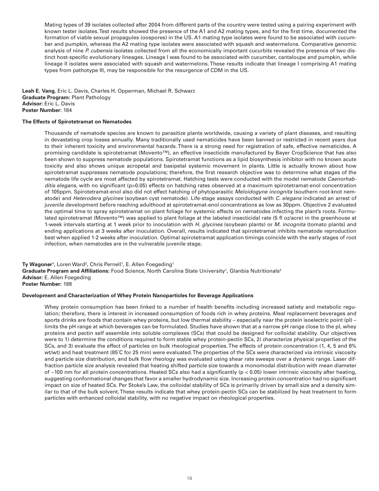Mating types of 39 isolates collected after 2004 from different parts of the country were tested using a pairing experiment with known tester isolates. Test results showed the presence of the A1 and A2 mating types, and for the first time, documented the formation of viable sexual propagules (oospores) in the US. A1 mating type isolates were found to be associated with cucumber and pumpkin, whereas the A2 mating type isolates were associated with squash and watermelons. Comparative genomic analysis of nine *P. cubensis* isolates collected from all the economically important cucurbits revealed the presence of two distinct host-specific evolutionary lineages. Lineage I was found to be associated with cucumber, cantaloupe and pumpkin, while lineage II isolates were associated with squash and watermelons. These results indicate that lineage I comprising A1 mating types from pathotype III, may be responsible for the resurgence of CDM in the US.

**Leah E. Vang**, Eric L. Davis, Charles H. Opperman, Michael R. Schwarz **Graduate Program:** Plant Pathology **Advisor:** Eric L. Davis **Poster Number:** 184

# **The Effects of Spirotetramat on Nematodes**

Thousands of nematode species are known to parasitize plants worldwide, causing a variety of plant diseases, and resulting in devastating crop losses annually. Many traditionally used nematicides have been banned or restricted in recent years due to their inherent toxicity and environmental hazards. There is a strong need for registration of safe, effective nematicides. A promising candidate is spirotetramat (Movento™), an effective insecticide manufactured by Bayer CropScience that has also been shown to suppress nematode populations. Spirotetramat functions as a lipid biosynthesis inhibitor with no known acute toxicity and also shows unique acropetal and basipetal systemic movement in plants. Little is actually known about how spirotetramat suppresses nematode populations; therefore, the first research objective was to determine what stages of the nematode life cycle are most affected by spirotetramat. Hatching tests were conducted with the model nematode *Caenorhabditis elegans*, with no significant (p>0.05) effects on hatching rates observed at a maximum spirotetramat-enol concentration of 105ppm. Spirotetramat-enol also did not effect hatching of phytoparasitic *Meloidogyne incognita* (southern root-knot nematode) and *Heterodera glycines* (soybean cyst nematode). Life-stage assays conducted with *C. elegans* indicated an arrest of juvenile development before reaching adulthood at spirotetramat-enol concentrations as low as 30ppm. Objective 2 evaluated the optimal time to spray spirotetramat on plant foliage for systemic effects on nematodes infecting the plant's roots. Formulated spirotetramat (Movento™) was applied to plant foliage at the labeled insecticidal rate (5 fl oz/acre) in the greenhouse at 1-week intervals starting at 1 week prior to inoculation with *H. glycines* (soybean plants) or *M. incognita* (tomato plants) and ending applications at 3 weeks after inoculation. Overall, results indicated that spirotetramat inhibits nematode reproduction best when applied 1-2 weeks after inoculation. Optimal spirotetramat application timings coincide with the early stages of root infection, when nematodes are in the vulnerable juvenile stage.

**Ty Wagoner'**, Loren Ward<sup>2</sup>, Chris Pernell', E. Allen Foegeding' **Graduate Program and Affiliations:** Food Science, North Carolina State University<sup>1</sup>, Glanbia Nutritionals<sup>2</sup> **Advisor:** E. Allen Foegeding **Poster Number:** 188

#### **Development and Characterization of Whey Protein Nanoparticles for Beverage Applications**

Whey protein consumption has been linked to a number of health benefits including increased satiety and metabolic regulation; therefore, there is interest in increased consumption of foods rich in whey proteins. Meal replacement beverages and sports drinks are foods that contain whey proteins, but low thermal stability – especially near the protein isoelectric point (pl) – limits the pH range at which beverages can be formulated. Studies have shown that at a narrow pH range close to the pI, whey proteins and pectin self assemble into soluble complexes (SCs) that could be designed for colloidal stability. Our objectives were to 1) determine the conditions required to form stable whey protein-pectin SCs, 2) characterize physical properties of the SCs, and 3) evaluate the effect of particles on bulk rheological properties. The effects of protein concentration (1, 4, 5 and 6% wt/wt) and heat treatment (85˚C for 25 min) were evaluated. The properties of the SCs were characterized via intrinsic viscosity and particle size distribution, and bulk flow rheology was evaluated using shear rate sweeps over a dynamic range. Laser diffraction particle size analysis revealed that heating shifted particle size towards a monomodal distribution with mean diameter of  $~100$  nm for all protein concentrations. Heated SCs also had a significantly (p < 0.05) lower intrinsic viscosity after heating, suggesting conformational changes that favor a smaller hydrodynamic size. Increasing protein concentration had no significant impact on size of heated SCs. Per Stoke's Law, the colloidal stability of SCs is primarily driven by small size and a density similar to that of the bulk solvent. These results indicate that whey protein-pectin SCs can be stabilized by heat treatment to form particles with enhanced colloidal stability, with no negative impact on rheological properties.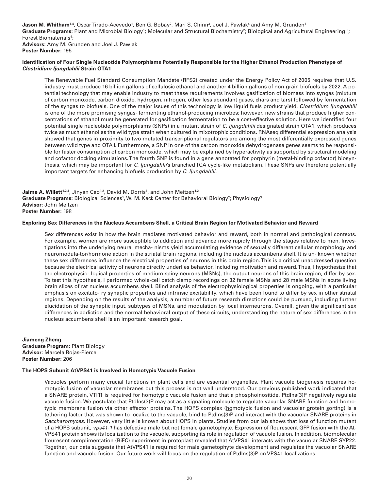**Jason M. Whitham'**.4, OscarTirado-Acevedo', Ben G. Bobay<sup>2</sup>, Mari S. Chinn<sup>3</sup>, Joel J. Pawlak<sup>4</sup> and Amy M. Grunden' Graduate Programs: Plant and Microbial Biology<sup>1</sup>; Molecular and Structural Biochemistry<sup>2</sup>; Biological and Agricultural Engineering<sup>3</sup>; Forest Biomaterials<sup>4</sup>; **Advisors:** Amy M. Grunden and Joel J. Pawlak

**Poster Number:** 195

# **Identification of Four Single Nucleotide Polymorphisms Potentially Responsible for the Higher Ethanol Production Phenotype of**  *Clostridium ljungdahlii* **Strain OTA1**

The Renewable Fuel Standard Consumption Mandate (RFS2) created under the Energy Policy Act of 2005 requires that U.S. industry must produce 16 billion gallons of cellulosic ethanol and another 4 billion gallons of non-grain biofuels by 2022. A potential technology that may enable industry to meet these requirements involves gasification of biomass into syngas (mixture of carbon monoxide, carbon dioxide, hydrogen, nitrogen, other less abundant gases, chars and tars) followed by fermentation of the syngas to biofuels. One of the major issues of this technology is low liquid fuels product yield. *Clostridium ljungdahlii*  is one of the more promising syngas- fermenting ethanol-producing microbes; however, new strains that produce higher concentrations of ethanol must be generated for gasification fermentation to be a cost-effective solution. Here we identified four potential single nucleotide polymorphisms (SNPs) in a mutant strain of *C. ljungdahlii* designated strain OTA1, which produces twice as much ethanol as the wild type strain when cultured in mixotrophic conditions. RNAseq differential expression analysis showed that genes in proximity to two mutated transcriptional regulators are among the most differentially expressed genes between wild type and OTA1. Furthermore, a SNP in one of the carbon monoxide dehydrogenase genes seems to be responsible for faster consumption of carbon monoxide, which may be explained by hyperactivity as supported by structural modeling and cofactor docking simulations. The fourth SNP is found in a gene annotated for porphyrin (metal-binding cofactor) biosynthesis, which may be important for *C. ljungdahlii*'s branched TCA cycle-like metabolism. These SNPs are therefore potentially important targets for enhancing biofuels production by *C. ljungdahlii*.

**Jaime A. Willett<sup>1,2,3</sup>, J**inyan Cao<sup>1,2</sup>, David M. Dorris<sup>1</sup>, and John Meitzen<sup>1,2</sup> **Graduate Programs:** Biological Sciences<sup>1</sup>, W. M. Keck Center for Behavioral Biology<sup>2</sup>; Physiology<sup>3</sup> **Advisor:** John Meitzen **Poster Number:** 198

# **Exploring Sex Differences in the Nucleus Accumbens Shell, a Critical Brain Region for Motivated Behavior and Reward**

Sex differences exist in how the brain mediates motivated behavior and reward, both in normal and pathological contexts. For example, women are more susceptible to addiction and advance more rapidly through the stages relative to men. Investigations into the underlying neural mecha- nisms yield accumulating evidence of sexually different cellular morphology and neuromodula-tor/hormone action in the striatal brain regions, including the nucleus accumbens shell. It is un- known whether these sex differences influence the electrical properties of neurons in this brain region. This is a critical unaddressed question because the electrical activity of neurons directly underlies behavior, including motivation and reward. Thus, I hypothesize that the electrophysio- logical properties of medium spiny neurons (MSNs), the output neurons of this brain region, differ by sex. To test this hypothesis, I performed whole-cell patch clamp recordings on 32 female MSNs and 28 male MSNs in acute living brain slices of rat nucleus accumbens shell. Blind analysis of the electrophysiological properties is ongoing, with a particular emphasis on excitato- ry synaptic properties and intrinsic excitability, which have been found to differ by sex in other striatal regions. Depending on the results of the analysis, a number of future research directions could be pursued, including further elucidation of the synaptic input, subtypes of MSNs, and modulation by local interneurons. Overall, given the significant sex differences in addiction and the normal behavioral output of these circuits, understanding the nature of sex differences in the nucleus accumbens shell is an important research goal.

**Jiameng Zheng Graduate Program:** Plant Biology **Advisor:** Marcela Rojas-Pierce **Poster Number:** 206

# **The HOPS Subunit AtVPS41 is Involved in Homotypic Vacuole Fusion**

Vacuoles perform many crucial functions in plant cells and are essential organelles. Plant vacuole biogenesis requires homotypic fusion of vacuolar membranes but this process is not well understood. Our previous published work indicated that a SNARE protein, VTI11 is required for homotypic vacuole fusion and that a phosphoinositide, PtdIns(3)P negatively regulate vacuole fusion. We postulate that PtdIns(3)P may act as a signaling molecule to regulate vacuolar SNARE function and homotypic membrane fusion via other effector proteins. The HOPS complex (homotypic fusion and vacuolar protein sorting) is a tethering factor that was shown to localize to the vacuole, bind to PtdIns(3)P and interact with the vacuolar SNARE proteins in *Saccharomyces*. However, very little is known about HOPS in plants. Studies from our lab shows that loss of function mutant of a HOPS subunit, *vps41-1* has defective male but not female gametophyte. Expression of flourescent GFP fusion with the At-VPS41 protein shows its localization to the vacuole, supporting its role in regulation of vacuole fusion. In addition, biomolecular flouresent complimentation (BiFC) experiment in protoplast revealed that AtVPS41 interacts with the vacuolar SNARE SYP22. Together, our data suggests that AtVPS41 is required for male gametophyte development and regulates the vacuolar SNARE function and vacuole fusion. Our future work will focus on the regulation of PtdIns(3)P on VPS41 localizations.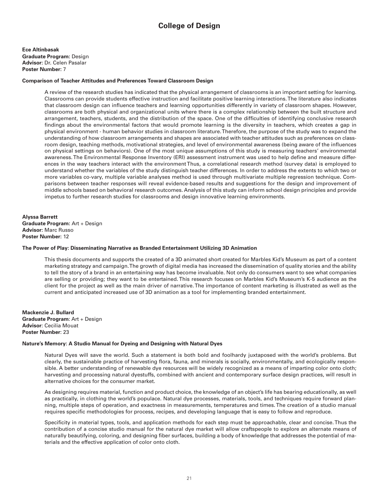**Ece Altinbasak Graduate Program:** Design **Advisor:** Dr. Celen Pasalar **Poster Number:** 7

# **Comparison of Teacher Attitudes and Preferences Toward Classroom Design**

A review of the research studies has indicated that the physical arrangement of classrooms is an important setting for learning. Classrooms can provide students effective instruction and facilitate positive learning interactions. The literature also indicates that classroom design can influence teachers and learning opportunities differently in variety of classroom shapes. However, classrooms are both physical and organizational units where there is a complex relationship between the built structure and arrangement, teachers, students, and the distribution of the space. One of the difficulties of identifying conclusive research findings about the environmental factors that would promote learning is the diversity in teachers, which creates a gap in physical environment - human behavior studies in classroom literature. Therefore, the purpose of the study was to expand the understanding of how classroom arrangements and shapes are associated with teacher attitudes such as preferences on classroom design, teaching methods, motivational strategies, and level of environmental awareness (being aware of the influences on physical settings on behaviors). One of the most unique assumptions of this study is measuring teachers' environmental awareness. The Environmental Response Inventory (ERI) assessment instrument was used to help define and measure differences in the way teachers interact with the environment Thus, a correlational research method (survey data) is employed to understand whether the variables of the study distinguish teacher differences. In order to address the extents to which two or more variables co-vary, multiple variable analyses method is used through multivariate multiple regression technique. Comparisons between teacher responses will reveal evidence-based results and suggestions for the design and improvement of middle schools based on behavioral research outcomes. Analysis of this study can inform school design principles and provide impetus to further research studies for classrooms and design innovative learning environments.

**Alyssa Barrett Graduate Program:** Art + Design **Advisor:** Marc Russo **Poster Number:** 12

# **The Power of Play: Disseminating Narrative as Branded Entertainment Utilizing 3D Animation**

This thesis documents and supports the created of a 3D animated short created for Marbles Kid's Museum as part of a content marketing strategy and campaign. The growth of digital media has increased the dissemination of quality stories and the ability to tell the story of a brand in an entertaining way has become invaluable. Not only do consumers want to see what companies are selling or providing; they want to be entertained. This research focuses on Marbles Kid's Museum's K-5 audience as the client for the project as well as the main driver of narrative. The importance of content marketing is illustrated as well as the current and anticipated increased use of 3D animation as a tool for implementing branded entertainment.

**Mackenzie J. Bullard Graduate Program**: Art + Design **Advisor**: Cecilia Mouat **Poster Number**: 23

# **Nature's Memory: A Studio Manual for Dyeing and Designing with Natural Dyes**

Natural Dyes will save the world. Such a statement is both bold and foolhardy juxtaposed with the world's problems. But clearly, the sustainable practice of harvesting flora, fauna, and minerals is socially, environmentally, and ecologically responsible. A better understanding of renewable dye resources will be widely recognized as a means of imparting color onto cloth; harvesting and processing natural dyestuffs, combined with ancient and contemporary surface design practices, will result in alternative choices for the consumer market.

As designing requires material, function and product choice, the knowledge of an object's life has bearing educationally, as well as practically, in clothing the world's populace. Natural dye processes, materials, tools, and techniques require forward planning, multiple steps of operation, and exactness in measurements, temperatures and times. The creation of a studio manual requires specific methodologies for process, recipes, and developing language that is easy to follow and reproduce.

Specificity in material types, tools, and application methods for each step must be approachable, clear and concise. Thus the contribution of a concise studio manual for the natural dye market will allow craftspeople to explore an alternate means of naturally beautifying, coloring, and designing fiber surfaces, building a body of knowledge that addresses the potential of materials and the effective application of color onto cloth.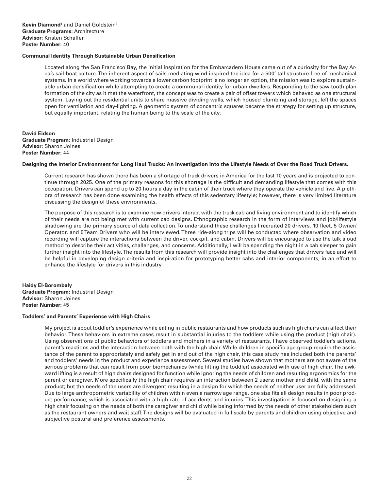# **Communal Identity Through Sustainable Urban Densification**

Located along the San Francisco Bay, the initial inspiration for the Embarcadero House came out of a curiosity for the Bay Area's sail-boat culture. The inherent aspect of sails mediating wind inspired the idea for a 500' tall structure free of mechanical systems. In a world where working towards a lower carbon footprint is no longer an option, the mission was to explore sustainable urban densification while attempting to create a communal identity for urban dwellers. Responding to the saw-tooth plan formation of the city as it met the waterfront, the concept was to create a pair of offset towers which behaved as one structural system. Laying out the residential units to share massive dividing walls, which housed plumbing and storage, left the spaces open for ventilation and day-lighting. A geometric system of concentric squares became the strategy for setting up structure, but equally important, relating the human being to the scale of the city.

**David Eidson Graduate Program**: Industrial Design **Advisor:** Sharon Joines **Poster Number:** 44

#### **Designing the Interior Environment for Long Haul Trucks: An Investigation into the Lifestyle Needs of Over the Road Truck Drivers.**

Current research has shown there has been a shortage of truck drivers in America for the last 10 years and is projected to continue through 2025. One of the primary reasons for this shortage is the difficult and demanding lifestyle that comes with this occupation. Drivers can spend up to 20 hours a day in the cabin of their truck where they operate the vehicle and live. A plethora of research has been done examining the health effects of this sedentary lifestyle; however, there is very limited literature discussing the design of these environments.

The purpose of this research is to examine how drivers interact with the truck cab and living environment and to identify which of their needs are not being met with current cab designs. Ethnographic research in the form of interviews and job/lifestyle shadowing are the primary source of data collection. To understand these challenges I recruited 20 drivers, 10 fleet, 5 Owner/ Operator, and 5 Team Drivers who will be interviewed. Three ride-along trips will be conducted where observation and video recording will capture the interactions between the driver, cockpit, and cabin. Drivers will be encouraged to use the talk aloud method to describe their activities, challenges, and concerns. Additionally, I will be spending the night in a cab sleeper to gain further insight into the lifestyle. The results from this research will provide insight into the challenges that drivers face and will be helpful in developing design criteria and inspiration for prototyping better cabs and interior components, in an effort to enhance the lifestyle for drivers in this industry.

**Haidy El-Borombaly Graduate Program:** Industrial Design **Advisor:** Sharon Joines **Poster Number:** 45

# **Toddlers' and Parents' Experience with High Chairs**

My project is about toddler's experience while eating in public restaurants and how products such as high chairs can affect their behavior. These behaviors in extreme cases result in substantial injuries to the toddlers while using the product (high chair). Using observations of public behaviors of toddlers and mothers in a variety of restaurants, I have observed toddler's actions, parent's reactions and the interaction between both with the high chair. While children in specific age group require the assistance of the parent to appropriately and safely get in and out of the high chair, this case study has included both the parents' and toddlers' needs in the product and experience assessment. Several studies have shown that mothers are not aware of the serious problems that can result from poor biomechanics (while lifting the toddler) associated with use of high chair. The awkward lifting is a result of high chairs designed for function while ignoring the needs of children and resulting ergonomics for the parent or caregiver. More specifically the high chair requires an interaction between 2 users; mother and child, with the same product; but the needs of the users are divergent resulting in a design for which the needs of neither user are fully addressed. Due to large anthropometric variability of children within even a narrow age range, one size fits all design results in poor product performance, which is associated with a high rate of accidents and injuries. This investigation is focused on designing a high chair focusing on the needs of both the caregiver and child while being informed by the needs of other stakeholders such as the restaurant owners and wait staff. The designs will be evaluated in full scale by parents and children using objective and subjective postural and preference assessments.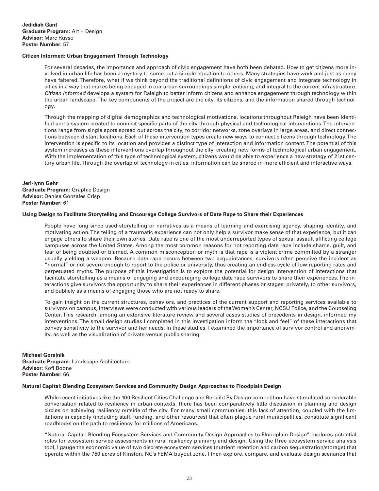# **Citizen Informed: Urban Engagement Through Technology**

For several decades, the importance and approach of civic engagement have both been debated. How to get citizens more involved in urban life has been a mystery to some but a simple equation to others. Many strategies have work and just as many have faltered. Therefore, what if we think beyond the traditional definitions of civic engagement and integrate technology in cities in a way that makes being engaged in our urban surroundings simple, enticing, and integral to the current infrastructure. *Citizen Informed* develops a system for Raleigh to better inform citizens and enhance engagement through technology within the urban landscape. The key components of the project are the city, its citizens, and the information shared through technology.

Through the mapping of digital demographics and technological motivations, locations throughout Raleigh have been identified and a system created to connect specific parts of the city through physical and technological interventions. The interventions range from single spots spread out across the city, to corridor networks, zone overlays in large areas, and direct connections between distant locations. Each of these intervention types create new ways to connect citizens through technology. The intervention is specific to its location and provides a distinct type of interaction and information content. The potential of this system increases as these interventions overlap throughout the city, creating new forms of technological urban engagement. With the implementation of this type of technological system, citizens would be able to experience a new strategy of 21st century urban life. Through the overlap of technology in cities, information can be shared in more efficient and interactive ways.

**Jeri-lynn Gehr Graduate Program:** Graphic Design **Advisor:** Denise Gonzales Crisp **Poster Number:** 61

#### **Using Design to Facilitate Storytelling and Encourage College Survivors of Date Rape to Share their Experiences**

People have long since used storytelling or narratives as a means of learning and exercising agency, shaping identity, and motivating action. The telling of a traumatic experience can not only help a survivor make sense of that experience, but it can engage others to share their own stories. Date rape is one of the most underreported types of sexual assault afflicting college campuses across the United States. Among the most common reasons for not reporting date rape include shame, guilt, and fear of being doubted or blamed. A common misconception or myth is that rape is a violent crime committed by a stranger usually yielding a weapon. Because date rape occurs between two acquaintances, survivors often perceive the incident as "normal" or not severe enough to report to the police or university, thus creating an endless cycle of low reporting rates and perpetuated myths. The purpose of this investigation is to explore the potential for design intervention of interactions that facilitate storytelling as a means of engaging and encouraging college date rape survivors to share their experiences. The interactions give survivors the opportunity to share their experiences in different phases or stages: privately, to other survivors, and publicly as a means of engaging those who are not ready to share.

To gain insight on the current structures, behaviors, and practices of the current support and reporting services available to survivors on campus, interviews were conducted with various leaders of the Women's Center, NCSU Police, and the Counseling Center. This research, among an extensive literature review and several cases studies of precedents in design, informed my interventions. The small design studies I completed in this investigation inform the "look and feel" of these interactions that convey sensitivity to the survivor and her needs. In these studies, I examined the importance of survivor control and anonymity, as well as the visualization of private versus public sharing.

**Michael Goralnik Graduate Program:** Landscape Architecture **Advisor:** Kofi Boone **Poster Number:** 66

#### **Natural Capital: Blending Ecosystem Services and Community Design Approaches to Floodplain Design**

While recent initiatives like the 100 Resilient Cities Challenge and Rebuild By Design competition have stimulated considerable conversation related to resiliency in urban contexts, there has been comparatively little discussion in planning and design circles on achieving resiliency outside of the city. For many small communities, this lack of attention, coupled with the limitations in capacity (including staff, funding, and other resources) that often plague rural municipalities, constitute significant roadblocks on the path to resiliency for millions of Americans.

"Natural Capital: Blending Ecosystem Services and Community Design Approaches to Floodplain Design" explores potential roles for ecosystem service assessments in rural resiliency planning and design. Using the ITree ecosystem service analysis tool, I gauge the economic value of two discrete ecosystem services (nutrient retention and carbon sequestration/storage) that operate within the 750 acres of Kinston, NC's FEMA buyout zone. I then explore, compare, and evaluate design scenarios that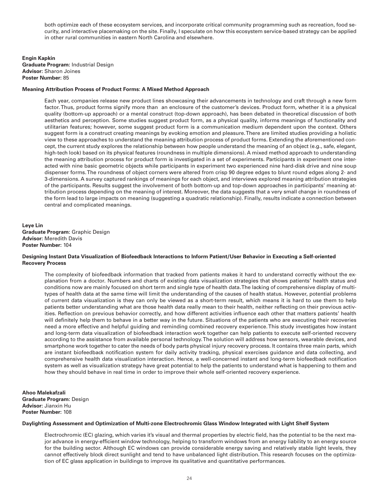both optimize each of these ecosystem services, and incorporate critical community programming such as recreation, food security, and interactive placemaking on the site. Finally, I speculate on how this ecosystem service-based strategy can be applied in other rural communities in eastern North Carolina and elsewhere.

**Engin Kapkin Graduate Program:** Industrial Design **Advisor:** Sharon Joines **Poster Number:** 85

#### **Meaning Attribution Process of Product Forms: A Mixed Method Approach**

Each year, companies release new product lines showcasing their advancements in technology and craft through a new form factor. Thus, product forms signify more than an enclosure of the customer's devices. Product form, whether it is a physical quality (bottom-up approach) or a mental construct (top-down approach), has been debated in theoretical discussion of both aesthetics and perception. Some studies suggest product form, as a physical quality, informs meanings of functionality and utilitarian features; however, some suggest product form is a communication medium dependent upon the context. Others suggest form is a construct creating meanings by evoking emotion and pleasure. There are limited studies providing a holistic view to these approaches to understand the meaning attribution process of product forms. Extending the aforementioned concept, the current study explores the relationship between how people understand the meaning of an object (e.g., safe, elegant, high-tech look) based on its physical features (roundness in multiple dimensions). A mixed method approach to understanding the meaning attribution process for product form is investigated in a set of experiments. Participants in experiment one interacted with nine basic geometric objects while participants in experiment two experienced nine hard-disk drive and nine soup dispenser forms. The roundness of object corners were altered from crisp 90 degree edges to blunt round edges along 2- and 3-dimensions. A survey captured rankings of meanings for each object, and interviews explored meaning attribution strategies of the participants. Results suggest the involvement of both bottom-up and top-down approaches in participants' meaning attribution process depending on the meaning of interest. Moreover, the data suggests that a very small change in roundness of the form lead to large impacts on meaning (suggesting a quadratic relationship). Finally, results indicate a connection between central and complicated meanings.

**Leye Lin Graduate Program:** Graphic Design **Advisor:** Meredith Davis **Poster Number:** 104

## **Designing Instant Data Visualization of Biofeedback Interactions to Inform Patient/User Behavior in Executing a Self-oriented Recovery Process**

The complexity of biofeedback information that tracked from patients makes it hard to understand correctly without the explanation from a doctor. Numbers and charts of existing data visualization strategies that shows patients' health status and conditions now are mainly focused on short term and single type of health data. The lacking of comprehensive display of multitypes of health data at the same time will limit the understanding of the causes of health status. However, potential problems of current data visualization is they can only be viewed as a short-term result, which means it is hard to use them to help patients better understanding what are those health data really mean to their health, neither reflecting on their previous activities. Reflection on previous behavior correctly, and how different activities influence each other that matters patients' health will definitely help them to behave in a better way in the future. Situations of the patients who are executing their recoveries need a more effective and helpful guiding and reminding combined recovery experience. This study investigates how instant and long-term data visualization of biofeedback interaction work together can help patients to execute self-oriented recovery according to the assistance from available personal technology. The solution will address how sensors, wearable devices, and smartphone work together to cater the needs of body parts physical injury recovery process. It contains three main parts, which are instant biofeedback notification system for daily activity tracking, physical exercises guidance and data collecting, and comprehensive health data visualization interaction. Hence, a well-concerned instant and long-term biofeedback notification system as well as visualization strategy have great potential to help the patients to understand what is happening to them and how they should behave in real time in order to improve their whole self-oriented recovery experience.

**Ahoo Malekafzali Graduate Program:** Design **Advisor:** Jianxin Hu **Poster Number:** 108

#### **Daylighting Assessment and Optimization of Multi-zone Electrochromic Glass Window Integrated with Light Shelf System**

Electrochromic (EC) glazing, which varies it's visual and thermal properties by electric field, has the potential to be the next major advance in energy-efficient window technology, helping to transform windows from an energy liability to an energy source for the building sector. Although EC windows can provide considerable energy saving and relatively stable light levels, they cannot effectively block direct sunlight and tend to have unbalanced light distribution. This research focuses on the optimization of EC glass application in buildings to improve its qualitative and quantitative performances.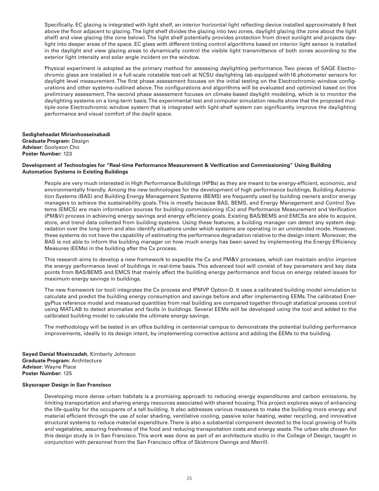Specifically, EC glazing is integrated with light shelf, an interior horizontal light reflecting device installed approximately 8 feet above the floor adjacent to glazing. The light shelf divides the glazing into two zones, daylight glazing (the zone about the light shelf) and view glazing (the zone below). The light shelf potentially provides protection from direct sunlight and projects daylight into deeper areas of the space. EC glass with different tinting control algorithms based on interior light sensor is installed in the daylight and view glazing areas to dynamically control the visible light transmittance of both zones according to the exterior light intensity and solar angle incident on the window.

Physical experiment is adopted as the primary method for assessing daylighting performance. Two pieces of SAGE Electrochromic glass are installed in a full-scale rotatable test-cell at NCSU daylighting lab equipped with16 photometer sensors for daylight level measurement. The first phase assessment focuses on the initial testing on the Electrochromic window configurations and other systems outlined above. The configurations and algorithms will be evaluated and optimized based on this preliminary assessment. The second phase assessment focuses on climate-based daylight modeling, which is to monitor the daylighting systems on a long-term basis. The experimental test and computer simulation results show that the proposed multiple-zone Electrochromic window system that is integrated with light-shelf system can significantly improve the daylighting performance and visual comfort of the daylit space.

**Sedighehsadat Mirianhosseinabadi Graduate Program:** Design **Advisor:** Soolyeon Cho **Poster Number:** 123

# **Development of Technologies for "Real-time Performance Measurement & Verification and Commissioning" Using Building Automation Systems in Existing Buildings**

People are very much interested in High Performance Buildings (HPBs) as they are meant to be energy-efficient, economic, and environmentally friendly. Among the new technologies for the development of high performance buildings, Building Automation Systems (BAS) and Building Energy Management Systems (BEMS) are frequently used by building owners and/or energy managers to achieve the sustainability goals. This is mostly because BAS, BEMS, and Energy Management and Control Systems (EMCS) are main information sources for building commissioning (Cx) and Performance Measurement and Verification (PM&V) process in achieving energy savings and energy efficiency goals. Existing BAS/BEMS and EMCSs are able to acquire, store, and trend data collected from building systems. Using these features, a building manager can detect any system degradation over the long term and also identify situations under which systems are operating in an unintended mode. However, these systems do not have the capability of estimating the performance degradation relative to the design intent. Moreover, the BAS is not able to inform the building manager on how much energy has been saved by implementing the Energy Efficiency Measures (EEMs) in the building after the Cx process.

This research aims to develop a new framework to expedite the Cx and PM&V processes, which can maintain and/or improve the energy performance level of buildings in real-time basis. This advanced tool will consist of key parameters and key data points from BAS/BEMS and EMCS that mainly affect the building energy performance and focus on energy related issues for maximum energy savings in buildings.

The new framework (or tool) integrates the Cx process and IPMVP Option-D. It uses a calibrated building model simulation to calculate and predict the building energy consumption and savings before and after implementing EEMs. The calibrated EnergyPlus reference model and measured quantities from real building are compared together through statistical process control using MATLAB to detect anomalies and faults in buildings. Several EEMs will be developed using the tool and added to the calibrated building model to calculate the ultimate energy savings.

The methodology will be tested in an office building in centennial campus to demonstrate the potential building performance improvements, ideally to its design intent, by implementing corrective actions and adding the EEMs to the building.

**Seyed Danial Moeinzadeh**, Kimberly Johnson **Graduate Program:** Architecture **Advisor:** Wayne Place **Poster Number:** 125

# **Skyscraper Design in San Francisco**

Developing more dense urban habitats is a promising approach to reducing energy expenditures and carbon emissions, by limiting transportation and sharing energy resources associated with shared housing. This project explores ways of enhancing the life-quality for the occupants of a tall building. It also addresses various measures to make the building more energy and material efficient through the use of solar shading, ventilative cooling, passive solar heating, water recycling, and innovative structural systems to reduce material expenditure. There is also a substantial component devoted to the local growing of fruits and vegetables, assuring freshness of the food and reducing transportation costs and energy waste. The urban site chosen for this design study is in San Francisco. This work was done as part of an architecture studio in the College of Design, taught in conjunction with personnel from the San Francisco office of Skidmore Owings and Merrill.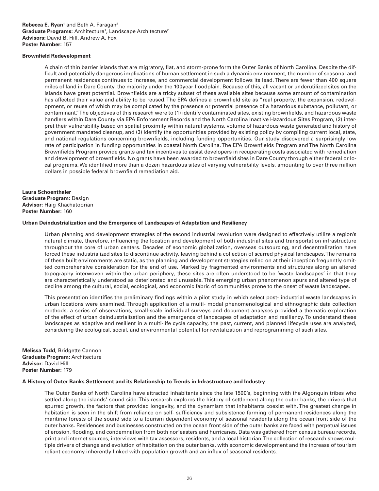# **Rebecca E. Ryan**<sup>1</sup> and Beth A. Faragan<sup>2</sup> Graduate Programs: Architecture<sup>1</sup>, Landscape Architecture<sup>2</sup> **Advisors:** David B. Hill, Andrew A. Fox **Poster Number:** 157

# **Brownfield Redevelopment**

A chain of thin barrier islands that are migratory, flat, and storm-prone form the Outer Banks of North Carolina. Despite the difficult and potentially dangerous implications of human settlement in such a dynamic environment, the number of seasonal and permanent residences continues to increase, and commercial development follows its lead. There are fewer than 400 square miles of land in Dare County, the majority under the 100year floodplain. Because of this, all vacant or underutilized sites on the islands have great potential. Brownfields are a tricky subset of these available sites because some amount of contamination has affected their value and ability to be reused. The EPA defines a brownfield site as "real property, the expansion, redevelopment, or reuse of which may be complicated by the presence or potential presence of a hazardous substance, pollutant, or contaminant." The objectives of this research were to (1) identify contaminated sites, existing brownfields, and hazardous waste handlers within Dare County via EPA Enforcement Records and the North Carolina Inactive Hazardous Sites Program, (2) interpret their vulnerability based on spatial proximity within natural systems, volume of hazardous waste generated and history of government mandated cleanup, and (3) identify the opportunities provided by existing policy by compiling current local, state, and national regulations concerning brownfields, including funding opportunities. Our study discovered a surprisingly low rate of participation in funding opportunities in coastal North Carolina. The EPA Brownfields Program and The North Carolina Brownfields Program provide grants and tax incentives to assist developers in recuperating costs associated with remediation and development of brownfields. No grants have been awarded to brownfield sites in Dare County through either federal or local programs. We identified more than a dozen hazardous sites of varying vulnerability levels, amounting to over three million dollars in possible federal brownfield remediation aid.

**Laura Schoenthaler Graduate Program:** Design **Advisor:** Haig Khachatoorian **Poster Number:** 160

#### **Urban Deindustrialization and the Emergence of Landscapes of Adaptation and Resiliency**

Urban planning and development strategies of the second industrial revolution were designed to effectively utilize a region's natural climate, therefore, influencing the location and development of both industrial sites and transportation infrastructure throughout the core of urban centers. Decades of economic globalization, overseas outsourcing, and decentralization have forced these industrialized sites to discontinue activity, leaving behind a collection of scarred physical landscapes. The remains of these built environments are static, as the planning and development strategies relied on at their inception frequently omitted comprehensive consideration for the end of use. Marked by fragmented environments and structures along an altered topography interwoven within the urban periphery, these sites are often understood to be 'waste landscapes' in that they are characteristically understood as deteriorated and unusable. This emerging urban phenomenon spurs and altered type of decline among the cultural, social, ecological, and economic fabric of communities prone to the onset of waste landscapes.

This presentation identifies the preliminary findings within a pilot study in which select post- industrial waste landscapes in urban locations were examined. Through application of a multi- modal phenomenological and ethnographic data collection methods, a series of observations, small-scale individual surveys and document analyses provided a thematic exploration of the effect of urban deindustrialization and the emergence of landscapes of adaptation and resiliency. To understand these landscapes as adaptive and resilient in a multi-life cycle capacity, the past, current, and planned lifecycle uses are analyzed, considering the ecological, social, and environmental potential for revitalization and reprogramming of such sites.

**Melissa Todd**, Bridgette Cannon **Graduate Program:** Architecture **Advisor:** David Hill **Poster Number:** 179

#### **A History of Outer Banks Settlement and its Relationship to Trends in Infrastructure and Industry**

The Outer Banks of North Carolina have attracted inhabitants since the late 1500's, beginning with the Algonquin tribes who settled along the islands' sound side. This research explores the history of settlement along the outer banks, the drivers that spurred growth, the factors that provided longevity, and the dynamism that inhabitants coexist with. The greatest change in habitation is seen in the shift from reliance on self- sufficiency and subsistence farming of permanent residences along the maritime forests of the sound side to a tourism dependent economy of seasonal residents along the ocean front side of the outer banks. Residences and businesses constructed on the ocean front side of the outer banks are faced with perpetual issues of erosion, flooding, and condemnation from both nor'easters and hurricanes. Data was gathered from census bureau records, print and internet sources, interviews with tax assessors, residents, and a local historian. The collection of research shows multiple drivers of change and evolution of habitation on the outer banks, with economic development and the increase of tourism reliant economy inherently linked with population growth and an influx of seasonal residents.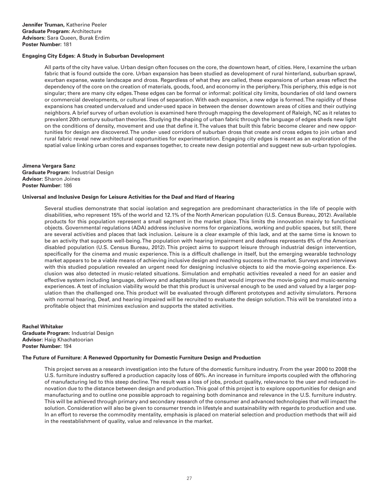# **Engaging City Edges: A Study in Suburban Development**

All parts of the city have value. Urban design often focuses on the core, the downtown heart, of cities. Here, I examine the urban fabric that is found outside the core. Urban expansion has been studied as development of rural hinterland, suburban sprawl, exurban expanse, waste landscape and dross. Regardless of what they are called, these expansions of urban areas reflect the dependency of the core on the creation of materials, goods, food, and economy in the periphery. This periphery, this edge is not singular; there are many city edges. These edges can be formal or informal: political city limits, boundaries of old land owners or commercial developments, or cultural lines of separation. With each expansion, a new edge is formed. The rapidity of these expansions has created undervalued and under-used space in between the denser downtown areas of cities and their outlying neighbors. A brief survey of urban evolution is examined here through mapping the development of Raleigh, NC as it relates to prevalent 20th century suburban theories. Studying the shaping of urban fabric through the language of edges sheds new light on the conditions of density, movement and use that define it. The values that built this fabric become clearer and new opportunities for design are discovered. The under- used corridors of suburban dross that create and cross edges to join urban and rural fabric reveal new architectural opportunities for experimentation. Engaging city edges is meant as an exploration of the spatial value linking urban cores and expanses together, to create new design potential and suggest new sub-urban typologies.

# **Jimena Vergara Sanz Graduate Program:** Industrial Design **Advisor:** Sharon Joines **Poster Number:** 186

# **Universal and Inclusive Design for Leisure Activities for the Deaf and Hard of Hearing**

Several studies demonstrate that social isolation and segregation are predominant characteristics in the life of people with disabilities, who represent 15% of the world and 12.1% of the North American population (U.S. Census Bureau, 2012). Available products for this population represent a small segment in the market place. This limits the innovation mainly to functional objects. Governmental regulations (ADA) address inclusive norms for organizations, working and public spaces, but still, there are several activities and places that lack inclusion. Leisure is a clear example of this lack, and at the same time is known to be an activity that supports well-being. The population with hearing impairment and deafness represents 6% of the American disabled population (U.S. Census Bureau, 2012). This project aims to support leisure through industrial design intervention, specifically for the cinema and music experience. This is a difficult challenge in itself, but the emerging wearable technology market appears to be a viable means of achieving inclusive design and reaching success in the market. Surveys and interviews with this studied population revealed an urgent need for designing inclusive objects to aid the movie-going experience. Exclusion was also detected in music-related situations. Simulation and emphatic activities revealed a need for an easier and effective system including language, delivery and adaptability issues that would improve the movie-going and music-sensing experiences. A test of inclusion viability would be that this product is universal enough to be used and valued by a larger population than the challenged one. This product will be evaluated through different prototypes and activity simulators. Persons with normal hearing, Deaf, and hearing impaired will be recruited to evaluate the design solution. This will be translated into a profitable object that minimizes exclusion and supports the stated activities.

**Rachel Whitaker Graduate Program:** Industrial Design **Advisor:** Haig Khachatoorian **Poster Number:** 194

# **The Future of Furniture: A Renewed Opportunity for Domestic Furniture Design and Production**

This project serves as a research investigation into the future of the domestic furniture industry. From the year 2000 to 2008 the U.S. furniture industry suffered a production capacity loss of 60%. An increase in furniture imports coupled with the offshoring of manufacturing led to this steep decline. The result was a loss of jobs, product quality, relevance to the user and reduced innovation due to the distance between design and production. This goal of this project is to explore opportunities for design and manufacturing and to outline one possible approach to regaining both dominance and relevance in the U.S. furniture industry. This will be achieved through primary and secondary research of the consumer and advanced technologies that will impact the solution. Consideration will also be given to consumer trends in lifestyle and sustainability with regards to production and use. In an effort to reverse the commodity mentality, emphasis is placed on material selection and production methods that will aid in the reestablishment of quality, value and relevance in the market.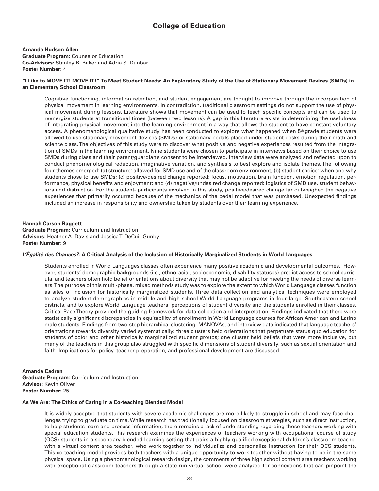# **College of Education**

# **Amanda Hudson Allen**

**Graduate Program:** Counselor Education **Co-Advisors:** Stanley B. Baker and Adria S. Dunbar **Poster Number:** 4

# **"I Like to MOVE IT! MOVE IT!" To Meet Student Needs: An Exploratory Study of the Use of Stationary Movement Devices (SMDs) in an Elementary School Classroom**

Cognitive functioning, information retention, and student engagement are thought to improve through the incorporation of physical movement in learning environments. In contradiction, traditional classroom settings do not support the use of physical movement during lessons. Literature shows that movement can be used to teach specific concepts and can be used to reenergize students at transitional times (between two lessons). A gap in this literature exists in determining the usefulness of integrating physical movement into the learning environment in a way that allows the student to have constant voluntary access. A phenomenological qualitative study has been conducted to explore what happened when 5<sup>th</sup> grade students were allowed to use stationary movement devices (SMDs) or stationary pedals placed under student desks during their math and science class. The objectives of this study were to discover what positive and negative experiences resulted from the integration of SMDs in the learning environment. Nine students were chosen to participate in interviews based on their choice to use SMDs during class and their parent/guardian's consent to be interviewed. Interview data were analyzed and reflected upon to conduct phenomenological reduction, imaginative variation, and synthesis to best explore and isolate themes. The following four themes emerged: (a) structure: allowed for SMD use and of the classroom environment; (b) student choice: when and why students chose to use SMDs; (c) positive/desired change reported: focus, motivation, brain function, emotion regulation, performance, physical benefits and enjoyment; and (d) negative/undesired change reported: logistics of SMD use, student behaviors and distraction. For the student- participants involved in this study, positive/desired change far outweighed the negative experiences that primarily occurred because of the mechanics of the pedal model that was purchased. Unexpected findings included an increase in responsibility and ownership taken by students over their learning experience.

# **Hannah Carson Baggett**

**Graduate Program:** Curriculum and Instruction **Advisors:** Heather A. Davis and Jessica T. DeCuir-Gunby **Poster Number:** 9

# *L'Égalité des Chances?:* **A Critical Analysis of the Inclusion of Historically Marginalized Students in World Languages**

Students enrolled in World Languages classes often experience many positive academic and developmental outcomes. However, students' demographic backgrounds (i.e., ethnoracial, socioeconomic, disability statuses) predict access to school curricula, and teachers often hold belief orientations about diversity that may not be adaptive for meeting the needs of diverse learners. The purpose of this multi-phase, mixed methods study was to explore the extent to which World Language classes function as sites of inclusion for historically marginalized students. Three data collection and analytical techniques were employed to analyze student demographics in middle and high school World Language programs in four large, Southeastern school districts, and to explore World Language teachers' perceptions of student diversity and the students enrolled in their classes. Critical Race Theory provided the guiding framework for data collection and interpretation. Findings indicated that there were statistically significant discrepancies in equitability of enrollment in World Language courses for African American and Latino male students. Findings from two-step hierarchical clustering, MANOVAs, and interview data indicated that language teachers' orientations towards diversity varied systematically: three clusters held orientations that perpetuate status quo education for students of color and other historically marginalized student groups; one cluster held beliefs that were more inclusive, but many of the teachers in this group also struggled with specific dimensions of student diversity, such as sexual orientation and faith. Implications for policy, teacher preparation, and professional development are discussed.

# **Amanda Cadran Graduate Program:** Curriculum and Instruction **Advisor:** Kevin Oliver **Poster Number:** 25

# **As We Are: The Ethics of Caring in a Co-teaching Blended Model**

It is widely accepted that students with severe academic challenges are more likely to struggle in school and may face challenges trying to graduate on time. While research has traditionally focused on classroom strategies, such as direct instruction, to help students learn and process information, there remains a lack of understanding regarding those teachers working with special education students. This research examines the experiences of teachers working with occupational course of study (OCS) students in a secondary blended learning setting that pairs a highly qualified exceptional children's classroom teacher with a virtual content area teacher, who work together to individualize and personalize instruction for their OCS students. This co-teaching model provides both teachers with a unique opportunity to work together without having to be in the same physical space. Using a phenomenological research design, the comments of three high school content area teachers working with exceptional classroom teachers through a state-run virtual school were analyzed for connections that can pinpoint the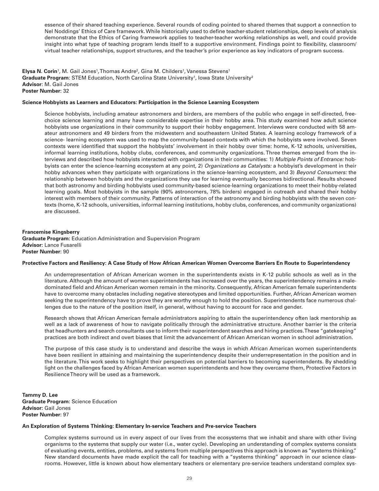essence of their shared teaching experience. Several rounds of coding pointed to shared themes that support a connection to Nel Noddings' Ethics of Care framework. While historically used to define teacher-student relationships, deep levels of analysis demonstrate that the Ethics of Caring framework applies to teacher-teacher working relationships as well, and could provide insight into what type of teaching program lends itself to a supportive environment. Findings point to flexibility, classroom/ virtual teacher relationships, support structures, and the teacher's prior experience as key indicators of program success.

**Elysa N. Corin'**, M. Gail Jones',Thomas Andre<sup>2</sup>, Gina M. Childers', Vanessa Stevens' **Graduate Program**: STEM Education, North Carolina State University<sup>1</sup>, Iowa State University<sup>2</sup> **Advisor**: M. Gail Jones **Poster Number:** 32

## **Science Hobbyists as Learners and Educators: Participation in the Science Learning Ecosystem**

Science hobbyists, including amateur astronomers and birders, are members of the public who engage in self-directed, freechoice science learning and many have considerable expertise in their hobby area. This study examined how adult science hobbyists use organizations in their community to support their hobby engagement. Interviews were conducted with 58 amateur astronomers and 49 birders from the midwestern and southeastern United States. A learning ecology framework of a science- learning ecosystem was used to map the community-based contexts with which the hobbyists were involved. Seven contexts were identified that support the hobbyists' involvement in their hobby over time: home, K-12 schools, universities, informal learning institutions, hobby clubs, conferences, and community organizations. Three themes emerged from the interviews and described how hobbyists interacted with organizations in their communities: 1) *Multiple Points of Entrance:* hobbyists can enter the science-learning ecosystem at any point, 2) *Organizations as Catalysts:* a hobbyist's development in their hobby advances when they participate with organizations in the science-learning ecosystem, and 3) *Beyond Consumers:* the relationship between hobbyists and the organizations they use for learning eventually becomes bidirectional. Results showed that both astronomy and birding hobbyists used community-based science-learning organizations to meet their hobby-related learning goals. Most hobbyists in the sample (90% astronomers, 78% birders) engaged in outreach and shared their hobby interest with members of their community. Patterns of interaction of the astronomy and birding hobbyists with the seven contexts (home, K-12 schools, universities, informal learning institutions, hobby clubs, conferences, and community organizations) are discussed.

**Francemise Kingsberry Graduate Program:** Education Administration and Supervision Program **Advisor:** Lance Fusarelli **Poster Number:** 90

#### **Protective Factors and Resiliency: A Case Study of How African American Women Overcome Barriers En Route to Superintendency**

An underrepresentation of African American women in the superintendents exists in K-12 public schools as well as in the literature. Although the amount of women superintendents has increased over the years, the superintendency remains a maledominated field and African American women remain in the minority. Consequently, African American female superintendents have to overcome many obstacles including negative stereotypes and limited opportunities. Further, African American women seeking the superintendency have to prove they are worthy enough to hold the position. Superintendents face numerous challenges due to the nature of the position itself, in general, without having to account for race and gender.

Research shows that African American female administrators aspiring to attain the superintendency often lack mentorship as well as a lack of awareness of how to navigate politically through the administrative structure. Another barrier is the criteria that headhunters and search consultants use to inform their superintendent searches and hiring practices. These "gatekeeping" practices are both indirect and overt biases that limit the advancement of African American women in school administration.

The purpose of this case study is to understand and describe the ways in which African American women superintendents have been resilient in attaining and maintaining the superintendency despite their underrepresentation in the position and in the literature. This work seeks to highlight their perspectives on potential barriers to becoming superintendents. By shedding light on the challenges faced by African American women superintendents and how they overcame them, Protective Factors in Resilience Theory will be used as a framework.

**Tammy D. Lee Graduate Program:** Science Education **Advisor:** Gail Jones **Poster Number:** 97

# **An Exploration of Systems Thinking: Elementary In-service Teachers and Pre-service Teachers**

Complex systems surround us in every aspect of our lives from the ecosystems that we inhabit and share with other living organisms to the systems that supply our water (i.e., water cycle). Developing an understanding of complex systems consists of evaluating events, entities, problems, and systems from multiple perspectives this approach is known as "systems thinking." New standard documents have made explicit the call for teaching with a "systems thinking" approach in our science classrooms. However, little is known about how elementary teachers or elementary pre-service teachers understand complex sys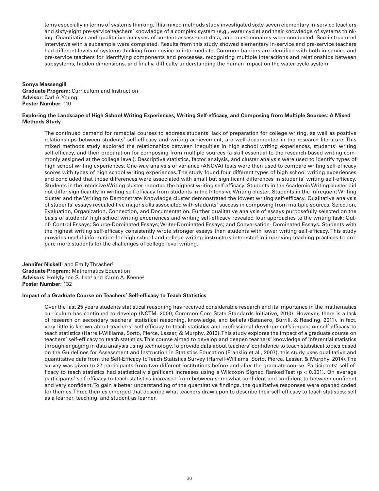tems especially in terms of systems thinking. This mixed methods study investigated sixty-seven elementary in-service teachers and sixty-eight pre-service teachers' knowledge of a complex system (e.g., water cycle) and their knowledge of systems thinking. Quantitative and qualitative analyses of content assessment data, and questionnaires were conducted. Semi-structured interviews with a subsample were completed. Results from this study showed elementary in-service and pre-service teachers had different levels of systems thinking from novice to intermediate. Common barriers are identified with both in-service and pre-service teachers for identifying components and processes, recognizing multiple interactions and relationships between subsystems, hidden dimensions, and finally, difficulty understanding the human impact on the water cycle system.

# **Sonya Massengill Graduate Program:** Curriculum and Instruction **Advisor:** Carl A. Young **Poster Number:** 110

# **Exploring the Landscape of High School Writing Experiences, Writing Self-efficacy, and Composing from Multiple Sources: A Mixed Methods Study**

The continued demand for remedial courses to address students' lack of preparation for college writing, as well as positive relationships between students' self-efficacy and writing achievement, are well-documented in the research literature. This mixed methods study explored the relationships between inequities in high school writing experiences, students' writing self-efficacy, and their preparation for composing from multiple sources (a skill essential to the research-based writing commonly assigned at the college level). Descriptive statistics, factor analysis, and cluster analysis were used to identify types of high school writing experiences. One-way analysis of variance (ANOVA) tests were then used to compare writing self-efficacy scores with types of high school writing experiences. The study found four different types of high school writing experiences and concluded that those differences were associated with small but significant differences in students' writing self-efficacy. Students in the Intensive Writing cluster reported the highest writing self-efficacy. Students in the Academic Writing cluster did not differ significantly in writing self-efficacy from students in the Intensive Writing cluster. Students in the Infrequent Writing cluster and the Writing to Demonstrate Knowledge cluster demonstrated the lowest writing self-efficacy. Qualitative analysis of students' essays revealed five major skills associated with students' success in composing from multiple sources: Selection, Evaluation, Organization, Connection, and Documentation. Further qualitative analysis of essays purposefully selected on the basis of students' high school writing experiences and writing self-efficacy revealed four approaches to the writing task: Outof- Control Essays; Source-Dominated Essays; Writer-Dominated Essays; and Conversation- Dominated Essays. Students with the highest writing self-efficacy consistently wrote stronger essays than students with lower writing self-efficacy. This study provides useful information for high school and college writing instructors interested in improving teaching practices to prepare more students for the challenges of college-level writing.

**Jennifer Nickell**<sup>1</sup> and Emily Thrasher<sup>2</sup> **Graduate Program:** Mathematics Education **Advisors:** Hollylynne S. Lee<sup>1</sup> and Karen A. Keene<sup>2</sup> **Poster Number:** 132

# **Impact of a Graduate Course on Teachers' Self-efficacy to Teach Statistics**

Over the last 25 years students statistical reasoning has received considerable research and its importance in the mathematics curriculum has continued to develop (NCTM, 2000; Common Core State Standards Initiative, 2010). However, there is a lack of research on secondary teachers' statistical reasoning, knowledge, and beliefs (Batanero, Burrill, & Reading, 2011). In fact, very little is known about teachers' self-efficacy to teach statistics and professional development's impact on self-efficacy to teach statistics (Harrell-Williams, Sorto, Pierce, Lesser, & Murphy, 2013). This study explores the impact of a graduate course on teachers' self-efficacy to teach statistics. This course aimed to develop and deepen teachers' knowledge of inferential statistics through engaging in data analysis using technology. To provide data about teachers' confidence to teach statistical topics based on the Guidelines for Assessment and Instruction in Statistics Education (Franklin et al., 2007), this study uses qualitative and quantitative data from the Self-Efficacy to Teach Statistics Survey (Harrell-Williams, Sorto, Pierce, Lesser, & Murphy, 2014). The survey was given to 27 participants from two different institutions before and after the graduate course. Participants' self-efficacy to teach statistics had statistically significant increases using a Wilcoxon Signed Ranked Test (p < 0.001). On average participants' self-efficacy to teach statistics increased from between somewhat confident and confident to between confident and very confident. To gain a better understanding of the quantitative findings, the qualitative responses were opened coded for themes. Three themes emerged that describe what teachers draw upon to describe their self-efficacy to teach statistics: self as a learner, teaching, and student as learner.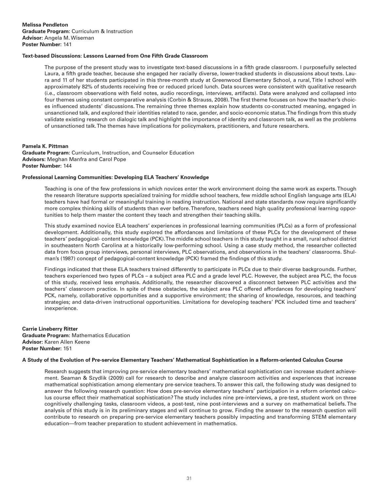**Melissa Pendleton Graduate Program:** Curriculum & Instruction **Advisor:** Angela M. Wiseman **Poster Number:** 141

# **Text-based Discussions: Lessons Learned from One Fifth Grade Classroom**

The purpose of the present study was to investigate text-based discussions in a fifth grade classroom. I purposefully selected Laura, a fifth grade teacher, because she engaged her racially diverse, lower-tracked students in discussions about texts. Laura and 11 of her students participated in this three-month study at Greenwood Elementary School, a rural, Title I school with approximately 82% of students receiving free or reduced priced lunch. Data sources were consistent with qualitative research (i.e., classroom observations with field notes, audio recordings, interviews, artifacts). Data were analyzed and collapsed into four themes using constant comparative analysis (Corbin & Strauss, 2008). The first theme focuses on how the teacher's choices influenced students' discussions. The remaining three themes explain how students co-constructed meaning, engaged in unsanctioned talk, and explored their identities related to race, gender, and socio-economic status. The findings from this study validate existing research on dialogic talk and highlight the importance of identity and classroom talk, as well as the problems of unsanctioned talk. The themes have implications for policymakers, practitioners, and future researchers.

# **Pamela K. Pittman**

**Graduate Program:** Curriculum, Instruction, and Counselor Education **Advisors:** Meghan Manfra and Carol Pope **Poster Number:** 144

# **Professional Learning Communities: Developing ELA Teachers' Knowledge**

Teaching is one of the few professions in which novices enter the work environment doing the same work as experts. Though the research literature supports specialized training for middle school teachers, few middle school English language arts (ELA) teachers have had formal or meaningful training in reading instruction. National and state standards now require significantly more complex thinking skills of students than ever before. Therefore, teachers need high quality professional learning opportunities to help them master the content they teach and strengthen their teaching skills.

This study examined novice ELA teachers' experiences in professional learning communities (PLCs) as a form of professional development. Additionally, this study explored the affordances and limitations of these PLCs for the development of these teachers' pedagogical- content knowledge (PCK). The middle school teachers in this study taught in a small, rural school district in southeastern North Carolina at a historically low-performing school. Using a case study method, the researcher collected data from focus group interviews, personal interviews, PLC observations, and observations in the teachers' classrooms. Shulman's (1987) concept of pedagogical-content knowledge (PCK) framed the findings of this study.

Findings indicated that these ELA teachers trained differently to participate in PLCs due to their diverse backgrounds. Further, teachers experienced two types of PLCs – a subject area PLC and a grade level PLC. However, the subject area PLC, the focus of this study, received less emphasis. Additionally, the researcher discovered a disconnect between PLC activities and the teachers' classroom practice. In spite of these obstacles, the subject area PLC offered affordances for developing teachers' PCK, namely, collaborative opportunities and a supportive environment; the sharing of knowledge, resources, and teaching strategies; and data-driven instructional opportunities. Limitations for developing teachers' PCK included time and teachers' inexperience.

**Carrie Lineberry Ritter Graduate Program:** Mathematics Education **Advisor:** Karen Allen Keene **Poster Number:** 151

#### **A Study of the Evolution of Pre-service Elementary Teachers' Mathematical Sophistication in a Reform-oriented Calculus Course**

Research suggests that improving pre-service elementary teachers' mathematical sophistication can increase student achievement. Seaman & Szydlik (2009) call for research to describe and analyze classroom activities and experiences that increase mathematical sophistication among elementary pre-service teachers. To answer this call, the following study was designed to answer the following research question: How does pre-service elementary teachers' participation in a reform oriented calculus course effect their mathematical sophistication? The study includes nine pre-interviews, a pre-test, student work on three cognitively challenging tasks, classroom videos, a post-test, nine post-interviews and a survey on mathematical beliefs. The analysis of this study is in its preliminary stages and will continue to grow. Finding the answer to the research question will contribute to research on preparing pre-service elementary teachers possibly impacting and transforming STEM elementary education—from teacher preparation to student achievement in mathematics.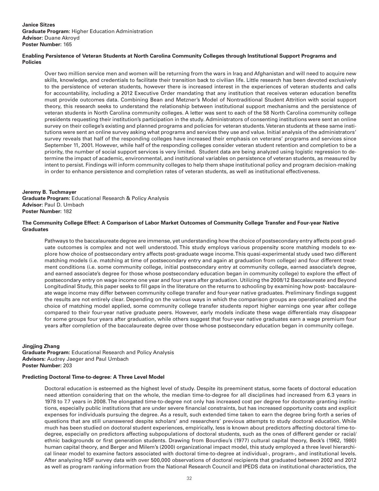# **Enabling Persistence of Veteran Students at North Carolina Community Colleges through Institutional Support Programs and Policies**

Over two million service men and women will be returning from the wars in Iraq and Afghanistan and will need to acquire new skills, knowledge, and credentials to facilitate their transition back to civilian life. Little research has been devoted exclusively to the persistence of veteran students, however there is increased interest in the experiences of veteran students and calls for accountability, including a 2012 Executive Order mandating that any institution that receives veteran education benefits must provide outcomes data. Combining Bean and Metzner's Model of Nontraditional Student Attrition with social support theory, this research seeks to understand the relationship between institutional support mechanisms and the persistence of veteran students in North Carolina community colleges. A letter was sent to each of the 58 North Carolina community college presidents requesting their institution's participation in the study. Administrators of consenting institutions were sent an online survey on their college's existing and planned programs and policies for veteran students. Veteran students at these same institutions were sent an online survey asking what programs and services they use and value. Initial analysis of the administrators' survey reveals that half of the responding colleges have increased their emphasis on veterans' programs and services since September 11, 2001. However, while half of the responding colleges consider veteran student retention and completion to be a priority, the number of social support services is very limited. Student data are being analyzed using logistic regression to determine the impact of academic, environmental, and institutional variables on persistence of veteran students, as measured by intent to persist. Findings will inform community colleges to help them shape institutional policy and program decision-making in order to enhance persistence and completion rates of veteran students, as well as institutional effectiveness.

# **Jeremy B. Tuchmayer**

**Graduate Program:** Educational Research & Policy Analysis **Advisor:** Paul D. Umbach **Poster Number:** 182

# **The Community College Effect: A Comparison of Labor Market Outcomes of Community College Transfer and Four-year Native Graduates**

Pathways to the baccalaureate degree are immense, yet understanding how the choice of postsecondary entry affects post-graduate outcomes is complex and not well understood. This study employs various propensity score matching models to explore how choice of postsecondary entry affects post-graduate wage income. This quasi-experimental study used two different matching models (i.e. matching at time of postsecondary entry and again at graduation from college) and four different treatment conditions (i.e. some community college, initial postsecondary entry at community college, earned associate's degree, and earned associate's degree for those whose postsecondary education began in community college) to explore the effect of postsecondary entry on wage income one year and four years after graduation. Utilizing the 2008/12 Baccalaureate and Beyond Longitudinal Study, this paper seeks to fill gaps in the literature on the returns to schooling by examining how post- baccalaureate wage income may differ between community college transfer and four-year native graduates. Preliminary findings suggest the results are not entirely clear. Depending on the various ways in which the comparison groups are operationalized and the choice of matching model applied, some community college transfer students report higher earnings one year after college compared to their four-year native graduate peers. However, early models indicate these wage differentials may disappear for some groups four years after graduation, while others suggest that four-year native graduates earn a wage premium four years after completion of the baccalaureate degree over those whose postsecondary education began in community college.

# **Jingjing Zhang**

**Graduate Program:** Educational Research and Policy Analysis **Advisors:** Audrey Jaeger and Paul Umbach **Poster Number:** 203

# **Predicting Doctoral Time-to-degree: A Three Level Model**

Doctoral education is esteemed as the highest level of study. Despite its preeminent status, some facets of doctoral education need attention considering that on the whole, the median time-to-degree for all disciplines had increased from 6.3 years in 1978 to 7.7 years in 2008. The elongated time-to-degree not only has increased cost per degree for doctorate granting institutions, especially public institutions that are under severe financial constraints, but has increased opportunity costs and explicit expenses for individuals pursuing the degree. As a result, such extended time taken to earn the degree bring forth a series of questions that are still unanswered despite scholars' and researchers' previous attempts to study doctoral education. While much has been studied on doctoral student experiences, empirically, less is known about predictors affecting doctoral time-todegree, especially on predictors affecting subpopulations of doctoral students, such as the ones of different gender or racial/ ethnic backgrounds or first generation students. Drawing from Bourdieu's (1977) cultural capital theory, Beck's (1962, 1980) human capital theory, and Berger and Milem's (2000) organizational impact model, this study employed a three level hierarchical linear model to examine factors associated with doctoral time-to-degree at individual-, program-, and institutional levels. After analyzing NSF survey data with over 500,000 observations of doctoral recipients that graduated between 2002 and 2012 as well as program ranking information from the National Research Council and IPEDS data on institutional characteristics, the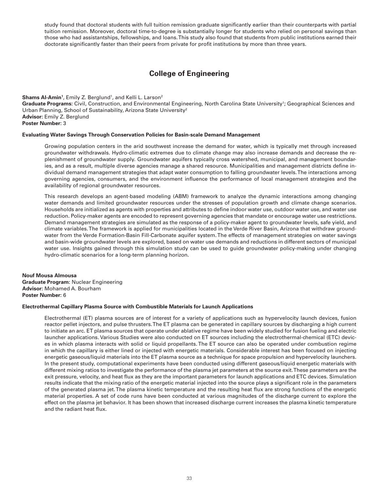study found that doctoral students with full tuition remission graduate significantly earlier than their counterparts with partial tuition remission. Moreover, doctoral time-to-degree is substantially longer for students who relied on personal savings than those who had assistantships, fellowships, and loans. This study also found that students from public institutions earned their doctorate significantly faster than their peers from private for profit institutions by more than three years.

# **College of Engineering**

# **Shams Al-Amin<sup>1</sup>, E**mily Z. Berglund<sup>1</sup>, and Kelli L. Larson<sup>2</sup>

Graduate Programs: Civil, Construction, and Environmental Engineering, North Carolina State University<sup>1</sup>; Geographical Sciences and Urban Planning, School of Sustainability, Arizona State University<sup>2</sup> **Advisor:** Emily Z. Berglund **Poster Number:** 3

# **Evaluating Water Savings Through Conservation Policies for Basin-scale Demand Management**

Growing population centers in the arid southwest increase the demand for water, which is typically met through increased groundwater withdrawals. Hydro-climatic extremes due to climate change may also increase demands and decrease the replenishment of groundwater supply. Groundwater aquifers typically cross watershed, municipal, and management boundaries, and as a result, multiple diverse agencies manage a shared resource. Municipalities and management districts define individual demand management strategies that adapt water consumption to falling groundwater levels. The interactions among governing agencies, consumers, and the environment influence the performance of local management strategies and the availability of regional groundwater resources.

This research develops an agent-based modeling (ABM) framework to analyze the dynamic interactions among changing water demands and limited groundwater resources under the stresses of population growth and climate change scenarios. Households are initialized as agents with properties and attributes to define indoor water use, outdoor water use, and water use reduction. Policy-maker agents are encoded to represent governing agencies that mandate or encourage water use restrictions. Demand management strategies are simulated as the response of a policy-maker agent to groundwater levels, safe yield, and climate variables. The framework is applied for municipalities located in the Verde River Basin, Arizona that withdraw groundwater from the Verde Formation-Basin Fill-Carbonate aquifer system. The effects of management strategies on water savings and basin-wide groundwater levels are explored, based on water use demands and reductions in different sectors of municipal water use. Insights gained through this simulation study can be used to guide groundwater policy-making under changing hydro-climatic scenarios for a long-term planning horizon.

**Nouf Mousa Almousa Graduate Program:** Nuclear Engineering **Advisor:** Mohamed A. Bourham **Poster Number:** 6

#### **Electrothermal Capillary Plasma Source with Combustible Materials for Launch Applications**

Electrothermal (ET) plasma sources are of interest for a variety of applications such as hypervelocity launch devices, fusion reactor pellet injectors, and pulse thrusters. The ET plasma can be generated in capillary sources by discharging a high current to initiate an arc. ET plasma sources that operate under ablative regime have been widely studied for fusion fueling and electric launcher applications. Various Studies were also conducted on ET sources including the electrothermal-chemical (ETC) devices in which plasma interacts with solid or liquid propellants. The ET source can also be operated under combustion regime in which the capillary is either lined or injected with energetic materials. Considerable interest has been focused on injecting energetic gaseous/liquid materials into the ET plasma source as a technique for space propulsion and hypervelocity launchers. In the present study, computational experiments have been conducted using different gaseous/liquid energetic materials with different mixing ratios to investigate the performance of the plasma jet parameters at the source exit. These parameters are the exit pressure, velocity, and heat flux as they are the important parameters for launch applications and ETC devices. Simulation results indicate that the mixing ratio of the energetic material injected into the source plays a significant role in the parameters of the generated plasma jet. The plasma kinetic temperature and the resulting heat flux are strong functions of the energetic material properties. A set of code runs have been conducted at various magnitudes of the discharge current to explore the effect on the plasma jet behavior. It has been shown that increased discharge current increases the plasma kinetic temperature and the radiant heat flux.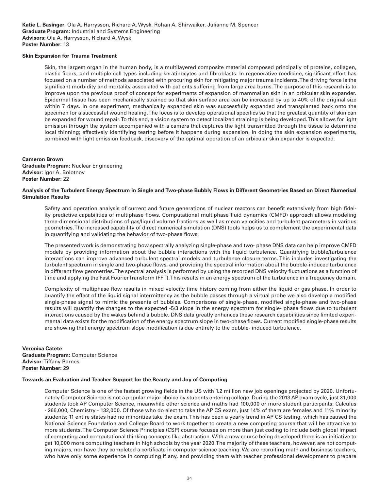### **Skin Expansion for Trauma Treatment**

Skin, the largest organ in the human body, is a multilayered composite material composed principally of proteins, collagen, elastic fibers, and multiple cell types including keratinocytes and fibroblasts. In regenerative medicine, significant effort has focused on a number of methods associated with procuring skin for mitigating major trauma incidents. The driving force is the significant morbidity and mortality associated with patients suffering from large area burns. The purpose of this research is to improve upon the previous proof of concept for experiments of expansion of mammalian skin in an orbicular skin expander. Epidermal tissue has been mechanically strained so that skin surface area can be increased by up to 40% of the original size within 7 days. In one experiment, mechanically expanded skin was successfully expanded and transplanted back onto the specimen for a successful wound healing. The focus is to develop operational specifics so that the greatest quantity of skin can be expanded for wound repair. To this end, a vision system to detect localized straining is being developed. This allows for light emission through the system accompanied with a camera that captures the light transmitted through the tissue to determine local thinning; effectively identifying tearing before it happens during expansion. In doing the skin expansion experiments, combined with light emission feedback, discovery of the optimal operation of an orbicular skin expander is expected.

# **Cameron Brown**

**Graduate Program:** Nuclear Engineering **Advisor:** Igor A. Bolotnov **Poster Number:** 22

# **Analysis of the Turbulent Energy Spectrum in Single and Two-phase Bubbly Flows in Different Geometries Based on Direct Numerical Simulation Results**

Safety and operation analysis of current and future generations of nuclear reactors can benefit extensively from high fidelity predictive capabilities of multiphase flows. Computational multiphase fluid dynamics (CMFD) approach allows modeling three-dimensional distributions of gas/liquid volume fractions as well as mean velocities and turbulent parameters in various geometries. The increased capability of direct numerical simulation (DNS) tools helps us to complement the experimental data in quantifying and validating the behavior of two-phase flows.

The presented work is demonstrating how spectrally analyzing single-phase and two- phase DNS data can help improve CMFD models by providing information about the bubble interactions with the liquid turbulence. Quantifying bubble/turbulence interactions can improve advanced turbulent spectral models and turbulence closure terms. This includes investigating the turbulent spectrum in single and two-phase flows, and providing the spectral information about the bubble-induced turbulence in different flow geometries. The spectral analysis is performed by using the recorded DNS velocity fluctuations as a function of time and applying the Fast Fourier Transform (FFT). This results in an energy spectrum of the turbulence in a frequency domain.

Complexity of multiphase flow results in mixed velocity time history coming from either the liquid or gas phase. In order to quantify the effect of the liquid signal intermittency as the bubble passes through a virtual probe we also develop a modified single-phase signal to mimic the presents of bubbles. Comparisons of single-phase, modified single-phase and two-phase results will quantify the changes to the expected -5/3 slope in the energy spectrum for single- phase flows due to turbulent interactions caused by the wakes behind a bubble. DNS data greatly enhances these research capabilities since limited experimental data exists for the modification of the energy spectrum slope in two-phase flows. Current modified single-phase results are showing that energy spectrum slope modification is due entirely to the bubble- induced turbulence.

**Veronica Catete Graduate Program:** Computer Science **Advisor:** Tiffany Barnes **Poster Number:** 29

# **Towards an Evaluation and Teacher Support for the Beauty and Joy of Computing**

Computer Science is one of the fastest growing fields in the US with 1.2 million new job openings projected by 2020. Unfortunately Computer Science is not a popular major choice by students entering college. During the 2013 AP exam cycle, just 31,000 students took AP Computer Science, meanwhile other science and maths had 100,000 or more student participants: Calculus - 266,000, Chemistry - 132,000. Of those who do elect to take the AP CS exam, just 14% of them are females and 11% minority students; 11 entire states had no minorities take the exam. This has been a yearly trend in AP CS testing, which has caused the National Science Foundation and College Board to work together to create a new computing course that will be attractive to more students. The Computer Science Principles (CSP) course focuses on more than just coding to include both global impact of computing and computational thinking concepts like abstraction. With a new course being developed there is an initiative to get 10,000 more computing teachers in high schools by the year 2020. The majority of these teachers, however, are not computing majors, nor have they completed a certificate in computer science teaching. We are recruiting math and business teachers, who have only some experience in computing if any, and providing them with teacher professional development to prepare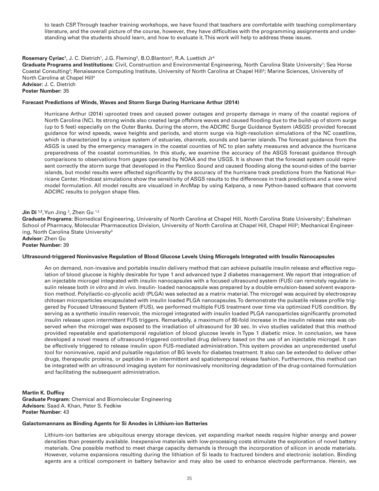to teach CSP. Through teacher training workshops, we have found that teachers are comfortable with teaching complimentary literature, and the overall picture of the course, however, they have difficulties with the programming assignments and understanding what the students should learn, and how to evaluate it. This work will help to address these issues.

# **Rosemary Cyriac<sup>1</sup>, J. C. Dietrich<sup>1</sup>, J.G. Fleming<sup>2</sup>, B.O.Blanton<sup>3</sup>, R.A. Luettich Jr<sup>4</sup>**

Graduate Programs and Institutions: Civil, Construction and Environmental Engineering, North Carolina State University<sup>1</sup>; Sea Horse Coastal Consulting<sup>2</sup>; Renaissance Computing Institute, University of North Carolina at Chapel Hill<sup>3</sup>; Marine Sciences, University of North Carolina at Chapel Hill<sup>4</sup>

**Advisor:** J. C. Dietrich **Poster Number:** 35

#### **Forecast Predictions of Winds, Waves and Storm Surge During Hurricane Arthur (2014)**

Hurricane Arthur (2014) uprooted trees and caused power outages and property damage in many of the coastal regions of North Carolina (NC). Its strong winds also created large offshore waves and caused flooding due to the build-up of storm surge (up to 5 feet) especially on the Outer Banks. During the storm, the ADCIRC Surge Guidance System (ASGS) provided forecast guidance for wind speeds, wave heights and periods, and storm surge via high-resolution simulations of the NC coastline, which is characterized by a unique system of estuaries, channels, sounds and barrier islands. The forecast guidance from the ASGS is used by the emergency managers in the coastal counties of NC to plan safety measures and advance the hurricane preparedness of the coastal communities. In this study, we examine the accuracy of the ASGS forecast guidance through comparisons to observations from gages operated by NOAA and the USGS. It is shown that the forecast system could represent correctly the storm surge that developed in the Pamlico Sound and caused flooding along the sound-sides of the barrier islands, but model results were affected significantly by the accuracy of the hurricane track predictions from the National Hurricane Center. Hindcast simulations show the sensitivity of ASGS results to the differences in track predictions and a new wind model formulation. All model results are visualized in ArcMap by using Kalpana, a new Python-based software that converts ADCIRC results to polygon shape files.

#### **Jin Di** 1,2, Yun Jing <sup>3</sup>, Zhen Gu <sup>1,2</sup>

Graduate Programs: Biomedical Engineering, University of North Carolina at Chapel Hill, North Carolina State University<sup>1</sup>; Eshelman School of Pharmacy, Molecular Pharmaceutics Division, University of North Carolina at Chapel Hill, Chapel Hill?; Mechanical Engineering, North Carolina State University<sup>3</sup>

**Advisor:** Zhen Gu **Poster Number:** 39

# **Ultrasound-triggered Noninvasive Regulation of Blood Glucose Levels Using Microgels Integrated with Insulin Nanocapsules**

An on demand, non-invasive and portable insulin delivery method that can achieve pulsatile insulin release and effective regulation of blood glucose is highly desirable for type 1 and advanced type 2 diabetes management. We report that integration of an injectable microgel integrated with insulin nanocapsules with a focused ultrasound system (FUS) can remotely regulate insulin release both *in vitro* and *in vivo*. Insulin- loaded nanocapsule was prepared by a double emulsion-based solvent evaporation method. Poly(lactic-co-glycolic acid) (PLGA) was selected as a matrix material. The microgel was acquired by electrospray chitosan microparticles encapsulated with insulin loaded PLGA nanocapsules. To demonstrate the pulsatile release profile triggered by Focused Ultrasound System (FUS), we performed multiple FUS treatment over time via optimized FUS condition. By serving as a synthetic insulin reservoir, the microgel integrated with insulin loaded PLGA nanoparticles significantly promoted insulin release upon intermittent FUS triggers. Remarkably, a maximum of 80-fold increase in the insulin release rate was observed when the microgel was exposed to the irradiation of ultrasound for 30 sec. In vivo studies validated that this method provided repeatable and spatiotemporal regulation of blood glucose levels in Type 1 diabetic mice. In conclusion, we have developed a novel means of ultrasound-triggered controlled drug delivery based on the use of an injectable microgel. It can be effectively triggered to release insulin upon FUS-mediated administration. This system provides an unprecedented useful tool for noninvasive, rapid and pulsatile regulation of BG levels for diabetes treatment. It also can be extended to deliver other drugs, therapeutic proteins, or peptides in an intermittent and spatiotemporal release fashion. Furthermore, this method can be integrated with an ultrasound imaging system for noninvasively monitoring degradation of the drug-contained formulation and facilitating the subsequent administration.

**Martin K. Dufficy Graduate Program:** Chemical and Biomolecular Engineering **Advisors:** Saad A. Khan, Peter S. Fedkiw **Poster Number:** 43

#### **Galactomannans as Binding Agents for Si Anodes in Lithium-ion Batteries**

Lithium-ion batteries are ubiquitous energy storage devices, yet expanding market needs require higher energy and power densities than presently available. Inexpensive materials with low-processing costs stimulate the exploration of novel battery materials. One possible method to meet charge capacity demands is through the incorporation of silicon in anode materials. However, volume expansions resulting during the lithiation of Si leads to fractured binders and electronic isolation. Binding agents are a critical component in battery behavior and may also be used to enhance electrode performance. Herein, we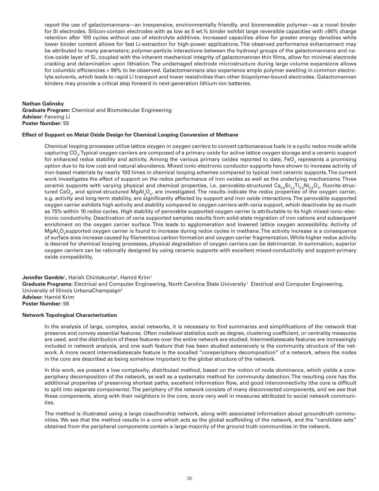report the use of galactomannans—an inexpensive, environmentally friendly, and biorenewable polymer—as a novel binder for Si electrodes. Silicon-contain electrodes with as low as 5 wt.% binder exhibit large reversible capacities with >90% charge retention after 100 cycles without use of electrolyte additives. Increased capacities allow for greater energy densities while lower binder content allows for fast Li-extraction for high-power applications. The observed performance enhancement may be attributed to many parameters; polymer-particle interactions between the hydroxyl groups of the galactomannans and native-oxide layer of Si, coupled with the inherent mechanical integrity of galactomannan thin films, allow for minimal electrode cracking and delamination upon lithiation. The undamaged electrode microstructure during large volume expansions allows for columbic efficiencies > 99% to be observed. Galactomannans also experience ample polymer swelling in common electrolyte solvents, which leads to rapid Li transport and lower resistivities than other biopolymer-bound electrodes. Galactomannan binders may provide a critical step forward in next-generation lithium-ion batteries.

# **Nathan Galinsky**

**Graduate Program:** Chemical and Biomolecular Engineering **Advisor:** Fanxing Li **Poster Number:** 55

# **Effect of Support on Metal Oxide Design for Chemical Looping Conversion of Methane**

Chemical looping processes utilize lattice oxygen in oxygen carriers to convert carbonaceous fuels in a cyclic redox mode while capturing CO<sub>2</sub>. Typical oxygen carriers are composed of a primary oxide for active lattice oxygen storage and a ceramic support for enhanced redox stability and activity. Among the various primary oxides reported to date, FeO<sub>x</sub> represents a promising option due to its low cost and natural abundance. Mixed ionic-electronic conductor supports have shown to increase activity of iron-based materials by nearly 100 times in chemical looping schemes compared to typical inert ceramic supports. The current work investigates the effect of support on the redox performance of iron oxides as well as the underlying mechanisms. Three ceramic supports with varying physical and chemical properties, i.e. perovskite-structured  $\mathsf{Ca_{o.8}Sr_{o.2}Ti_{o.8}Ni_{o.2}O_{3'}}$  fluorite-structured CeO<sub>2</sub>, and spinel-structured MgAl<sub>2</sub>O<sub>4</sub>, are investigated. The results indicate the redox properties of the oxygen carrier, e.g. activity and long-term stability, are significantly affected by support and iron oxide interactions. The perovskite supported oxygen carrier exhibits high activity and stability compared to oxygen carriers with ceria support, which deactivate by as much as 75% within 10 redox cycles. High stability of perovskite supported oxygen carrier is attributable to its high mixed ionic–electronic conductivity. Deactivation of ceria supported samples results from solid-state migration of iron cations and subsequent enrichment on the oxygen carrier surface. This leads to agglomeration and lowered lattice oxygen accessibility. Activity of MgAl $_2$ O $_4$ supported oxygen carrier is found to increase during redox cycles in methane.The activity increase is a consequence of surface area increase caused by filamentous carbon formation and oxygen carrier fragmentation. While higher redox activity is desired for chemical looping processes, physical degradation of oxygen carriers can be detrimental. In summation, superior oxygen carriers can be rationally designed by using ceramic supports with excellent mixed-conductivity and support-primary oxide compatibility.

# **Jennifer Gamble**<sup>1</sup>, Harish Chintakunta<sup>2</sup>, Hamid Krim<sup>1</sup>

Graduate Programs: Electrical and Computer Engineering, North Carolina State University<sup>1</sup> Electrical and Computer Engineering, University of Illinois UrbanaChampaign<sup>2</sup> **Advisor:** Hamid Krim

# **Poster Number:** 56

# **Network Topological Characterization**

In the analysis of large, complex, social networks, it is necessary to find summaries and simplifications of the network that preserve and convey essential features. Often nodelevel statistics such as degree, clustering coefficient, or centrality measures are used, and the distribution of these features over the entire network are studied. Intermediatescale features are increasingly included in network analysis, and one such feature that has been studied extensively is the community structure of the network. A more recent intermediatescale feature is the socalled "coreperiphery decomposition" of a network, where the nodes in the core are described as being somehow important to the global structure of the network.

In this work, we present a low complexity, distributed method, based on the notion of node dominance, which yields a coreperiphery decomposition of the network, as well as a systematic method for community detection. The resulting core has the additional properties of preserving shortest paths, excellent information flow, and good interconnectivity (the core is difficult to split into separate components). The periphery of the network consists of many disconnected components, and we see that these components, along with their neighbors in the core, score very well in measures attributed to social network communities.

The method is illustrated using a large coauthorship network, along with associated information about groundtruth communities. We see that the method results in a core which acts as the global scaffolding of the network, and the "candidate sets" obtained from the peripheral components contain a large majority of the ground truth communities in the network.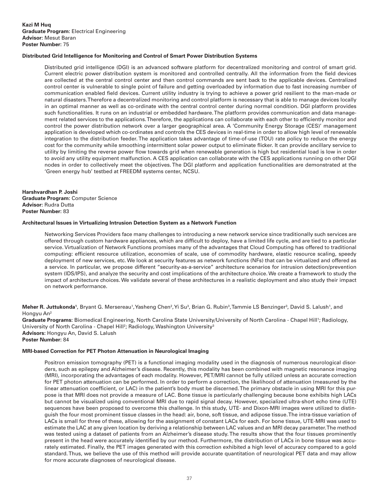# **Distributed Grid Intelligence for Monitoring and Control of Smart Power Distribution Systems**

Distributed grid intelligence (DGI) is an advanced software platform for decentralized monitoring and control of smart grid. Current electric power distribution system is monitored and controlled centrally. All the information from the field devices are collected at the central control center and then control commands are sent back to the applicable devices. Centralized control center is vulnerable to single point of failure and getting overloaded by information due to fast increasing number of communication enabled field devices. Current utility industry is trying to achieve a power grid resilient to the man-made or natural disasters. Therefore a decentralized monitoring and control platform is necessary that is able to manage devices locally in an optimal manner as well as co-ordinate with the central control center during normal condition. DGI platform provides such functionalities. It runs on an industrial or embedded hardware. The platform provides communication and data management related services to the applications. Therefore, the applications can collaborate with each other to efficiently monitor and control the power distribution network over a larger geographical area. A 'Community Energy Storage (CES)' management application is developed which co-ordinates and controls the CES devices in real-time in order to allow high level of renewable integration to the distribution feeder. The application takes advantage of time-of-use (TOU) rate policy to reduce the energy cost for the community while smoothing intermittent solar power output to eliminate flicker. It can provide ancillary service to utility by limiting the reverse power flow towards grid when renewable generation is high but residential load is low in order to avoid any utility equipment malfunction. A CES application can collaborate with the CES applications running on other DGI nodes in order to collectively meet the objectives. The DGI platform and application functionalities are demonstrated at the 'Green energy hub' testbed at FREEDM systems center, NCSU.

**Harshvardhan P. Joshi Graduate Program:** Computer Science **Advisor:** Rudra Dutta **Poster Number:** 83

#### **Architectural Issues in Virtualizing Intrusion Detection System as a Network Function**

Networking Services Providers face many challenges to introducing a new network service since traditionally such services are offered through custom hardware appliances, which are difficult to deploy, have a limited life cycle, and are tied to a particular service. Virtualization of Network Functions promises many of the advantages that Cloud Computing has offered to traditional computing: efficient resource utilization, economies of scale, use of commodity hardware, elastic resource scaling, speedy deployment of new services, etc. We look at security features as network functions (NFs) that can be virtualized and offered as a service. In particular, we propose different "security-as-a-service" architecture scenarios for intrusion detection/prevention system (IDS/IPS), and analyze the security and cost implications of the architecture choice. We create a framework to study the impact of architecture choices. We validate several of these architectures in a realistic deployment and also study their impact on network performance.

**Meher R. Juttukonda'**, Bryant G. Mersereau',Yasheng Chen<sup>2</sup>,Yi Su<sup>3</sup>, Brian G. Rubin<sup>3</sup>,Tammie LS Benzinger<sup>3</sup>, David S. Lalush', and Hongyu An2

Graduate Programs: Biomedical Engineering, North Carolina State University/University of North Carolina - Chapel Hill<sup>1</sup>; Radiology, University of North Carolina - Chapel Hill<sup>2</sup>; Radiology, Washington University<sup>3</sup> **Advisors:** Hongyu An, David S. Lalush **Poster Number:** 84

# **MRI-based Correction for PET Photon Attenuation in Neurological Imaging**

Positron emission tomography (PET) is a functional imaging modality used in the diagnosis of numerous neurological disorders, such as epilepsy and Alzheimer's disease. Recently, this modality has been combined with magnetic resonance imaging (MRI), incorporating the advantages of each modality. However, PET/MRI cannot be fully utilized unless an accurate correction for PET photon attenuation can be performed. In order to perform a correction, the likelihood of attenuation (measured by the linear attenuation coefficient, or LAC) in the patient's body must be discerned. The primary obstacle in using MRI for this purpose is that MRI does not provide a measure of LAC. Bone tissue is particularly challenging because bone exhibits high LACs but cannot be visualized using conventional MRI due to rapid signal decay. However, specialized ultra-short echo time (UTE) sequences have been proposed to overcome this challenge. In this study, UTE- and Dixon-MRI images were utilized to distinguish the four most prominent tissue classes in the head: air, bone, soft tissue, and adipose tissue. The intra-tissue variation of LACs is small for three of these, allowing for the assignment of constant LACs for each. For bone tissue, UTE-MRI was used to estimate the LAC at any given location by deriving a relationship between LAC values and an MRI decay parameter. The method was tested using a dataset of patients from an Alzheimer's disease study. The results show that the four tissues prominently present in the head were accurately identified by our method. Furthermore, the distribution of LACs in bone tissue was accurately estimated. Finally, the PET images generated with this correction exhibited a high level of accuracy compared to a gold standard. Thus, we believe the use of this method will provide accurate quantitation of neurological PET data and may allow for more accurate diagnoses of neurological disease.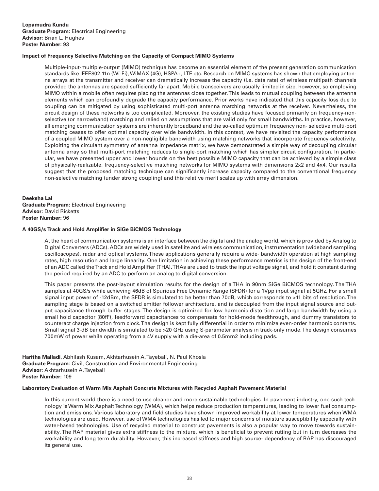# **Impact of Frequency Selective Matching on the Capacity of Compact MIMO Systems**

Multiple-input-multiple-output (MIMO) technique has become an essential element of the present generation communication standards like IEEE802.11n (Wi-Fi), WiMAX (4G), HSPA+, LTE etc. Research on MIMO systems has shown that employing antenna arrays at the transmitter and receiver can dramatically increase the capacity (i.e. data rate) of wireless multipath channels provided the antennas are spaced sufficiently far apart. Mobile transceivers are usually limited in size, however, so employing MIMO within a mobile often requires placing the antennas close together. This leads to mutual coupling between the antenna elements which can profoundly degrade the capacity performance. Prior works have indicated that this capacity loss due to coupling can be mitigated by using sophisticated multi-port antenna matching networks at the receiver. Nevertheless, the circuit design of these networks is too complicated. Moreover, the existing studies have focused primarily on frequency-nonselective (or narrowband) matching and relied on assumptions that are valid only for small bandwidths. In practice, however, all emerging communication systems are inherently broadband and the so-called optimum frequency non- selective multi-port matching ceases to offer optimal capacity over wide bandwidth. In this context, we have revisited the capacity performance of a coupled MIMO system over a non-negligible bandwidth using matching networks that incorporate frequency-selectivity. Exploiting the circulant symmetry of antenna impedance matrix, we have demonstrated a simple way of decoupling circular antenna array so that multi-port matching reduces to single-port matching which has simpler circuit configuration. In particular, we have presented upper and lower bounds on the best possible MIMO capacity that can be achieved by a simple class of physically-realizable, frequency-selective matching networks for MIMO systems with dimensions 2x2 and 4x4. Our results suggest that the proposed matching technique can significantly increase capacity compared to the conventional frequency non-selective matching (under strong coupling) and this relative merit scales up with array dimension.

# **Deeksha Lal Graduate Program:** Electrical Engineering **Advisor:** David Ricketts **Poster Number:** 96

# **A 40GS/s Track and Hold Amplifier in SiGe BiCMOS Technology**

At the heart of communication systems is an interface between the digital and the analog world, which is provided by Analog to Digital Converters (ADCs). ADCs are widely used in satellite and wireless communication, instrumentation (wideband sampling oscilloscopes), radar and optical systems. These applications generally require a wide- bandwidth operation at high sampling rates, high resolution and large linearity. One limitation in achieving these performance metrics is the design of the front-end of an ADC called the Track and Hold Amplifier (THA). THAs are used to track the input voltage signal, and hold it constant during the period required by an ADC to perform an analog to digital conversion.

This paper presents the post-layout simulation results for the design of a THA in 90nm SiGe BiCMOS technology. The THA samples at 40GS/s while achieving 46dB of Spurious Free Dynamic Range (SFDR) for a 1Vpp input signal at 5GHz. For a small signal input power of -12dBm, the SFDR is simulated to be better than 70dB, which corresponds to >11 bits of resolution. The sampling stage is based on a switched emitter follower architecture, and is decoupled from the input signal source and output capacitance through buffer stages. The design is optimized for low harmonic distortion and large bandwidth by using a small hold capacitor (80fF), feedforward capacitances to compensate for hold-mode feedthrough, and dummy transistors to counteract charge injection from clock. The design is kept fully differential in order to minimize even-order harmonic contents. Small signal 3-dB bandwidth is simulated to be >20 GHz using S-parameter analysis in track-only mode. The design consumes 700mW of power while operating from a 4V supply with a die-area of 0.5mm2 including pads.

**Haritha Malladi**, Abhilash Kusam, Akhtarhusein A. Tayebali, N. Paul Khosla **Graduate Program:** Civil, Construction and Environmental Engineering **Advisor:** Akhtarhusein A. Tayebali **Poster Number:** 109

# **Laboratory Evaluation of Warm Mix Asphalt Concrete Mixtures with Recycled Asphalt Pavement Material**

In this current world there is a need to use cleaner and more sustainable technologies. In pavement industry, one such technology is Warm Mix Asphalt Technology (WMA), which helps reduce production temperatures, leading to lower fuel consumption and emissions. Various laboratory and field studies have shown improved workability at lower temperatures when WMA technologies are used. However, use of WMA technologies has led to major concerns of moisture susceptibility especially with water-based technologies. Use of recycled material to construct pavements is also a popular way to move towards sustainability. The RAP material gives extra stiffness to the mixture, which is beneficial to prevent rutting but in turn decreases the workability and long term durability. However, this increased stiffness and high source- dependency of RAP has discouraged its general use.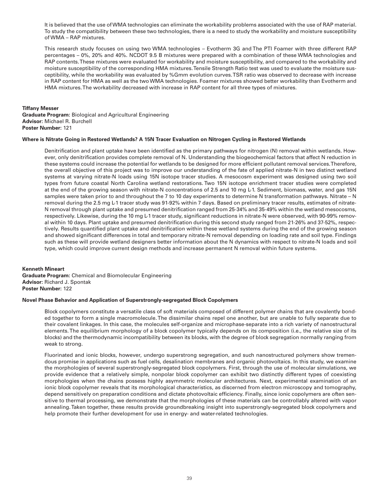It is believed that the use of WMA technologies can eliminate the workability problems associated with the use of RAP material. To study the compatibility between these two technologies, there is a need to study the workability and moisture susceptibility of WMA – RAP mixtures.

This research study focuses on using two WMA technologies – Evotherm 3G and The PTI Foamer with three different RAP percentages – 0%, 20% and 40%. NCDOT 9.5 B mixtures were prepared with a combination of these WMA technologies and RAP contents. These mixtures were evaluated for workability and moisture susceptibility, and compared to the workability and moisture susceptibility of the corresponding HMA mixtures. Tensile Strength Ratio test was used to evaluate the moisture susceptibility, while the workability was evaluated by %Gmm evolution curves. TSR ratio was observed to decrease with increase in RAP content for HMA as well as the two WMA technologies. Foamer mixtures showed better workability than Evotherm and HMA mixtures. The workability decreased with increase in RAP content for all three types of mixtures.

# **Tiffany Messer**

**Graduate Program:** Biological and Agricultural Engineering **Advisor:** Michael R. Burchell **Poster Number:** 121

# **Where is Nitrate Going in Restored Wetlands? A 15N Tracer Evaluation on Nitrogen Cycling in Restored Wetlands**

Denitrification and plant uptake have been identified as the primary pathways for nitrogen (N) removal within wetlands. However, only denitrification provides complete removal of N. Understanding the biogeochemical factors that affect N reduction in these systems could increase the potential for wetlands to be designed for more efficient pollutant removal services. Therefore, the overall objective of this project was to improve our understanding of the fate of applied nitrate-N in two distinct wetland systems at varying nitrate-N loads using 15N isotope tracer studies. A mesocosm experiment was designed using two soil types from future coastal North Carolina wetland restorations. Two 15N isotope enrichment tracer studies were completed at the end of the growing season with nitrate-N concentrations of 2.5 and 10 mg L-1. Sediment, biomass, water, and gas 15N samples were taken prior to and throughout the 7 to 10 day experiments to determine N transformation pathways. Nitrate – N removal during the 2.5 mg L-1 tracer study was 91-92% within 7 days. Based on preliminary tracer results, estimates of nitrate-N removal through plant uptake and presumed denitrification ranged from 25-34% and 35-49% within the wetland mesocosms, respectively. Likewise, during the 10 mg L-1 tracer study, significant reductions in nitrate-N were observed, with 90-99% removal within 10 days. Plant uptake and presumed denitrification during this second study ranged from 21-26% and 37-52%, respectively. Results quantified plant uptake and denitrification within these wetland systems during the end of the growing season and showed significant differences in total and temporary nitrate-N removal depending on loading rate and soil type. Findings such as these will provide wetland designers better information about the N dynamics with respect to nitrate-N loads and soil type, which could improve current design methods and increase permanent N removal within future systems.

# **Kenneth Mineart**

**Graduate Program:** Chemical and Biomolecular Engineering **Advisor:** Richard J. Spontak **Poster Number:** 122

# **Novel Phase Behavior and Application of Superstrongly-segregated Block Copolymers**

Block copolymers constitute a versatile class of soft materials composed of different polymer chains that are covalently bonded together to form a single macromolecule. The dissimilar chains repel one another, but are unable to fully separate due to their covalent linkages. In this case, the molecules self-organize and microphase-separate into a rich variety of nanostructural elements. The equilibrium morphology of a block copolymer typically depends on its composition (i.e., the relative size of its blocks) and the thermodynamic incompatibility between its blocks, with the degree of block segregation normally ranging from weak to strong.

Fluorinated and ionic blocks, however, undergo superstrong segregation, and such nanostructured polymers show tremendous promise in applications such as fuel cells, desalination membranes and organic photovoltaics. In this study, we examine the morphologies of several superstrongly-segregated block copolymers. First, through the use of molecular simulations, we provide evidence that a relatively simple, nonpolar block copolymer can exhibit two distinctly different types of coexisting morphologies when the chains possess highly asymmetric molecular architectures. Next, experimental examination of an ionic block copolymer reveals that its morphological characteristics, as discerned from electron microscopy and tomography, depend sensitively on preparation conditions and dictate photovoltaic efficiency. Finally, since ionic copolymers are often sensitive to thermal processing, we demonstrate that the morphologies of these materials can be controllably altered with vapor annealing. Taken together, these results provide groundbreaking insight into superstrongly-segregated block copolymers and help promote their further development for use in energy- and water-related technologies.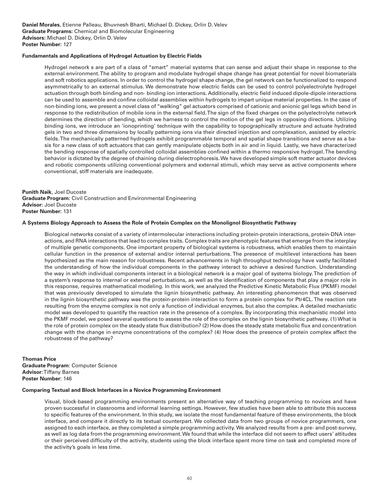# **Fundamentals and Applications of Hydrogel Actuation by Electric Fields**

Hydrogel network s are part of a class of "smart" material systems that can sense and adjust their shape in response to the external environment. The ability to program and modulate hydrogel shape change has great potential for novel biomaterials and soft robotics applications. In order to control the hydrogel shape change, the gel network can be functionalized to respond asymmetrically to an external stimulus. We demonstrate how electric fields can be used to control polyelectrolyte hydrogel actuation through both binding and non- binding ion interactions. Additionally, electric field induced dipole-dipole interactions can be used to assemble and confine colloidal assemblies within hydrogels to impart unique material properties. In the case of non-binding ions, we present a novel class of "walking" gel actuators comprised of cationic and anionic gel legs which bend in response to the redistribution of mobile ions in the external field. The sign of the fixed charges on the polyelectrolyte network determines the direction of bending, which we harness to control the motion of the gel legs in opposing directions. Utilizing binding ions, we introduce an 'ionoprinting' technique with the capability to topographically structure and actuate hydrated gels in two and three dimensions by locally patterning ions via their directed injection and complexation, assisted by electric fields. The mechanically patterned hydrogels exhibit programmable temporal and spatial shape transitions and serve as a basis for a new class of soft actuators that can gently manipulate objects both in air and in liquid. Lastly, we have characterized the bending response of spatially controlled colloidal assemblies confined within a thermo responsive hydrogel. The bending behavior is dictated by the degree of chaining during dielectrophoresis. We have developed simple soft matter actuator devices and robotic components utilizing conventional polymers and external stimuli, which may serve as active components where conventional, stiff materials are inadequate.

**Punith Naik**, Joel Ducoste **Graduate Program:** Civil Construction and Environmental Engineering **Advisor:** Joel Ducoste **Poster Number:** 131

# **A Systems Biology Approach to Assess the Role of Protein Complex on the Monolignol Biosynthetic Pathway**

Biological networks consist of a variety of intermolecular interactions including protein-protein interactions, protein-DNA interactions, and RNA interactions that lead to complex traits. Complex traits are phenotypic features that emerge from the interplay of multiple genetic components. One important property of biological systems is robustness, which enables them to maintain cellular function in the presence of external and/or internal perturbations. The presence of multilevel interactions has been hypothesized as the main reason for robustness. Recent advancements in high throughput technology have vastly facilitated the understanding of how the individual components in the pathway interact to achieve a desired function. Understanding the way in which individual components interact in a biological network is a major goal of systems biology. The prediction of a system's response to internal or external perturbations, as well as the identification of components that play a major role in this response, requires mathematical modeling. In this work, we analyzed the Predictive Kinetic Metabolic Flux (PKMF) model that was previously developed to simulate the lignin biosynthetic pathway. An interesting phenomenon that was observed in the lignin biosynthetic pathway was the protein-protein interaction to form a protein complex for Ptr4CL. The reaction rate resulting from the enzyme complex is not only a function of individual enzymes, but also the complex. A detailed mechanistic model was developed to quantify the reaction rate in the presence of a complex. By incorporating this mechanistic model into the PKMF model, we posed several questions to assess the role of the complex on the lignin biosynthetic pathway. (1) What is the role of protein complex on the steady state flux distribution? (2) How does the steady state metabolic flux and concentration change with the change in enzyme concentrations of the complex? (4) How does the presence of protein complex affect the robustness of the pathway?

# **Thomas Price Graduate Program**: Computer Science **Advisor**: Tiffany Barnes **Poster Number:** 146

#### **Comparing Textual and Block Interfaces in a Novice Programming Environment**

Visual, block-based programming environments present an alternative way of teaching programming to novices and have proven successful in classrooms and informal learning settings. However, few studies have been able to attribute this success to specific features of the environment. In this study, we isolate the most fundamental feature of these environments, the block interface, and compare it directly to its textual counterpart. We collected data from two groups of novice programmers, one assigned to each interface, as they completed a simple programming activity. We analyzed results from a pre- and post-survey, as well as log data from the programming environment. We found that while the interface did not seem to affect users' attitudes or their perceived difficulty of the activity, students using the block interface spent more time on task and completed more of the activity's goals in less time.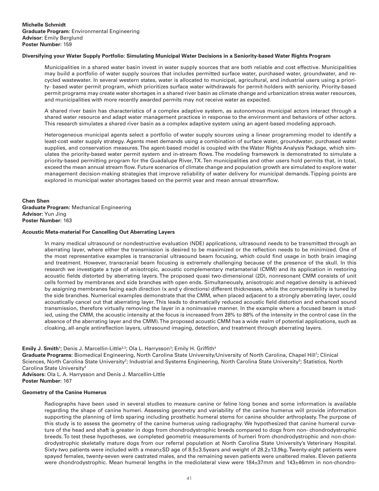# **Diversifying your Water Supply Portfolio: Simulating Municipal Water Decisions in a Seniority-based Water Rights Program**

Municipalities in a shared water basin invest in water supply sources that are both reliable and cost effective. Municipalities may build a portfolio of water supply sources that includes permitted surface water, purchased water, groundwater, and recycled wastewater. In several western states, water is allocated to municipal, agricultural, and industrial users using a priority- based water permit program, which prioritizes surface water withdrawals for permit-holders with seniority. Priority-based permit programs may create water shortages in a shared river basin as climate change and urbanization stress water resources, and municipalities with more recently awarded permits may not receive water as expected.

A shared river basin has characteristics of a complex adaptive system, as autonomous municipal actors interact through a shared water resource and adapt water management practices in response to the environment and behaviors of other actors. This research simulates a shared river basin as a complex adaptive system using an agent-based modeling approach.

Heterogeneous municipal agents select a portfolio of water supply sources using a linear programming model to identify a least-cost water supply strategy. Agents meet demands using a combination of surface water, groundwater, purchased water supplies, and conservation measures. The agent-based model is coupled with the Water Rights Analysis Package, which simulates the priority-based water permit system and in-stream flows. The modeling framework is demonstrated to simulate a priority-based permitting program for the Guadalupe River, TX. Ten municipalities and other users hold permits that, in total, exceed the mean annual stream flow. Future scenarios of climate change and population growth are simulated to explore water management decision-making strategies that improve reliability of water delivery for municipal demands. Tipping points are explored in municipal water shortages based on the permit year and mean annual streamflow.

**Chen Shen Graduate Program:** Mechanical Engineering **Advisor:** Yun Jing **Poster Number:** 163

#### **Acoustic Meta-material For Cancelling Out Aberrating Layers**

In many medical ultrasound or nondestructive evaluation (NDE) applications, ultrasound needs to be transmitted through an aberrating layer, where either the transmission is desired to be maximized or the reflection needs to be minimized. One of the most representative examples is transcranial ultrasound beam focusing, which could find usage in both brain imaging and treatment. However, transcranial beam focusing is extremely challenging because of the presence of the skull. In this research we investigate a type of anisotropic, acoustic complementary metamaterial (CMM) and its application in restoring acoustic fields distorted by aberrating layers. The proposed quasi two-dimensional (2D), nonresonant CMM consists of unit cells formed by membranes and side branches with open ends. Simultaneously, anisotropic and negative density is achieved by assigning membranes facing each direction (x and y directions) different thicknesses, while the compressibility is tuned by the side branches. Numerical examples demonstrate that the CMM, when placed adjacent to a strongly aberrating layer, could acoustically cancel out that aberrating layer. This leads to dramatically reduced acoustic field distortion and enhanced sound transmission, therefore virtually removing the layer in a noninvasive manner. In the example where a focused beam is studied, using the CMM, the acoustic intensity at the focus is increased from 28% to 88% of the intensity in the control case (in the absence of the aberrating layer and the CMM). The proposed acoustic CMM has a wide realm of potential applications, such as cloaking, all-angle antireflection layers, ultrasound imaging, detection, and treatment through aberrating layers.

**Emily J. Smith'**; Denis J. Marcellin-Little<sup>2,3</sup>; Ola L. Harrysson<sup>3</sup>; Emily H. Griffith<sup>4</sup>

Graduate Programs: Biomedical Engineering, North Carolina State University/University of North Carolina, Chapel Hill<sup>1</sup>; Clinical Sciences, North Carolina State University<sup>2</sup>; Industrial and Systems Engineering, North Carolina State University<sup>3</sup>; Statistics, North Carolina State University4

**Advisors:** Ola L. A. Harrysson and Denis J. Marcellin-Little **Poster Number:** 167

# **Geometry of the Canine Humerus**

Radiographs have been used in several studies to measure canine or feline long bones and some information is available regarding the shape of canine humeri. Assessing geometry and variability of the canine humerus will provide information supporting the planning of limb sparing including prosthetic humeral stems for canine shoulder arthroplasty. The purpose of this study is to assess the geometry of the canine humerus using radiography. We hypothesized that canine humeral curvature of the head and shaft is greater in dogs from chondrodystrophic breeds compared to dogs from non- chondrodystrophic breeds. To test these hypotheses, we completed geometric measurements of humeri from chondrodystrophic and non-chondrodystrophic skeletally mature dogs from our referral population at North Carolina State University's Veterinary Hospital. Sixty-two patients were included with a mean±SD age of 8.5±3.5years and weight of 28.2±13.9kg. Twenty-eight patients were spayed females, twenty-seven were castrated males, and the remaining seven patients were unaltered males. Eleven patients were chondrodystrophic. Mean humeral lengths in the mediolateral view were 184±37mm and 143±46mm in non-chondro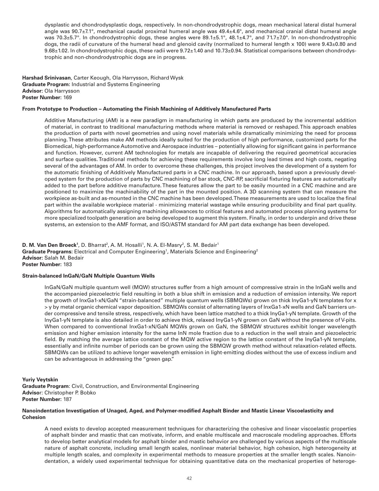dysplastic and chondrodysplastic dogs, respectively. In non-chondrodystrophic dogs, mean mechanical lateral distal humeral angle was  $90.7\pm7.1^\circ$ , mechanical caudal proximal humeral angle was  $49.4\pm4.6^\circ$ , and mechanical cranial distal humeral angle was 70.3±5.7°. In chondrodystrophic dogs, these angles were 89.1±5.1°, 48.1±4.7°, and 71.7±7.0°. In non-chondrodystrophic dogs, the radii of curvature of the humeral head and glenoid cavity (normalized to humeral length x 100) were 9.43±0.80 and 9.68±1.02. In chondrodystrophic dogs, these radii were 9.72±1.40 and 10.73±0.94. Statistical comparisons between chondrodystrophic and non-chondrodystrophic dogs are in progress.

**Harshad Srinivasan**, Carter Keough, Ola Harrysson, Richard Wysk **Graduate Program:** Industrial and Systems Engineering **Advisor:** Ola Harrysson **Poster Number:** 169

### **From Prototype to Production – Automating the Finish Machining of Additively Manufactured Parts**

Additive Manufacturing (AM) is a new paradigm in manufacturing in which parts are produced by the incremental addition of material, in contrast to traditional manufacturing methods where material is removed or reshaped. This approach enables the production of parts with novel geometries and using novel materials while dramatically minimizing the need for process planning. These attributes make AM methods ideally suited for the production of high performance, customized parts for the Biomedical, high-performance Automotive and Aerospace industries – potentially allowing for significant gains in performance and function. However, current AM technologies for metals are incapable of delivering the required geometrical accuracies and surface qualities. Traditional methods for achieving these requirements involve long lead times and high costs, negating several of the advantages of AM. In order to overcome these challenges, this project involves the development of a system for the automatic finishing of Additively Manufactured parts in a CNC machine. In our approach, based upon a previously developed system for the production of parts by CNC machining of bar stock, CNC-RP, sacrificial fixturing features are automatically added to the part before additive manufacture. These features allow the part to be easily mounted in a CNC machine and are positioned to maximize the machinability of the part in the mounted position. A 3D scanning system that can measure the workpiece as-built and as-mounted in the CNC machine has been developed. These measurements are used to localize the final part within the available workpiece material - minimizing material wastage while ensuring producibility and final part quality. Algorithms for automatically assigning machining allowances to critical features and automated process planning systems for more specialized toolpath generation are being developed to augment this system. Finally, in order to underpin and drive these systems, an extension to the AMF format, and ISO/ASTM standard for AM part data exchange has been developed.

**D. M. Van Den Broeck<sup>1</sup>,** D. Bharrat<sup>2</sup>, A. M. Hosalli<sup>1</sup>, N. A. El-Masry<sup>2</sup>, S. M. Bedair<sup>1</sup> Graduate Programs: Electrical and Computer Engineering<sup>1</sup>, Materials Science and Engineering<sup>2</sup> **Advisor:** Salah M. Bedair **Poster Number:** 183

#### **Strain-balanced InGaN/GaN Multiple Quantum Wells**

InGaN/GaN multiple quantum well (MQW) structures suffer from a high amount of compressive strain in the InGaN wells and the accompanied piezoelectric field resulting in both a blue shift in emission and a reduction of emission intensity. We report the growth of InxGa1-xN/GaN "strain-balanced" multiple quantum wells (SBMQWs) grown on thick InyGa1-yN templates for x > y by metal organic chemical vapor deposition. SBMQWs consist of alternating layers of InxGa1-xN wells and GaN barriers under compressive and tensile stress, respectively, which have been lattice matched to a thick InyGa1-yN template. Growth of the InyGa1-yN template is also detailed in order to achieve thick, relaxed InyGa1-yN grown on GaN without the presence of V-pits. When compared to conventional InxGa1-xN/GaN MQWs grown on GaN, the SBMQW structures exhibit longer wavelength emission and higher emission intensity for the same InN mole fraction due to a reduction in the well strain and piezoelectric field. By matching the average lattice constant of the MQW active region to the lattice constant of the InyGa1-yN template, essentially and infinite number of periods can be grown using the SBMQW growth method without relaxation-related effects. SBMQWs can be utilized to achieve longer wavelength emission in light-emitting diodes without the use of excess indium and can be advantageous in addressing the "green gap."

**Yuriy Veytskin**

**Graduate Program**: Civil, Construction, and Environmental Engineering **Adviso**r: Christopher P. Bobko **Poster Number:** 187

### **Nanoindentation Investigation of Unaged, Aged, and Polymer-modified Asphalt Binder and Mastic Linear Viscoelasticity and Cohesion**

A need exists to develop accepted measurement techniques for characterizing the cohesive and linear viscoelastic properties of asphalt binder and mastic that can motivate, inform, and enable multiscale and macroscale modeling approaches. Efforts to develop better analytical models for asphalt binder and mastic behavior are challenged by various aspects of the multiscale nature of asphalt concrete, including small length scales, nonlinear material behavior, high cohesion, high heterogeneity at multiple length scales, and complexity in experimental methods to measure properties at the smaller length scales. Nanoindentation, a widely used experimental technique for obtaining quantitative data on the mechanical properties of heteroge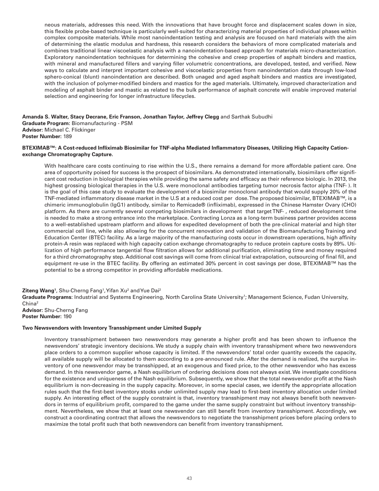neous materials, addresses this need. With the innovations that have brought force and displacement scales down in size, this flexible probe-based technique is particularly well-suited for characterizing material properties of individual phases within complex composite materials. While most nanoindentation testing and analysis are focused on hard materials with the aim of determining the elastic modulus and hardness, this research considers the behaviors of more complicated materials and combines traditional linear viscoelastic analysis with a nanoindentation-based approach for materials micro-characterization. Exploratory nanoindentation techniques for determining the cohesive and creep properties of asphalt binders and mastics, with mineral and manufactured fillers and varying filler volumetric concentrations, are developed, tested, and verified. New ways to calculate and interpret important cohesive and viscoelastic properties from nanoindentation data through low-load sphero-conical (blunt) nanoindentation are described. Both unaged and aged asphalt binders and mastics are investigated, with the inclusion of polymer-modified binders and mastics for the aged materials. Ultimately, improved characterization and modeling of asphalt binder and mastic as related to the bulk performance of asphalt concrete will enable improved material selection and engineering for longer infrastructure lifecycles.

**Amanda S. Walter, Stacy Decrane, Eric Franson, Jonathan Taylor, Jeffrey Clegg** and Sarthak Subudhi **Graduate Program:** Biomanufacturing - PSM **Advisor:** Michael C. Flickinger **Poster Number:** 189

# **BTEXIMAB™: A Cost-reduced Infliximab Biosimilar for TNF-alpha Mediated Inflammatory Diseases, Utilizing High Capacity Cationexchange Chromatography Capture.**

With healthcare care costs continuing to rise within the U.S., there remains a demand for more affordable patient care. One area of opportunity poised for success is the prospect of biosimilars. As demonstrated internationally, biosimilars offer significant cost reduction in biological therapies while providing the same safety and efficacy as their reference biologic. In 2013, the highest grossing biological therapies in the U.S. were monoclonal antibodies targeting tumor necrosis factor alpha (TNF- ). It is the goal of this case study to evaluate the development of a biosimilar monoclonal antibody that would supply 20% of the TNF-mediated inflammatory disease market in the U.S at a reduced cost per dose. The proposed biosimilar, BTEXIMAB™, is a chimeric immunoglobulin (IgG1) antibody, similar to Remicade® (infliximab), expressed in the Chinese Hamster Ovary (CHO) platform. As there are currently several competing biosimilars in development that target TNF- , reduced development time is needed to make a strong entrance into the marketplace. Contracting Lonza as a long-term business partner provides access to a well-established upstream platform and allows for expedited development of both the pre-clinical material and high titer commercial cell line, while also allowing for the concurrent renovation and validation of the Biomanufacturing Training and Education Center (BTEC) facility. As a large majority of the manufacturing costs occur in downstream operations, high affinity protein-A resin was replaced with high capacity cation exchange chromatography to reduce protein capture costs by 89%. Utilization of high performance tangential flow filtration allows for additional purification, eliminating time and money required for a third chromatography step. Additional cost savings will come from clinical trial extrapolation, outsourcing of final fill, and equipment re-use in the BTEC facility. By offering an estimated 30% percent in cost savings per dose, BTEXIMAB™ has the potential to be a strong competitor in providing affordable medications.

**Ziteng Wang**1, Shu-Cherng Fang1, Yifan Xu<sup>2</sup> and Yue Dai<sup>2</sup>

Graduate Programs: Industrial and Systems Engineering, North Carolina State University<sup>1</sup>; Management Science, Fudan University, China2

**Advisor:** Shu-Cherng Fang **Poster Number:** 190

# **Two Newsvendors with Inventory Transshipment under Limited Supply**

Inventory transshipment between two newsvendors may generate a higher profit and has been shown to influence the newsvendors' strategic inventory decisions. We study a supply chain with inventory transshipment where two newsvendors place orders to a common supplier whose capacity is limited. If the newsvendors' total order quantity exceeds the capacity, all available supply will be allocated to them according to a pre-announced rule. After the demand is realized, the surplus inventory of one newsvendor may be transshipped, at an exogenous and fixed price, to the other newsvendor who has excess demand. In this newsvendor game, a Nash equilibrium of ordering decisions does not always exist. We investigate conditions for the existence and uniqueness of the Nash equilibrium. Subsequently, we show that the total newsvendor profit at the Nash equilibrium is non-decreasing in the supply capacity. Moreover, in some special cases, we identify the appropriate allocation rules such that the first-best inventory stocks under unlimited supply may lead to first-best inventory allocation under limited supply. An interesting effect of the supply constraint is that, inventory transshipment may not always benefit both newsvendors in terms of equilibrium profit, compared to the game under the same supply constraint but without inventory transshipment. Nevertheless, we show that at least one newsvendor can still benefit from inventory transshipment. Accordingly, we construct a coordinating contract that allows the newsvendors to negotiate the transshipment prices before placing orders to maximize the total profit such that both newsvendors can benefit from inventory transshipment.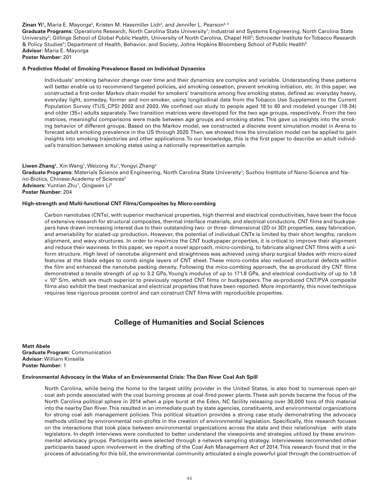# **Zinan Yi',** Maria E. Mayorga<sup>2</sup>, Kristen M. Hassmiller Lich<sup>3</sup>, and Jennifer L. Pearson<sup>4, 5</sup>

Graduate Programs: Operations Research, North Carolina State University<sup>1</sup>; Industrial and Systems Engineering, North Carolina State University<sup>2</sup>; Gillings School of Global Public Health, University of North Carolina, Chapel Hill<sup>3</sup>; Schroeder Institute for Tobacco Research & Policy Studies<sup>4</sup>; Department of Health, Behavior, and Society, Johns Hopkins Bloomberg School of Public Health<sup>5</sup> **Advisor:** Maria E. Mayorga

# **Poster Number:** 201

#### **A Predictive Model of Smoking Prevalence Based on Individual Dynamics**

Individuals' smoking behavior change over time and their dynamics are complex and variable. Understanding these patterns will better enable us to recommend targeted policies, aid smoking cessation, prevent smoking initiation, etc. In this paper, we constructed a first-order Markov chain model for smokers' transitions among five smoking states, defined as: everyday heavy, everyday light, someday, former and non-smoker, using longitudinal data from the Tobacco Use Supplement to the Current Population Survey (TUS\_CPS) 2002 and 2003. We confined our study to people aged 18 to 80 and modeled younger (18-34) and older (35+) adults separately. Two transition matrices were developed for the two age groups, respectively. From the two matrices, meaningful comparisons were made between age groups and smoking states. This gave us insights into the smoking behavior of different groups. Based on the Markov model, we constructed a discrete event simulation model in Arena to forecast adult smoking prevalence in the US through 2020. Then, we showed how the simulation model can be applied to gain insights into smoking trajectories and other applications. To our knowledge, this is the first paper to describe an adult individual's transition between smoking states using a nationally representative sample.

**Liwen Zhang**1, Xin Wang1, Weizong Xu1, Yongyi Zhang<sup>2</sup> Graduate Programs: Materials Science and Engineering, North Carolina State University<sup>1</sup>; Suzhou Institute of Nano-Science and Nano-Biotics, Chinese Academy of Sciences<sup>2</sup> **Advisors:** Yuntian Zhu<sup>1</sup>, Qingwen Li<sup>2</sup> **Poster Number:** 204

#### **High-strength and Multi-functional CNT Films/Composites by Micro-combing**

Carbon nanotubes (CNTs), with superior mechanical properties, high thermal and electrical conductivities, have been the focus of extensive research for structural composites, thermal interface materials, and electrical conductors. CNT films and buckypapers have drawn increasing interest due to their outstanding two- or three- dimensional (2D or 3D) properties, easy fabrication, and amenability for scaled-up production. However, the potential of individual CNTs is limited by their short lengths, random alignment, and wavy structures. In order to maximize the CNT buckypaper properties, it is critical to improve their alignment and reduce their waviness. In this paper, we report a novel approach, micro-combing, to fabricate aligned CNT films with a uniform structure. High level of nanotube alignment and straightness was achieved using sharp surgical blades with micro-sized features at the blade edges to comb single layers of CNT sheet. These micro-combs also reduced structural defects within the film and enhanced the nanotube packing density. Following the mico-combing approach, the as-produced dry CNT films demonstrated a tensile strength of up to 3.2 GPa, Young's modulus of up to 171.8 GPa, and electrical conductivity of up to 1.8 × 105 S/m, which are much superior to previously reported CNT films or buckypapers. The as-produced CNT/PVA composite films also exhibit the best mechanical and electrical properties that have been reported. More importantly, this novel technique requires less rigorous process control and can construct CNT films with reproducible properties.

# **College of Humanities and Social Sciences**

**Matt Abele Graduate Program:** Communication **Advisor:** William Kinsella **Poster Number:** 1

#### **Environmental Advocacy in the Wake of an Environmental Crisis: The Dan River Coal Ash Spill**

North Carolina, while being the home to the largest utility provider in the United States, is also host to numerous open-air coal ash ponds associated with the coal burning process at coal-fired power plants. These ash ponds became the focus of the North Carolina political sphere in 2014 when a pipe burst at the Eden, NC facility releasing over 30,000 tons of this material into the nearby Dan River. This resulted in an immediate push by state agencies, constituents, and environmental organizations for strong coal ash management policies. This political situation provides a strong case study demonstrating the advocacy methods utilized by environmental non-profits in the creation of environmental legislation. Specifically, this research focuses on the interactions that took place between environmental organizations across the state and their relationships with state legislators. In-depth interviews were conducted to better understand the viewpoints and strategies utilized by these environmental advocacy groups. Participants were selected through a network sampling strategy. Interviewees recommended other participants based upon involvement in the drafting of the Coal Ash Management Act of 2014. This research found that in the process of advocating for this bill, the environmental community articulated a single powerful goal through the construction of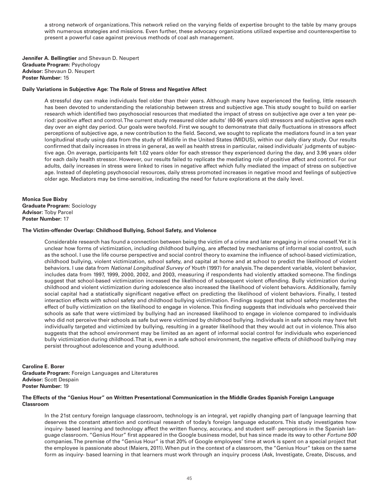a strong network of organizations. This network relied on the varying fields of expertise brought to the table by many groups with numerous strategies and missions. Even further, these advocacy organizations utilized expertise and counterexpertise to present a powerful case against previous methods of coal ash management.

**Jennifer A. Bellingtier** and Shevaun D. Neupert **Graduate Program:** Psychology **Advisor:** Shevaun D. Neupert **Poster Number:** 15

### **Daily Variations in Subjective Age: The Role of Stress and Negative Affect**

A stressful day can make individuals feel older than their years. Although many have experienced the feeling, little research has been devoted to understanding the relationship between stress and subjective age. This study sought to build on earlier research which identified two psychosocial resources that mediated the impact of stress on subjective age over a ten year period: positive affect and control. The current study measured older adults' (60-96 years old) stressors and subjective ages each day over an eight day period. Our goals were twofold. First we sought to demonstrate that daily fluctuations in stressors affect perceptions of subjective age, a new contribution to the field. Second, we sought to replicate the mediators found in a ten year longitudinal study using data from the study of Midlife in the United States (MIDUS), within our daily diary study. Our results confirmed that daily increases in stress in general, as well as health stress in particular, raised individuals' judgments of subjective age. On average, participants felt 1.02 years older for each stressor they experienced during the day, and 3.96 years older for each daily health stressor. However, our results failed to replicate the mediating role of positive affect and control. For our adults, daily increases in stress were linked to rises in negative affect which fully mediated the impact of stress on subjective age. Instead of depleting psychosocial resources, daily stress promoted increases in negative mood and feelings of subjective older age. Mediators may be time-sensitive, indicating the need for future explorations at the daily level.

**Monica Sue Bixby Graduate Program:** Sociology **Advisor:** Toby Parcel **Poster Number:** 17

#### **The Victim-offender Overlap: Childhood Bullying, School Safety, and Violence**

Considerable research has found a connection between being the victim of a crime and later engaging in crime oneself. Yet it is unclear how forms of victimization, including childhood bullying, are affected by mechanisms of informal social control, such as the school. I use the life course perspective and social control theory to examine the influence of school-based victimization, childhood bullying, violent victimization, school safety, and capital at home and at school to predict the likelihood of violent behaviors. I use data from *National Longitudinal Survey of Youth* (1997) for analysis. The dependent variable, violent behavior, includes data from 1997, 1999, 2000, 2002, and 2003, measuring if respondents had violently attacked someone. The findings suggest that school-based victimization increased the likelihood of subsequent violent offending. Bully victimization during childhood and violent victimization during adolescence also increased the likelihood of violent behaviors. Additionally, family social capital had a statistically significant negative effect on predicting the likelihood of violent behaviors. Finally, I tested interaction effects with school safety and childhood bullying victimization. Findings suggest that school safety moderates the effect of bully victimization on the likelihood to engage in violence. This finding suggests that individuals who perceived their schools as safe that were victimized by bullying had an increased likelihood to engage in violence compared to individuals who did not perceive their schools as safe but were victimized by childhood bullying. Individuals in safe schools may have felt individually targeted and victimized by bullying, resulting in a greater likelihood that they would act out in violence. This also suggests that the school environment may be limited as an agent of informal social control for individuals who experienced bully victimization during childhood. That is, even in a safe school environment, the negative effects of childhood bullying may persist throughout adolescence and young adulthood.

**Caroline E. Borer**

**Graduate Program:** Foreign Languages and Literatures **Advisor:** Scott Despain **Poster Number:** 19

## **The Effects of the "Genius Hour" on Written Presentational Communication in the Middle Grades Spanish Foreign Language Classroom**

In the 21st century foreign language classroom, technology is an integral, yet rapidly changing part of language learning that deserves the constant attention and continual research of today's foreign language educators. This study investigates how inquiry- based learning and technology affect the written fluency, accuracy, and student self- perceptions in the Spanish language classroom. "Genius Hour" first appeared in the Google business model, but has since made its way to other *Fortune 500*  companies. The premise of the "Genius Hour" is that 20% of Google employees' time at work is spent on a special project that the employee is passionate about (Maiers, 2011). When put in the context of a classroom, the "Genius Hour" takes on the same form as inquiry- based learning in that learners must work through an inquiry process (Ask, Investigate, Create, Discuss, and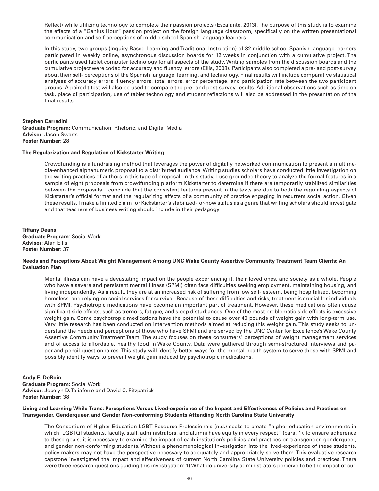Reflect) while utilizing technology to complete their passion projects (Escalante, 2013). The purpose of this study is to examine the effects of a "Genius Hour" passion project on the foreign language classroom, specifically on the written presentational communication and self-perceptions of middle school Spanish language learners.

In this study, two groups (Inquiry-Based Learning and Traditional Instruction) of 32 middle school Spanish language learners participated in weekly online, asynchronous discussion boards for 12 weeks in conjunction with a cumulative project. The participants used tablet computer technology for all aspects of the study. Writing samples from the discussion boards and the cumulative project were coded for accuracy and fluency errors (Ellis, 2008). Participants also completed a pre- and post-survey about their self- perceptions of the Spanish language, learning, and technology. Final results will include comparative statistical analyses of accuracy errors, fluency errors, total errors, error percentage, and participation rate between the two participant groups. A paired t-test will also be used to compare the pre- and post-survey results. Additional observations such as time on task, place of participation, use of tablet technology and student reflections will also be addressed in the presentation of the final results.

#### **Stephen Carradini**

**Graduate Program:** Communication, Rhetoric, and Digital Media **Advisor**: Jason Swarts **Poster Number:** 28

# **The Regularization and Regulation of Kickstarter Writing**

Crowdfunding is a fundraising method that leverages the power of digitally networked communication to present a multimedia-enhanced alphanumeric proposal to a distributed audience. Writing studies scholars have conducted little investigation on the writing practices of authors in this type of proposal. In this study, I use grounded theory to analyze the formal features in a sample of eight proposals from crowdfunding platform Kickstarter to determine if there are temporarily stabilized similarities between the proposals. I conclude that the consistent features present in the texts are due to both the regulating aspects of Kickstarter's official format and the regularizing effects of a community of practice engaging in recurrent social action. Given these results, I make a limited claim for Kickstarter's stabilized-for-now status as a genre that writing scholars should investigate and that teachers of business writing should include in their pedagogy.

**Tiffany Deans Graduate Program**: Social Work **Advisor**: Alan Ellis **Poster Number:** 37

# **Needs and Perceptions About Weight Management Among UNC Wake County Assertive Community Treatment Team Clients: An Evaluation Plan**

Mental illness can have a devastating impact on the people experiencing it, their loved ones, and society as a whole. People who have a severe and persistent mental illness (SPMI) often face difficulties seeking employment, maintaining housing, and living independently. As a result, they are at an increased risk of suffering from low self- esteem, being hospitalized, becoming homeless, and relying on social services for survival. Because of these difficulties and risks, treatment is crucial for individuals with SPMI. Psychotropic medications have become an important part of treatment. However, these medications often cause significant side effects, such as tremors, fatigue, and sleep disturbances. One of the most problematic side effects is excessive weight gain. Some psychotropic medications have the potential to cause over 40 pounds of weight gain with long-term use. Very little research has been conducted on intervention methods aimed at reducing this weight gain. This study seeks to understand the needs and perceptions of those who have SPMI and are served by the UNC Center for Excellence's Wake County Assertive Community Treatment Team. The study focuses on these consumers' perceptions of weight management services and of access to affordable, healthy food in Wake County. Data were gathered through semi-structured interviews and paper-and-pencil questionnaires. This study will identify better ways for the mental health system to serve those with SPMI and possibly identify ways to prevent weight gain induced by psychotropic medications.

**Andy E. DeRoin Graduate Program:** Social Work **Advisor:** Jocelyn D. Taliaferro and David C. Fitzpatrick **Poster Number:** 38

# **Living and Learning While Trans: Perceptions Versus Lived-experience of the Impact and Effectiveness of Policies and Practices on Transgender, Genderqueer, and Gender Non-conforming Students Attending North Carolina State University**

The Consortium of Higher Education LGBT Resource Professionals (n.d.) seeks to create "higher education environments in which [LGBTQ] students, faculty, staff, administrators, and alumni have equity in every respect" (para. 1). To ensure adherence to these goals, it is necessary to examine the impact of each institution's policies and practices on transgender, genderqueer, and gender non-conforming students. Without a phenomenological investigation into the lived-experience of these students, policy makers may not have the perspective necessary to adequately and appropriately serve them. This evaluative research capstone investigated the impact and effectiveness of current North Carolina State University policies and practices. There were three research questions guiding this investigation: 1) What do university administrators perceive to be the impact of cur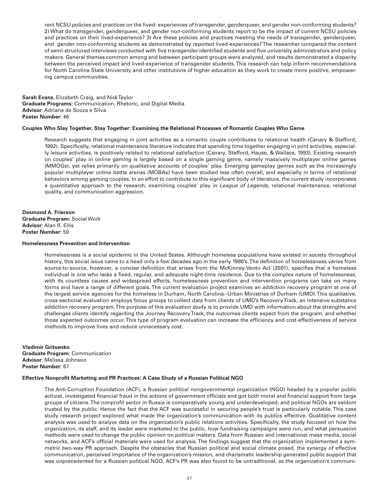rent NCSU policies and practices on the lived- experiences of transgender, genderqueer, and gender non-conforming students? 2) What do transgender, genderqueer, and gender non-conforming students report to be the impact of current NCSU policies and practices on their lived-experience? 3) Are these policies and practices meeting the needs of transgender, genderqueer, and gender non-conforming students as demonstrated by reported lived-experiences? The researcher compared the content of semi-structured interviews conducted with five transgender-identified students and five university administrators and policy makers. General themes common among and between participant groups were analyzed, and results demonstrated a disparity between the perceived impact and lived-experience of transgender students. This research can help inform recommendations for North Carolina State University and other institutions of higher education as they work to create more positive, empowering campus communities.

**Sarah Evans**, Elizabeth Craig, and Nick Taylor **Graduate Programs**: Communication, Rhetoric, and Digital Media **Advisor**: Adriana de Souza e Silva **Poster Number:** 46

#### **Couples Who Slay Together, Stay Together: Examining the Relational Processes of Romantic Couples Who Game**

Research suggests that engaging in joint activities as a romantic couple contributes to relational health (Canary & Stafford, 1992). Specifically, relational maintenance literature indicates that spending time together engaging in joint activities, especially leisure activities, is positively related to relational satisfaction (Canary, Stafford, Hause, & Wallace, 1993). Existing research on couples' play in online gaming is largely based on a single gaming genre, namely massively multiplayer online games (MMOGs), yet relies primarily on qualitative accounts of couples' play. Emerging gameplay genres such as the increasingly popular multiplayer online battle arenas (MOBAs) have been studied less often overall, and especially in terms of relational behaviors among gaming couples. In an effort to contribute to this significant body of literature, the current study incorporates a quantitative approach to the research, examining couples' play in *League of Legends*, relational maintenance, relational quality, and communication aggression.

**Desmond A. Frierson Graduate Program:** Social Work **Advisor:** Alan R. Ellis **Poster Number:** 50

#### **Homelessness Prevention and Intervention**

Homelessness is a social epidemic in the United States. Although homeless populations have existed in society throughout history, this social issue came to a head only a few decades ago in the early 1980's. The definition of homelessness varies from source-to-source, however, a concise definition that arises from the McKinney-Vento Act (2001), specifies that a homeless individual is one who lacks a fixed, regular, and adequate night-time residence. Due to the complex nature of homelessness, with its countless causes and widespread effects, homelessness prevention and intervention programs can take on many forms and have a range of different goals. The current evaluation project examines an addiction recovery program at one of the largest service agencies for the homeless in Durham, North Carolina--Urban Ministries of Durham (UMD). This qualitative, cross-sectional evaluation employs focus groups to collect data from clients of UMD's Recovery Track, an intensive substance addiction recovery program. The purpose of this evaluation study is to provide UMD with information about the strengths and challenges clients identify regarding the Journey Recovery Track, the outcomes clients expect from the program, and whether those expected outcomes occur. This type of program evaluation can increase the efficiency and cost-effectiveness of service methods to improve lives and reduce unnecessary cost.

**Vladimir Gritsenko Graduate Program**: Communication **Advisor**: Melissa Johnson **Poster Number:** 67

# **Effective Nonprofit Marketing and PR Practices: A Case Study of a Russian Political NGO**

The Anti-Corruption Foundation (ACF), a Russian political nongovernmental organization (NGO) headed by a popular public activist, investigated financial fraud in the actions of government officials and got both moral and financial support from large groups of citizens. The nonprofit sector in Russia is comparatively young and underdeveloped, and political NGOs are seldom trusted by the public. Hence the fact that the ACF was successful in securing people's trust is particularly notable. This case study research project explored what made the organization's communication with its publics effective. Qualitative content analysis was used to analyze data on the organization's public relations activities. Specifically, the study focused on how the organization, its staff, and its leader were marketed to the public, how fundraising campaigns were run, and what persuasion methods were used to change the public opinion on political matters. Data from Russian and international mass media, social networks, and ACF's official materials were used for analysis. The findings suggest that the organization implemented a symmetric two-way PR approach. Despite the obstacles that Russian political and social climate posed, the synergy of effective communication, perceived importance of the organization's mission, and charismatic leadership generated public support that was unprecedented for a Russian political NGO. ACF's PR was also found to be untraditional, as the organization's communi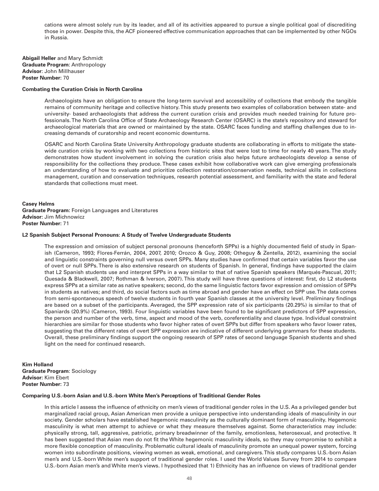cations were almost solely run by its leader, and all of its activities appeared to pursue a single political goal of discrediting those in power. Despite this, the ACF pioneered effective communication approaches that can be implemented by other NGOs in Russia.

**Abigail Heller** and Mary Schmidt **Graduate Program**: Anthropology **Advisor**: John Millhauser **Poster Number:** 70

#### **Combating the Curation Crisis in North Carolina**

Archaeologists have an obligation to ensure the long-term survival and accessibility of collections that embody the tangible remains of community heritage and collective history. This study presents two examples of collaboration between state- and university- based archaeologists that address the current curation crisis and provides much needed training for future professionals. The North Carolina Office of State Archaeology Research Center (OSARC) is the state's repository and steward for archaeological materials that are owned or maintained by the state. OSARC faces funding and staffing challenges due to increasing demands of curatorship and recent economic downturns.

OSARC and North Carolina State University Anthropology graduate students are collaborating in efforts to mitigate the statewide curation crisis by working with two collections from historic sites that were lost to time for nearly 40 years. The study demonstrates how student involvement in solving the curation crisis also helps future archaeologists develop a sense of responsibility for the collections they produce. These cases exhibit how collaborative work can give emerging professionals an understanding of how to evaluate and prioritize collection restoration/conservation needs, technical skills in collections management, curation and conservation techniques, research potential assessment, and familiarity with the state and federal standards that collections must meet.

**Casey Helms Graduate Program:** Foreign Languages and Literatures **Advisor:** Jim Michnowicz **Poster Number:** 71

#### **L2 Spanish Subject Personal Pronouns: A Study of Twelve Undergraduate Students**

The expression and omission of subject personal pronouns (henceforth SPPs) is a highly documented field of study in Spanish (Cameron, 1993; Flores-Ferrán, 2004, 2007, 2010; Orozco & Guy, 2008; Otheguy & Zentella, 2012), examining the social and linguistic constraints governing null versus overt SPPs. Many studies have confirmed that certain variables favor the use of overt or null SPPs. There is also extensive research on students of Spanish. In general, findings have supported the claim that L2 Spanish students use and interpret SPPs in a way similar to that of native Spanish speakers (Marqués-Pascual, 2011; Quesada & Blackwell, 2007; Rothman & Iverson, 2007). This study will have three questions of interest: first, do L2 students express SPPs at a similar rate as native speakers; second, do the same linguistic factors favor expression and omission of SPPs in students as natives; and third, do social factors such as time abroad and gender have an effect on SPP use. The data comes from semi-spontaneous speech of twelve students in fourth year Spanish classes at the university level. Preliminary findings are based on a subset of the participants. Averaged, the SPP expression rate of six participants (20.29%) is similar to that of Spaniards (20.9%) (Cameron, 1993). Four linguistic variables have been found to be significant predictors of SPP expression, the person and number of the verb, time, aspect and mood of the verb, coreferentiality and clause type. Individual constraint hierarchies are similar for those students who favor higher rates of overt SPPs but differ from speakers who favor lower rates, suggesting that the different rates of overt SPP expression are indicative of different underlying grammars for these students. Overall, these preliminary findings support the ongoing research of SPP rates of second language Spanish students and shed light on the need for continued research.

**Kim Holland Graduate Program**: Sociology **Advisor:** Kim Ebert **Poster Number:** 73

#### **Comparing U.S.-born Asian and U.S.-born White Men's Perceptions of Traditional Gender Roles**

In this article I assess the influence of ethnicity on men's views of traditional gender roles in the U.S. As a privileged gender but marginalized racial group, Asian American men provide a unique perspective into understanding ideals of masculinity in our society. Gender scholars have established hegemonic masculinity as the culturally dominant form of masculinity. Hegemonic masculinity is what men attempt to achieve or what they measure themselves against. Some characteristics may include: physically strong, tall, aggressive, patriotic, primary breadwinner of the family, emotionless, heterosexual, and protective. It has been suggested that Asian men do not fit the White hegemonic masculinity ideals, so they may compromise to exhibit a more flexible conception of masculinity. Problematic cultural ideals of masculinity promote an unequal power system, forcing women into subordinate positions, viewing women as weak, emotional, and caregivers. This study compares U.S.-born Asian men's and U.S.-born White men's support of traditional gender roles. I used the World Values Survey from 2014 to compare U.S.-born Asian men's and White men's views. I hypothesized that 1) Ethnicity has an influence on views of traditional gender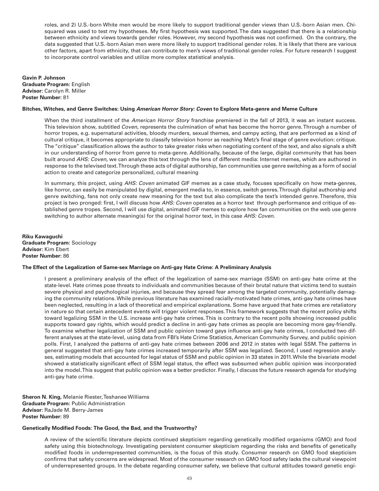roles, and 2) U.S.-born White men would be more likely to support traditional gender views than U.S.-born Asian men. Chisquared was used to test my hypotheses. My first hypothesis was supported. The data suggested that there is a relationship between ethnicity and views towards gender roles. However, my second hypothesis was not confirmed. On the contrary, the data suggested that U.S.-born Asian men were more likely to support traditional gender roles. It is likely that there are various other factors, apart from ethnicity, that can contribute to men's views of traditional gender roles. For future research I suggest to incorporate control variables and utilize more complex statistical analysis.

**Gavin P. Johnson Graduate Program:** English **Advisor:** Carolyn R. Miller **Poster Number:** 81

### **Bitches, Witches, and Genre Switches: Using** *American Horror Story: Coven* **to Explore Meta-genre and Meme Culture**

When the third installment of the *American Horror Story* franchise premiered in the fall of 2013, it was an instant success. This television show, subtitled *Coven*, represents the culmination of what has become the horror genre. Through a number of horror tropes, e.g. supernatural activities, bloody murders, sexual themes, and campy acting, that are performed as a kind of cultural critique, it becomes appropriate to classify television horror as reaching Metz's final stage of genre evolution: critique. The "critique" classification allows the author to take greater risks when negotiating content of the text, and also signals a shift in our understanding of horror from genre to meta-genre. Additionally, because of the large, digital community that has been built around *AHS: Coven*, we can analyze this text through the lens of different media: Internet memes, which are authored in response to the televised text. Through these acts of digital authorship, fan communities use genre switching as a form of social action to create and categorize personalized, cultural meaning

In summary, this project, using *AHS: Coven* animated GIF memes as a case study, focuses specifically on how meta-genres, like horror, can easily be manipulated by digital, emergent media to, in essence, switch genres. Through digital authorship and genre switching, fans not only create new meaning for the text but also complicate the text's intended genre. Therefore, this project is two pronged: first, I will discuss how *AHS: Coven* operates as a horror text through performance and critique of established genre tropes. Second, I will use digital, animated GIF memes to explore how fan communities on the web use genre switching to author alternate meaning(s) for the original horror text, in this case *AHS: Coven.*

**Riku Kawaguchi Graduate Program:** Sociology **Advisor:** Kim Ebert **Poster Number:** 86

#### **The Effect of the Legalization of Same-sex Marriage on Anti-gay Hate Crime: A Preliminary Analysis**

I present a preliminary analysis of the effect of the legalization of same-sex marriage (SSM) on anti-gay hate crime at the state-level. Hate crimes pose threats to individuals and communities because of their brutal nature that victims tend to sustain severe physical and psychological injuries, and because they spread fear among the targeted community, potentially damaging the community relations. While previous literature has examined racially-motivated hate crimes, anti-gay hate crimes have been neglected, resulting in a lack of theoretical and empirical explanations. Some have argued that hate crimes are retaliatory in nature so that certain antecedent events will trigger violent responses. This framework suggests that the recent policy shifts toward legalizing SSM in the U.S. increase anti-gay hate crimes. This is contrary to the recent polls showing increased public supports toward gay rights, which would predict a decline in anti-gay hate crimes as people are becoming more gay-friendly. To examine whether legalization of SSM and public opinion toward gays influence anti-gay hate crimes, I conducted two different analyses at the state-level, using data from FBI's Hate Crime Statistics, American Community Survey, and public opinion polls. First, I analyzed the patterns of anti-gay hate crimes between 2006 and 2012 in states with legal SSM. The patterns in general suggested that anti-gay hate crimes increased temporarily after SSM was legalized. Second, I used regression analyses, estimating models that accounted for legal status of SSM and public opinion in 33 states in 2011. While the bivariate model showed a statistically significant effect of SSM legal status, the effect was subsumed when public opinion was incorporated into the model. This suggest that public opinion was a better predictor. Finally, I discuss the future research agenda for studying anti-gay hate crime.

**Sheron N. King,** Melanie Riester, Teshanee Williams **Graduate Program:** Public Administration **Advisor:** RaJade M. Berry-James **Poster Number:** 89

#### **Genetically Modified Foods: The Good, the Bad, and the Trustworthy?**

A review of the scientific literature depicts continued skepticism regarding genetically modified organisms (GMO) and food safety using this biotechnology. Investigating persistent consumer skepticism regarding the risks and benefits of genetically modified foods in underrepresented communities, is the focus of this study. Consumer research on GMO food skepticism confirms that safety concerns are widespread. Most of the consumer research on GMO food safety lacks the cultural viewpoint of underrepresented groups. In the debate regarding consumer safety, we believe that cultural attitudes toward genetic engi-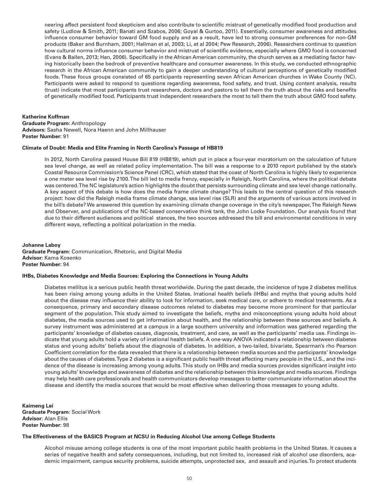neering affect persistent food skepticism and also contribute to scientific mistrust of genetically modified food production and safety (Ludlow & Smith, 2011; Banati and Szabos, 2006; Goyal & Gurtoo, 2011). Essentially, consumer awareness and attitudes influence consumer behavior toward GM food supply and as a result, have led to strong consumer preferences for non-GM products (Baker and Burnham, 2001; Hallman et al, 2003; Li, et al 2004; Pew Research, 2006). Researchers continue to question how cultural norms influence consumer behavior and mistrust of scientific evidence, especially where GMO food is concerned (Evans & Ballen, 2013; Han, 2006). Specifically in the African American community, the church serves as a mediating factor having historically been the bedrock of preventive healthcare and consumer awareness. In this study, we conducted ethnographic research in the African American community to gain a deeper understanding of cultural perceptions of genetically modified foods. These focus groups consisted of 65 participants representing seven African American churches in Wake County (NC). Participants were asked to respond to questions regarding awareness, food safety, and trust. Using content analysis, results (trust) indicate that most participants trust researchers, doctors and pastors to tell them the truth about the risks and benefits of genetically modified food. Participants trust independent researchers the most to tell them the truth about GMO food safety.

### **Katherine Koffman**

**Graduate Program:** Anthropology **Advisors:** Sasha Newell, Nora Haenn and John Millhauser **Poster Number:** 91

#### **Climate of Doubt: Media and Elite Framing in North Carolina's Passage of HB819**

In 2012, North Carolina passed House Bill 819 (HB819), which put in place a four-year moratorium on the calculation of future sea level change, as well as related policy implementation. The bill was a response to a 2010 report published by the state's Coastal Resource Commission's Science Panel (CRC), which stated that the coast of North Carolina is highly likely to experience a one meter sea level rise by 2100. The bill led to media frenzy, especially in Raleigh, North Carolina, where the political debate was centered. The NC legislature's action highlights the doubt that persists surrounding climate and sea level change nationally. A key aspect of this debate is how does the media frame climate change? This leads to the central question of this research project: how did the Raleigh media frame climate change, sea level rise (SLR) and the arguments of various actors involved in the bill's debate? We answered this question by examining climate change coverage in the city's newspaper, The Raleigh News and Observer, and publications of the NC-based conservative think tank, the John Locke Foundation. Our analysis found that due to their different audiences and political stances, the two sources addressed the bill and environmental conditions in very different ways, reflecting a political polarization in the media.

**Johanne Laboy Graduate Program:** Communication, Rhetoric, and Digital Media **Advisor:** Kama Kosenko **Poster Number:** 94

### **IHBs, Diabetes Knowledge and Media Sources: Exploring the Connections in Young Adults**

Diabetes mellitus is a serious public health threat worldwide. During the past decade, the incidence of type 2 diabetes mellitus has been rising among young adults in the United States. Irrational health beliefs (IHBs) and myths that young adults hold about the disease may influence their ability to look for information, seek medical care, or adhere to medical treatments. As a consequence, primary and secondary disease outcomes related to diabetes may become more prominent for that particular segment of the population. This study aimed to investigate the beliefs, myths and misconceptions young adults hold about diabetes, the media sources used to get information about health, and the relationship between these sources and beliefs. A survey instrument was administered at a campus in a large southern university and information was gathered regarding the participants' knowledge of diabetes causes, diagnosis, treatment, and care, as well as the participants' media use. Findings indicate that young adults hold a variety of irrational health beliefs. A one-way ANOVA indicated a relationship between diabetes status and young adults' beliefs about the diagnosis of diabetes. In addition, a two-tailed, bivariate, Spearman's rho Pearson Coefficient correlation for the data revealed that there is a relationship between media sources and the participants' knowledge about the causes of diabetes. Type 2 diabetes is a significant public health threat affecting many people in the U.S., and the incidence of the disease is increasing among young adults. This study on IHBs and media sources provides significant insight into young adults' knowledge and awareness of diabetes and the relationship between this knowledge and media sources. Findings may help health care professionals and health communicators develop messages to better communicate information about the disease and identify the media sources that would be most effective when delivering those messages to young adults.

**Kaimeng Lei Graduate Program:** Social Work **Advisor:** Alan Ellis **Poster Number:** 98

# **The Effectiveness of the BASICS Program at NCSU in Reducing Alcohol Use among College Students**

Alcohol misuse among college students is one of the most important public health problems in the United States. It causes a series of negative health and safety consequences, including, but not limited to, increased risk of alcohol use disorders, academic impairment, campus security problems, suicide attempts, unprotected sex, and assault and injuries. To protect students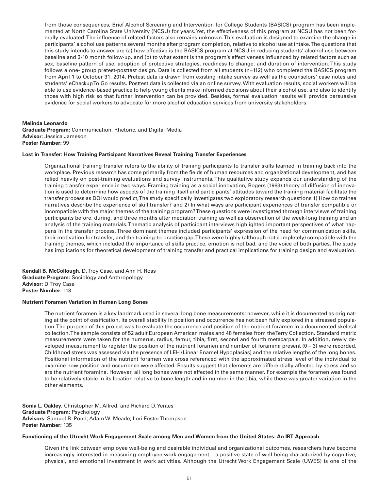from those consequences, Brief Alcohol Screening and Intervention for College Students (BASICS) program has been implemented at North Carolina State University (NCSU) for years. Yet, the effectiveness of this program at NCSU has not been formally evaluated. The influence of related factors also remains unknown. This evaluation is designed to examine the change in participants' alcohol use patterns several months after program completion, relative to alcohol use at intake. The questions that this study intends to answer are (a) how effective is the BASICS program at NCSU in reducing students' alcohol use between baseline and 3-10 month follow-up, and (b) to what extent is the program's effectiveness influenced by related factors such as sex, baseline pattern of use, adoption of protective strategies, readiness to change, and duration of intervention. This study follows a one- group pretest-posttest design. Data is collected from all students (n=112) who completed the BASICS program from April 1 to October 31, 2014. Pretest data is drawn from existing intake survey as well as the counselors' case notes and students' eCheckup To Go results. Posttest data is collected via an online survey. With evaluation results, social workers will be able to use evidence-based practice to help young clients make informed decisions about their alcohol use, and also to identify those with high risk so that further intervention can be provided. Besides, formal evaluation results will provide persuasive evidence for social workers to advocate for more alcohol education services from university stakeholders.

# **Melinda Leonardo**

**Graduate Program:** Communication, Rhetoric, and Digital Media **Advisor:** Jessica Jameson **Poster Number:** 99

#### **Lost in Transfer: How Training Participant Narratives Reveal Training Transfer Experiences**

Organizational training transfer refers to the ability of training participants to transfer skills learned in training back into the workplace. Previous research has come primarily from the fields of human resources and organizational development, and has relied heavily on post-training evaluations and survey instruments. This qualitative study expands our understanding of the training transfer experience in two ways. Framing training as a social innovation, Rogers (1983) theory of diffusion of innovation is used to determine how aspects of the training itself and participants' attitudes toward the training material facilitate the transfer process as DOI would predict, The study specifically investigates two exploratory research questions 1) How do trainee narratives describe the experience of skill transfer? and 2) In what ways are participant experiences of transfer compatible or incompatible with the major themes of the training program? These questions were investigated through interviews of training participants before, during, and three months after mediation training as well as observation of the week-long training and an analysis of the training materials. Thematic analysis of participant interviews highlighted important perspectives of what happens in the transfer process. Three dominant themes included participants' expression of the need for communication skills, their motivation for transfer, and the training-to-practice gap. These were highly (although not completely) compatible with the training themes, which included the importance of skills practice, emotion is not bad, and the voice of both parties. The study has implications for theoretical development of training transfer and practical implications for training design and evaluation.

**Kendall B. McCollough**, D. Troy Case, and Ann H. Ross **Graduate Program:** Sociology and Anthropology **Advisor:** D. Troy Case **Poster Number:** 113

#### **Nutrient Foramen Variation in Human Long Bones**

The nutrient foramen is a key landmark used in several long bone measurements; however, while it is documented as originating at the point of ossification, its overall stability in position and occurrence has not been fully explored in a stressed population. The purpose of this project was to evaluate the occurrence and position of the nutrient foramen in a documented skeletal collection. The sample consists of 52 adult European American males and 48 females from the Terry Collection. Standard metric measurements were taken for the humerus, radius, femur, tibia, first, second and fourth metacarpals. In addition, newly developed measurement to register the position of the nutrient foramen and number of foramina present  $(0 - 3)$  were recorded. Childhood stress was assessed via the presence of LEH (Linear Enamel Hypoplasias) and the relative lengths of the long bones. Positional information of the nutrient foramen was cross referenced with the approximated stress level of the individual to examine how position and occurrence were affected. Results suggest that elements are differentially affected by stress and so are the nutrient foramina. However, all long bones were not affected in the same manner. For example the foramen was found to be relatively stable in its location relative to bone length and in number in the tibia, while there was greater variation in the other elements.

**Sonia L. Oakley**, Christopher M. Allred, and Richard D. Yentes **Graduate Program**: Psychology **Advisors**: Samuel B. Pond; Adam W. Meade; Lori Foster Thompson **Poster Number:** 135

#### **Functioning of the Utrecht Work Engagement Scale among Men and Women from the United States: An IRT Approach**

Given the link between employee well-being and desirable individual and organizational outcomes, researchers have become increasingly interested in measuring employee work engagement – a positive state of well-being characterized by cognitive, physical, and emotional investment in work activities. Although the Utrecht Work Engagement Scale (UWES) is one of the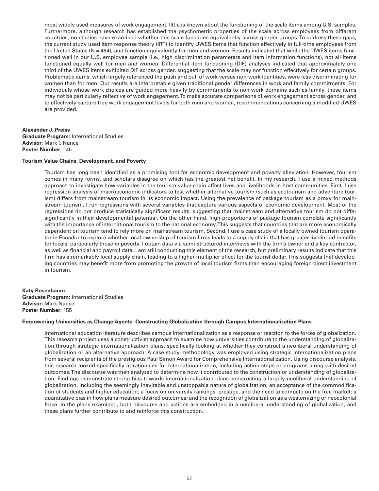most widely used measures of work engagement, little is known about the functioning of the scale items among U.S. samples. Furthermore, although research has established the psychometric properties of the scale across employees from different countries, no studies have examined whether this scale functions equivalently across gender groups. To address these gaps, the current study used item response theory (IRT) to identify UWES items that function effectively in full-time employees from the United States ( $N = 494$ ), and function equivalently for men and women. Results indicated that while the UWES items functioned well in our U.S. employee sample (i.e., high discrimination parameters and item information functions), not all items functioned equally well for men and women. Differential item functioning (DIF) analyses indicated that approximately one third of the UWES items exhibited DIF across gender, suggesting that the scale may not function effectively for certain groups. Problematic items, which largely referenced the push and pull of work versus non-work identities, were less discriminating for women than for men. Our results are interpretable given traditional gender differences in work and family commitments. For individuals whose work choices are guided more heavily by commitments to non-work domains such as family, these items may not be particularly reflective of work engagement. To make accurate comparisons of work engagement across gender, and to effectively capture true work engagement levels for both men and women, recommendations concerning a modified UWES are provided.

# **Alexander J. Preiss Graduate Program**: International Studies **Advisor**: Mark T. Nance **Poster Number:** 145

# **Tourism Value Chains, Development, and Poverty**

Tourism has long been identified as a promising tool for economic development and poverty alleviation. However, tourism comes in many forms, and scholars disagree on which has the greatest net benefit. In my research, I use a mixed-methods approach to investigate how variables in the tourism value chain affect lives and livelihoods in host communities. First, I use regression analysis of macroeconomic indicators to test whether alternative tourism (such as ecotourism and adventure tourism) differs from mainstream tourism in its economic impact. Using the prevalence of package tourism as a proxy for mainstream tourism, I run regressions with several variables that capture various aspects of economic development. Most of the regressions do not produce statistically significant results, suggesting that mainstream and alternative tourism do not differ significantly in their developmental potential. On the other hand, high proportions of package tourism correlate significantly with the importance of international tourism to the national economy. This suggests that countries that are more economically dependent on tourism tend to rely more on mainstream tourism. Second, I use a case study of a locally owned tourism operator in Ecuador to explore whether local ownership of tourism firms leads to a supply chain that has greater livelihood benefits for locals, particularly those in poverty. I obtain data via semi-structured interviews with the firm's owner and a key contractor, as well as financial and payroll data. I am still conducting this element of the research, but preliminary results indicate that this firm has a remarkably local supply chain, leading to a higher multiplier effect for the tourist dollar. This suggests that developing countries may benefit more from promoting the growth of local tourism firms than encouraging foreign direct investment in tourism.

**Katy Rosenbaum Graduate Program:** International Studies **Advisor:** Mark Nance **Poster Number:** 155

#### **Empowering Universities as Change Agents: Constructing Globalization through Campus Internationalization Plans**

International education literature describes campus internationalization as a response or reaction to the forces of globalization. This research project uses a constructivist approach to examine how universities contribute to the understanding of globalization through strategic internationalization plans, specifically looking at whether they construct a neoliberal understanding of globalization or an alternative approach. A case study methodology was employed using strategic internationalization plans from several recipients of the prestigious Paul Simon Award for Comprehensive Internationalization. Using discourse analysis, this research looked specifically at rationales for internationalization, including action steps or programs along with desired outcomes. The discourse was then analyzed to determine how it contributed to the construction or understanding of globalization. Findings demonstrate strong bias towards internationalization plans constructing a largely neoliberal understanding of globalization, including the seemingly inevitable and unstoppable nature of globalization; an acceptance of the commodification of students and higher education; a focus on university rankings, prestige, and the need to compete on the free market; a quantitative bias in how plans measure desired outcomes; and the recognition of globalization as a westernizing or neocolonial force. In the plans examined, both discourse and actions are embedded in a neoliberal understanding of globalization, and these plans further contribute to and reinforce this construction.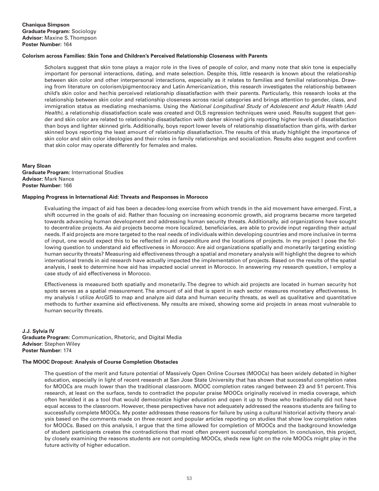# **Colorism across Families: Skin Tone and Children's Perceived Relationship Closeness with Parents**

Scholars suggest that skin tone plays a major role in the lives of people of color, and many note that skin tone is especially important for personal interactions, dating, and mate selection. Despite this, little research is known about the relationship between skin color and other interpersonal interactions, especially as it relates to families and familial relationships. Drawing from literature on colorism/pigmentocracy and Latin Americanization, this research investigates the relationship between child's skin color and her/his perceived relationship dissatisfaction with their parents. Particularly, this research looks at the relationship between skin color and relationship closeness across racial categories and brings attention to gender, class, and immigration status as mediating mechanisms. Using the *National Longitudinal Study of Adolescent and Adult Health* (*Add Health)*, a relationship dissatisfaction scale was created and OLS regression techniques were used. Results suggest that gender and skin color are related to relationship dissatisfaction with darker skinned girls reporting higher levels of dissatisfaction than boys and lighter skinned girls. Additionally, boys report lower levels of relationship dissatisfaction than girls, with darker skinned boys reporting the least amount of relationship dissatisfaction. The results of this study highlight the importance of skin color and skin color ideologies and their roles in family relationships and socialization. Results also suggest and confirm that skin color may operate differently for females and males.

**Mary Sloan Graduate Program:** International Studies **Advisor:** Mark Nance **Poster Number:** 166

#### **Mapping Progress in International Aid: Threats and Responses in Morocco**

Evaluating the impact of aid has been a decades-long exercise from which trends in the aid movement have emerged. First, a shift occurred in the goals of aid. Rather than focusing on increasing economic growth, aid programs became more targeted towards advancing human development and addressing human security threats. Additionally, aid organizations have sought to decentralize projects. As aid projects become more localized, beneficiaries, are able to provide input regarding their actual needs. If aid projects are more targeted to the real needs of individuals within developing countries and more inclusive in terms of input, one would expect this to be reflected in aid expenditure and the locations of projects. In my project I pose the following question to understand aid effectiveness in Morocco: Are aid organizations spatially and monetarily targeting existing human security threats? Measuring aid effectiveness through a spatial and monetary analysis will highlight the degree to which international trends in aid research have actually impacted the implementation of projects. Based on the results of the spatial analysis, I seek to determine how aid has impacted social unrest in Morocco. In answering my research question, I employ a case study of aid effectiveness in Morocco.

Effectiveness is measured both spatially and monetarily. The degree to which aid projects are located in human security hot spots serves as a spatial measurement. The amount of aid that is spent in each sector measures monetary effectiveness. In my analysis I utilize ArcGIS to map and analyze aid data and human security threats, as well as qualitative and quantitative methods to further examine aid effectiveness. My results are mixed, showing some aid projects in areas most vulnerable to human security threats.

**J.J. Sylvia IV Graduate Program**: Communication, Rhetoric, and Digital Media **Advisor**: Stephen Wiley **Poster Number:** 174

# **The MOOC Dropout: Analysis of Course Completion Obstacles**

The question of the merit and future potential of Massively Open Online Courses (MOOCs) has been widely debated in higher education, especially in light of recent research at San Jose State University that has shown that successful completion rates for MOOCs are much lower than the traditional classroom. MOOC completion rates ranged between 23 and 51 percent. This research, at least on the surface, tends to contradict the popular praise MOOCs originally received in media coverage, which often heralded it as a tool that would democratize higher education and open it up to those who traditionally did not have equal access to the classroom. However, these perspectives have not adequately addressed the reasons students are failing to successfully complete MOOCs. My poster addresses these reasons for failure by using a cultural historical activity theory analysis based on the comments made on three recent and popular articles reporting on studies that show low completion rates for MOOCs. Based on this analysis, I argue that the time allowed for completion of MOOCs and the background knowledge of student participants creates the contradictions that most often prevent successful completion. In conclusion, this project, by closely examining the reasons students are not completing MOOCs, sheds new light on the role MOOCs might play in the future activity of higher education.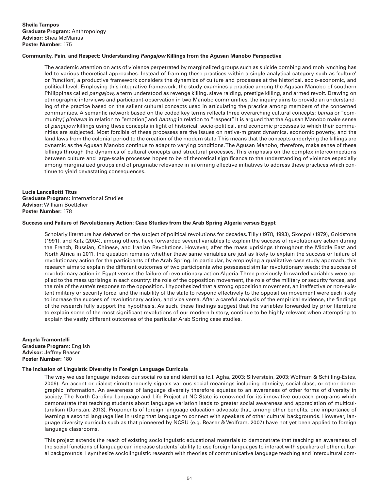# **Community, Pain, and Respect: Understanding** *Pangajow* **Killings from the Agusan Manobo Perspective**

The academic attention on acts of violence perpetrated by marginalized groups such as suicide bombing and mob lynching has led to various theoretical approaches. Instead of framing these practices within a single analytical category such as 'culture' or 'function', a productive framework considers the dynamics of culture and processes at the historical, socio-economic, and political level. Employing this integrative framework, the study examines a practice among the Agusan Manobo of southern Philippines called *pangajow,* a term understood as revenge killing, slave raiding, prestige killing, and armed revolt. Drawing on ethnographic interviews and participant-observation in two Manobo communities, the inquiry aims to provide an understanding of the practice based on the salient cultural concepts used in articulating the practice among members of the concerned communities. A semantic network based on the coded key terms reflects three overarching cultural concepts: *banua* or "community", *ginhawa* in relation to "emotion", and *bantug* in relation to "respect". It is argued that the Agusan Manobo make sense of *pangajow* killings using these concepts in light of historical, socio-political, and economic processes to which their communities are subjected. Most forcible of these processes are the issues on native-migrant dynamics, economic poverty, and the land laws from the colonial period to the creation of the modern state. This means that the concepts underlying the killings are dynamic as the Agusan Manobo continue to adapt to varying conditions. The Agusan Manobo, therefore, make sense of these killings through the dynamics of cultural concepts and structural processes. This emphasis on the complex interconnections between culture and large-scale processes hopes to be of theoretical significance to the understanding of violence especially among marginalized groups and of pragmatic relevance in informing effective initiatives to address these practices which continue to yield devastating consequences.

**Lucia Lancellotti Titus Graduate Program:** International Studies **Advisor**: William Boettcher **Poster Number:** 178

#### **Success and Failure of Revolutionary Action: Case Studies from the Arab Spring Algeria versus Egypt**

Scholarly literature has debated on the subject of political revolutions for decades. Tilly (1978, 1993), Skocpol (1979), Goldstone (1991), and Katz (2004), among others, have forwarded several variables to explain the success of revolutionary action during the French, Russian, Chinese, and Iranian Revolutions. However, after the mass uprisings throughout the Middle East and North Africa in 2011, the question remains whether these same variables are just as likely to explain the success or failure of revolutionary action for the participants of the Arab Spring. In particular, by employing a qualitative case study approach, this research aims to explain the different outcomes of two participants who possessed similar revolutionary seeds: the success of revolutionary action in Egypt versus the failure of revolutionary action Algeria. Three previously forwarded variables were applied to the mass uprisings in each country: the role of the opposition movement, the role of the military or security forces, and the role of the state's response to the opposition. I hypothesized that a strong opposition movement, an ineffective or non-existent military or security force, and the inability of the state to respond effectively to the opposition movement were each likely to increase the success of revolutionary action, and vice versa. After a careful analysis of the empirical evidence, the findings of the research fully support the hypothesis. As such, these findings suggest that the variables forwarded by prior literature to explain some of the most significant revolutions of our modern history, continue to be highly relevant when attempting to explain the vastly different outcomes of the particular Arab Spring case studies.

**Angela Tramontelli Graduate Program:** English **Advisor:** Jeffrey Reaser **Poster Number:** 180

# **The Inclusion of Linguistic Diversity in Foreign Language Curricula**

The way we use language indexes our social roles and identities (c.f. Agha, 2003; Silverstein, 2003; Wolfram & Schilling-Estes, 2006). An accent or dialect simultaneously signals various social meanings including ethnicity, social class, or other demographic information. An awareness of language diversity therefore equates to an awareness of other forms of diversity in society. The North Carolina Language and Life Project at NC State is renowned for its innovative outreach programs which demonstrate that teaching students about language variation leads to greater social awareness and appreciation of multiculturalism (Dunstan, 2013). Proponents of foreign language education advocate that, among other benefits, one importance of learning a second language lies in using that language to connect with speakers of other cultural backgrounds. However, language diversity curricula such as that pioneered by NCSU (e.g. Reaser & Wolfram, 2007) have not yet been applied to foreign language classrooms.

This project extends the reach of existing sociolinguistic educational materials to demonstrate that teaching an awareness of the social functions of language can increase students' ability to use foreign languages to interact with speakers of other cultural backgrounds. I synthesize sociolinguistic research with theories of communicative language teaching and intercultural com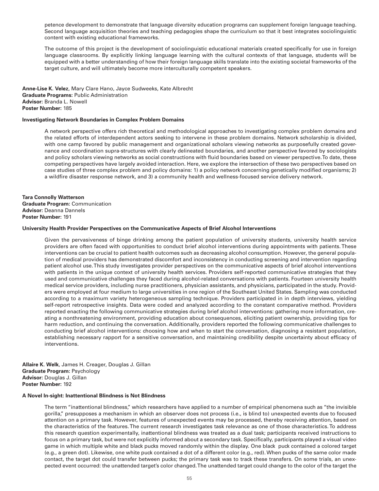petence development to demonstrate that language diversity education programs can supplement foreign language teaching. Second language acquisition theories and teaching pedagogies shape the curriculum so that it best integrates sociolinguistic content with existing educational frameworks.

The outcome of this project is the development of sociolinguistic educational materials created specifically for use in foreign language classrooms. By explicitly linking language learning with the cultural contexts of that language, students will be equipped with a better understanding of how their foreign language skills translate into the existing societal frameworks of the target culture, and will ultimately become more interculturally competent speakers.

**Anne-Lise K. Velez**, Mary Clare Hano, Jayce Sudweeks, Kate Albrecht **Graduate Programs:** Public Administration **Advisor:** Branda L. Nowell **Poster Number:** 185

#### **Investigating Network Boundaries in Complex Problem Domains**

A network perspective offers rich theoretical and methodological approaches to investigating complex problem domains and the related efforts of interdependent actors seeking to intervene in these problem domains. Network scholarship is divided, with one camp favored by public management and organizational scholars viewing networks as purposefully created governance and coordination supra-structures with clearly delineated boundaries, and another perspective favored by sociologists and policy scholars viewing networks as social constructions with fluid boundaries based on viewer perspective. To date, these competing perspectives have largely avoided interaction. Here, we explore the intersection of these two perspectives based on case studies of three complex problem and policy domains: 1) a policy network concerning genetically modified organisms; 2) a wildfire disaster response network, and 3) a community health and wellness-focused service delivery network.

**Tara Connolly Watterson Graduate Program:** Communication **Advisor:** Deanna Dannels **Poster Number:** 191

#### **University Health Provider Perspectives on the Communicative Aspects of Brief Alcohol Interventions**

Given the pervasiveness of binge drinking among the patient population of university students, university health service providers are often faced with opportunities to conduct brief alcohol interventions during appointments with patients. These interventions can be crucial to patient health outcomes such as decreasing alcohol consumption. However, the general population of medical providers has demonstrated discomfort and inconsistency in conducting screening and intervention regarding patient alcohol use. This study investigates provider perspectives on the communicative aspects of brief alcohol interventions with patients in the unique context of university health services. Providers self-reported communicative strategies that they used and communicative challenges they faced during alcohol-related conversations with patients. Fourteen university health medical service providers, including nurse practitioners, physician assistants, and physicians, participated in the study. Providers were employed at four medium to large universities in one region of the Southeast United States. Sampling was conducted according to a maximum variety heterogeneous sampling technique. Providers participated in in depth interviews, yielding self-report retrospective insights. Data were coded and analyzed according to the constant comparative method. Providers reported enacting the following communicative strategies during brief alcohol interventions: gathering more information, creating a nonthreatening environment, providing education about consequences, eliciting patient ownership, providing tips for harm reduction, and continuing the conversation. Additionally, providers reported the following communicative challenges to conducting brief alcohol interventions: choosing how and when to start the conversation, diagnosing a resistant population, establishing necessary rapport for a sensitive conversation, and maintaining credibility despite uncertainty about efficacy of interventions.

**Allaire K. Welk**, James H. Creager, Douglas J. Gillan **Graduate Program:** Psychology **Advisor:** Douglas J. Gillan **Poster Number:** 192

#### **A Novel In-sight: Inattentional Blindness is Not Blindness**

The term "inattentional blindness," which researchers have applied to a number of empirical phenomena such as "the invisible gorilla," presupposes a mechanism in which an observer does not process (i.e., is blind to) unexpected events due to focused attention on a primary task. However, features of unexpected events may be processed, thereby receiving attention, based on the characteristics of the features. The current research investigates task relevance as one of those characteristics. To address this research question experimentally, inattentional blindness was treated as a dual task; participants received instructions to focus on a primary task, but were not explicitly informed about a secondary task. Specifically, participants played a visual video game in which multiple white and black pucks moved randomly within the display. One black puck contained a colored target (e.g., a green dot). Likewise, one white puck contained a dot of a different color (e.g., red). When pucks of the same color made contact, the target dot could transfer between pucks; the primary task was to track these transfers. On some trials, an unexpected event occurred: the unattended target's color changed. The unattended target could change to the color of the target the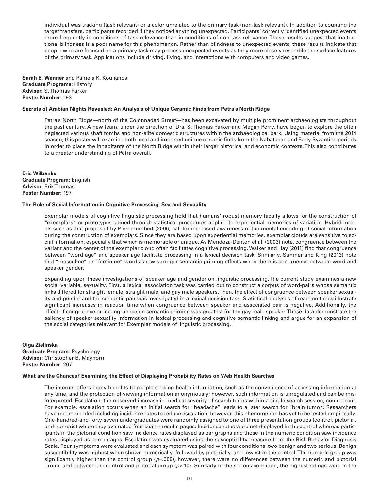individual was tracking (task relevant) or a color unrelated to the primary task (non-task relevant). In addition to counting the target transfers, participants recorded if they noticed anything unexpected. Participants' correctly identified unexpected events more frequently in conditions of task relevance than in conditions of non-task relevance. These results suggest that inattentional blindness is a poor name for this phenomenon. Rather than blindness to unexpected events, these results indicate that people who are focused on a primary task may process unexpected events as they more closely resemble the surface features of the primary task. Applications include driving, flying, and interactions with computers and video games.

**Sarah E. Wenner** and Pamela K. Koulianos **Graduate Programs:** History **Adviser:** S. Thomas Parker **Poster Number:** 193

### **Secrets of Arabian Nights Revealed: An Analysis of Unique Ceramic Finds from Petra's North Ridge**

Petra's North Ridge—north of the Colonnaded Street—has been excavated by multiple prominent archaeologists throughout the past century. A new team, under the direction of Drs. S. Thomas Parker and Megan Perry, have begun to explore the often neglected various shaft tombs and non-elite domestic structures within the archaeological park. Using material from the 2014 season, this poster will examine both local and imported unique ceramic finds from the Nabataean and Early Byzantine periods in order to place the inhabitants of the North Ridge within their larger historical and economic contexts. This also contributes to a greater understanding of Petra overall.

**Eric Wilbanks Graduate Program:** English **Advisor:** Erik Thomas **Poster Number:** 197

#### **The Role of Social Information in Cognitive Processing: Sex and Sexuality**

Exemplar models of cognitive linguistic processing hold that humans' robust memory faculty allows for the construction of "exemplars" or prototypes gained through statistical procedures applied to experiential memories of variation. Hybrid models such as that proposed by Pierrehumbert (2006) call for increased awareness of the mental encoding of social information during the construction of exemplars. Since they are based upon experiential memories, exemplar clouds are sensitive to social information, especially that which is memorable or unique. As Mendoza-Denton et al. (2003) note, congruence between the variant and the center of the exemplar cloud often facilitates cognitive processing. Walker and Hay (2011) find that congruence between "word age" and speaker age facilitate processing in a lexical decision task. Similarly, Sumner and King (2013) note that "masculine" or "feminine" words show stronger semantic priming effects when there is congruence between word and speaker gender.

Expanding upon these investigations of speaker age and gender on linguistic processing, the current study examines a new social variable, sexuality. First, a lexical association task was carried out to construct a corpus of word-pairs whose semantic links differed for straight female, straight male, and gay male speakers. Then, the effect of congruence between speaker sexuality and gender and the semantic pair was investigated in a lexical decision task. Statistical analyses of reaction times illustrate significant increases in reaction time when congruence between speaker and associated pair is negative. Additionally, the effect of congruence or incongruence on semantic priming was greatest for the gay male speaker. These data demonstrate the saliency of speaker sexuality information in lexical processing and cognitive semantic linking and argue for an expansion of the social categories relevant for Exemplar models of linguistic processing.

**Olga Zielinska Graduate Program:** Psychology **Advisor:** Christopher B. Mayhorn **Poster Number:** 207

#### **What are the Chances? Examining the Effect of Displaying Probability Rates on Web Health Searches**

The internet offers many benefits to people seeking health information, such as the convenience of accessing information at any time, and the protection of viewing information anonymously; however, such information is unregulated and can be misinterpreted. Escalation, the observed increase in medical severity of search terms within a single search session, could occur. For example, escalation occurs when an initial search for "headache" leads to a later search for "brain tumor". Researchers have recommended including incidence rates to reduce escalation; however, this phenomenon has yet to be tested empirically. One-hundred-and-forty-seven undergraduates were randomly assigned to one of three presentation groups (control, pictorial, and numeric) where they evaluated four search results pages. Incidence rates were not displayed in the control whereas participants in the pictorial condition saw incidence rates displayed as bar graphs and those in the numeric condition saw incidence rates displayed as percentages. Escalation was evaluated using the susceptibility measure from the Risk Behavior Diagnosis Scale. Four symptoms were evaluated and each symptom was paired with four conditions: two benign and two serious. Benign susceptibility was highest when shown numerically, followed by pictorially, and lowest in the control. The numeric group was significantly higher than the control group (*p=*.009); however, there were no differences between the numeric and pictorial group, and between the control and pictorial group (*p<*.10). Similarly in the serious condition, the highest ratings were in the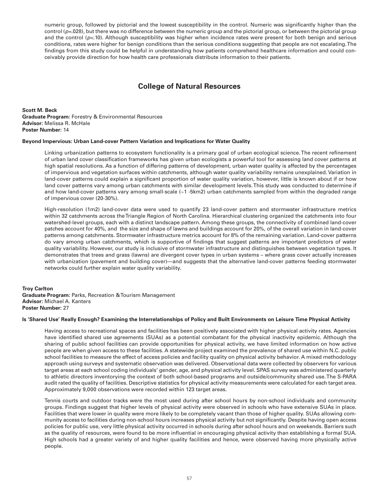numeric group, followed by pictorial and the lowest susceptibility in the control. Numeric was significantly higher than the control ( $p=0.028$ ), but there was no difference between the numeric group and the pictorial group, or between the pictorial group and the control ( $p<.10$ ). Although susceptibility was higher when incidence rates were present for both benign and serious conditions, rates were higher for benign conditions than the serious conditions suggesting that people are not escalating. The findings from this study could be helpful in understanding how patients comprehend healthcare information and could conceivably provide direction for how health care professionals distribute information to their patients.

# **College of Natural Resources**

**Scott M. Beck Graduate Program:** Forestry & Environmental Resources **Advisor:** Melissa R. McHale **Poster Number:** 14

# **Beyond Impervious: Urban Land-cover Pattern Variation and Implications for Water Quality**

Linking urbanization patterns to ecosystem functionality is a primary goal of urban ecological science. The recent refinement of urban land cover classification frameworks has given urban ecologists a powerful tool for assessing land cover patterns at high spatial resolutions. As a function of differing patterns of development, urban water quality is affected by the percentages of impervious and vegetation surfaces within catchments, although water quality variability remains unexplained. Variation in land-cover patterns could explain a significant proportion of water quality variation, however, little is known about if or how land cover patterns vary among urban catchments with similar development levels. This study was conducted to determine if and how land-cover patterns vary among small-scale (~1 -5km2) urban catchments sampled from within the degraded range of impervious cover (20-30%).

High-resolution (1m2) land-cover data were used to quantify 23 land-cover pattern and stormwater infrastructure metrics within 32 catchments across the Triangle Region of North Carolina. Hierarchical clustering organized the catchments into four watershed-level groups, each with a distinct landscape pattern. Among these groups, the connectivity of combined land-cover patches account for 40%, and the size and shape of lawns and buildings account for 20%, of the overall variation in land-cover patterns among catchments. Stormwater infrastructure metrics account for 8% of the remaining variation. Land-cover patterns do vary among urban catchments, which is supportive of findings that suggest patterns are important predictors of water quality variability. However, our study is inclusive of stormwater infrastructure and distinguishes between vegetation types. It demonstrates that trees and grass (lawns) are divergent cover types in urban systems – where grass cover actually increases with urbanization (pavement and building cover)—and suggests that the alternative land-cover patterns feeding stormwater networks could further explain water quality variability.

**Troy Carlton Graduate Program:** Parks, Recreation & Tourism Management **Advisor:** Michael A. Kanters **Poster Number:** 27

#### **Is 'Shared Use' Really Enough? Examining the Interrelationships of Policy and Built Environments on Leisure Time Physical Activity**

Having access to recreational spaces and facilities has been positively associated with higher physical activity rates. Agencies have identified shared use agreements (SUAs) as a potential combatant for the physical inactivity epidemic. Although the sharing of public school facilities can provide opportunities for physical activity, we have limited information on how active people are when given access to these facilities. A statewide project examined the prevalence of shared use within N.C. public school facilities to measure the effect of access policies and facility quality on physical activity behavior. A mixed methodology approach using surveys and systematic observation was delivered. Observational data were collected by observers for various target areas at each school coding individuals' gender, age, and physical activity level. SPAS survey was administered quarterly to athletic directors inventorying the context of both school-based programs and outside/community shared use. The S-PARA audit rated the quality of facilities. Descriptive statistics for physical activity measurements were calculated for each target area. Approximately 9,000 observations were recorded within 123 target areas.

Tennis courts and outdoor tracks were the most used during after school hours by non-school individuals and community groups. Findings suggest that higher levels of physical activity were observed in schools who have extensive SUAs in place. Facilities that were lower in quality were more likely to be completely vacant than those of higher quality. SUAs allowing community access to facilities during non-school hours increases physical activity but not significantly. Despite having open access policies for public use, very little physical activity occurred in schools during after school hours and on weekends. Barriers such as the quality of resources, were found to be more influential in encouraging physical activity than establishing a formal SUA. High schools had a greater variety of and higher quality facilities and hence, were observed having more physically active people.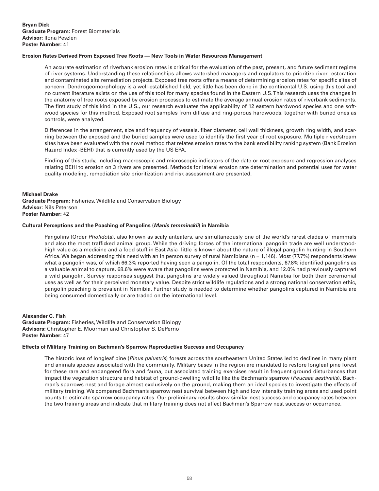# **Erosion Rates Derived From Exposed Tree Roots — New Tools in Water Resources Management**

An accurate estimation of riverbank erosion rates is critical for the evaluation of the past, present, and future sediment regime of river systems. Understanding these relationships allows watershed managers and regulators to prioritize river restoration and contaminated site remediation projects. Exposed tree roots offer a means of determining erosion rates for specific sites of concern. Dendrogeomorphology is a well-established field, yet little has been done in the continental U.S. using this tool and no current literature exists on the use of this tool for many species found in the Eastern U.S. This research uses the changes in the anatomy of tree roots exposed by erosion processes to estimate the average annual erosion rates of riverbank sediments. The first study of this kind in the U.S., our research evaluates the applicability of 12 eastern hardwood species and one softwood species for this method. Exposed root samples from diffuse and ring-porous hardwoods, together with buried ones as controls, were analyzed.

Differences in the arrangement, size and frequency of vessels, fiber diameter, cell wall thickness, growth ring width, and scarring between the exposed and the buried samples were used to identify the first year of root exposure. Multiple river/stream sites have been evaluated with the novel method that relates erosion rates to the bank erodibility ranking system (Bank Erosion Hazard Index -BEHI) that is currently used by the US EPA.

Finding of this study, including macroscopic and microscopic indicators of the date or root exposure and regression analyses relating BEHI to erosion on 3 rivers are presented. Methods for lateral erosion rate determination and potential uses for water quality modeling, remediation site prioritization and risk assessment are presented.

#### **Michael Drake**

**Graduate Program:** Fisheries, Wildlife and Conservation Biology **Advisor:** Nils Peterson **Poster Number:** 42

#### **Cultural Perceptions and the Poaching of Pangolins (***Manis temminckii***) in Namibia**

Pangolins (Order *Pholidota*), also known as scaly anteaters, are simultaneously one of the world's rarest clades of mammals and also the most trafficked animal group. While the driving forces of the international pangolin trade are well understoodhigh value as a medicine and a food stuff in East Asia- little is known about the nature of illegal pangolin hunting in Southern Africa. We began addressing this need with an in person survey of rural Namibians ( $n = 1,146$ ). Most (77.7%) respondents knew what a pangolin was, of which 66.3% reported having seen a pangolin. Of the total respondents, 67.8% identified pangolins as a valuable animal to capture, 68.6% were aware that pangolins were protected in Namibia, and 12.0% had previously captured a wild pangolin. Survey responses suggest that pangolins are widely valued throughout Namibia for both their ceremonial uses as well as for their perceived monetary value. Despite strict wildlife regulations and a strong national conservation ethic, pangolin poaching is prevalent in Namibia. Further study is needed to determine whether pangolins captured in Namibia are being consumed domestically or are traded on the international level.

# **Alexander C. Fish**

**Graduate Program:** Fisheries, Wildlife and Conservation Biology **Advisors:** Christopher E. Moorman and Christopher S. DePerno **Poster Number:** 47

# **Effects of Military Training on Bachman's Sparrow Reproductive Success and Occupancy**

The historic loss of longleaf pine (*Pinus palustris*) forests across the southeastern United States led to declines in many plant and animals species associated with the community. Military bases in the region are mandated to restore longleaf pine forest for these rare and endangered flora and fauna, but associated training exercises result in frequent ground disturbances that impact the vegetation structure and habitat of ground-dwelling wildlife like the Bachman's sparrow (*Peucaea aestivalis*). Bachman's sparrows nest and forage almost exclusively on the ground, making them an ideal species to investigate the effects of military training. We compared Bachman's sparrow nest survival between high and low intensity training areas and used point counts to estimate sparrow occupancy rates. Our preliminary results show similar nest success and occupancy rates between the two training areas and indicate that military training does not affect Bachman's Sparrow nest success or occurrence.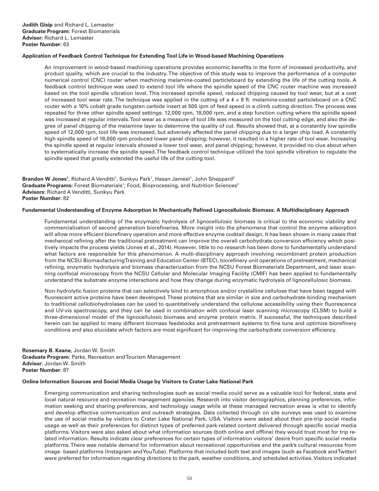# **Application of Feedback Control Technique for Extending Tool Life in Wood-based Machining Operations**

An improvement in wood-based machining operations provides economic benefits in the form of increased productivity, and product quality, which are crucial to the industry. The objective of this study was to improve the performance of a computer numerical control (CNC) router when machining melamine-coated particleboard by extending the life of the cutting tools. A feedback control technique was used to extend tool life where the spindle speed of the CNC router machine was increased based on the tool spindle vibration level. This increased spindle speed, reduced chipping caused by tool wear, but at a cost of increased tool wear rate. The technique was applied in the cutting of a 4 × 8 ft. melamine-coated particleboard on a CNC router with a 10% cobalt grade tungsten carbide insert at 500 ipm of feed speed in a climb cutting direction. The process was repeated for three other spindle speed settings: 12,000 rpm, 18,000 rpm, and a step function cutting where the spindle speed was increased at regular intervals. Tool wear as a measure of tool life was measured on the tool cutting edge, and also the degree of panel chipping of the melamine layer to determine the quality of cut. Results showed that, at a constantly low spindle speed of 12,000 rpm, tool life was increased, but adversely affected the panel chipping due to a larger chip load. A constantly high spindle speed of 18,000 rpm produced lower panel chipping; however, it resulted in a higher rate of tool wear. Increasing the spindle speed at regular intervals showed a lower tool wear, and panel chipping; however, it provided no clue about when to systematically increase the spindle speed. The feedback control technique utilized the tool spindle vibration to regulate the spindle speed that greatly extended the useful life of the cutting tool.

**Brandon W Jones<sup>1</sup>, Richard A Venditti<sup>1</sup>, Sunkyu Park<sup>1</sup>, Hasan Jameel<sup>1</sup>, John Sheppard<sup>2</sup>** Graduate Programs: Forest Biomaterials<sup>1</sup>; Food, Bioprocessing, and Nutrition Sciences<sup>2</sup> **Advisors:** Richard A Venditti, Sunkyu Park **Poster Number:** 82

#### **Fundamental Understanding of Enzyme Adsorption In Mechanically Refined Lignocellulosic Biomass: A Multidisciplinary Approach**

Fundamental understanding of the enzymatic hydrolysis of lignocellulosic biomass is critical to the economic viability and commercialization of second generation biorefineries. More insight into the phenomena that control the enzyme adsorption will allow more efficient biorefinery operation and more effective enzyme cocktail design. It has been shown in many cases that mechanical refining after the traditional pretreatment can improve the overall carbohydrate conversion efficiency which positively impacts the process yields (Jones et al., 2014). However, little to no research has been done to fundamentally understand what factors are responsible for this phenomenon. A multi-disciplinary approach involving recombinant protein production from the NCSU Biomaufacturing Training and Education Center (BTEC), biorefinery unit operations of pretreatment, mechanical refining, enzymatic hydrolysis and biomass characterization from the NCSU Forest Biomaterials Department, and laser scanning confocal microscopy from the NCSU Cellular and Molecular Imaging Facility (CMIF) has been applied to fundamentally understand the substrate enzyme interactions and how they change during enzymatic hydrolysis of lignocellulosic biomass.

Non-hydrolytic fusion proteins that can selectively bind to amorphous and/or crystalline cellulose that have been tagged with fluorescent active proteins have been developed. These proteins that are similar in size and carbohydrate-binding mechanism to traditional cellobiohydrolases can be used to quantitatively understand the cellulose accessibility using their fluorescence and UV-vis spectroscopy, and they can be used in combination with confocal laser scanning microscopy (CLSM) to build a three-dimensional model of the lignocellulosic biomass and enzyme protein matrix. If successful, the techniques described herein can be applied to many different biomass feedstocks and pretreatment systems to fine tune and optimize biorefinery conditions and also elucidate which factors are most significant for improving the carbohydrate conversion efficiency.

**Rosemary B. Keane**, Jordan W. Smith **Graduate Program**: Parks, Recreation and Tourism Management **Advisor**: Jordan W. Smith **Poster Number:** 87

#### **Online Information Sources and Social Media Usage by Visitors to Crater Lake National Park**

Emerging communication and sharing technologies such as social media could serve as a valuable tool for federal, state and local natural resource and recreation management agencies. Research into visitor demographics, planning preferences, information seeking and sharing preferences, and technology usage while at these managed recreation areas is vital to identify and develop effective communication and outreach strategies. Data collected through on site surveys was used to examine the use of social media by visitors to Crater Lake National Park, USA. Visitors were asked about their pre-trip social media usage as well as their preferences for distinct types of preferred park-related content delivered through specific social media platforms. Visitors were also asked about what information sources (both online and offline) they would trust most for trip related information. Results indicate clear preferences for certain types of information visitors' desire from specific social media platforms. There was notable demand for information about recreational opportunities and the park's cultural resources from image- based platforms (Instagram and YouTube). Platforms that included both text and images (such as Facebook and Twitter) were preferred for information regarding directions to the park, weather conditions, and scheduled activities. Visitors indicated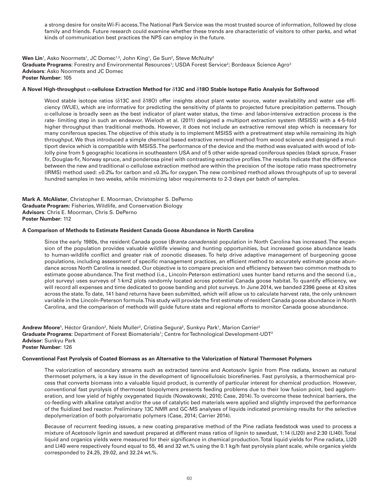a strong desire for onsite Wi-Fi access. The National Park Service was the most trusted source of information, followed by close family and friends. Future research could examine whether these trends are characteristic of visitors to other parks, and what kinds of communication best practices the NPS can employ in the future.

**Wen Lin**1, Asko Noormets<sup>1</sup>, JC Domec<sup>1,3</sup>, John King<sup>1</sup>, Ge Sun<sup>2</sup>, Steve McNulty<sup>2</sup> **Graduate Programs**: Forestry and Environmental Resources<sup>1</sup>; USDA Forest Service<sup>2</sup>; Bordeaux Science Agro<sup>3</sup> **Advisors**: Asko Noormets and JC Domec **Poster Number:** 105

# **A Novel High-throughput** α**-cellulose Extraction Method for** δ**13C and** δ**18O Stable Isotope Ratio Analysis for Softwood**

Wood stable isotope ratios (δ13C and δ18O) offer insights about plant water source, water availability and water use efficiency (WUE), which are informative for predicting the sensitivity of plants to projected future precipitation patterns. Though α-cellulose is broadly seen as the best indicator of plant water status, the time- and labor-intensive extraction process is the rate- limiting step in such an endeavor. Wieloch et al. (2011) designed a multiport extraction system (MSISS) with a 4-5-fold higher throughput than traditional methods. However, it does not include an extractive removal step which is necessary for many coniferous species. The objective of this study is to implement MSISS with a pretreatment step while remaining its high throughput. We thus introduced a simple chemical based extractive removal method from wood science and designed a multiport device which is compatible with MSISS. The performance of the device and the method was evaluated with wood of loblolly pine from 5 geographic locations in southeastern USA and of 5 other wide-spread coniferous species (black spruce, Fraser fir, Douglas-fir, Norway spruce, and ponderosa pine) with contrasting extractive profiles. The results indicate that the difference between the new and traditional α-cellulose extraction method are within the precision of the isotope ratio mass spectrometry (IRMS) method used: ±0.2‰ for carbon and ±0.3‰ for oxygen. The new combined method allows throughputs of up to several hundred samples in two weeks, while minimizing labor requirements to 2-3 days per batch of samples.

**Mark A. McAlister**, Christopher E. Moorman, Christopher S. DePerno **Graduate Program:** Fisheries, Wildlife, and Conservation Biology **Advisors**: Chris E. Moorman, Chris S. DePerno **Poster Number:** 112

#### **A Comparison of Methods to Estimate Resident Canada Goose Abundance in North Carolina**

Since the early 1980s, the resident Canada goose (*Branta canadensis*) population in North Carolina has increased. The expansion of the population provides valuable wildlife viewing and hunting opportunities, but increased goose abundance leads to human-wildlife conflict and greater risk of zoonotic diseases. To help drive adaptive management of burgeoning goose populations, including assessment of specific management practices, an efficient method to accurately estimate goose abundance across North Carolina is needed. Our objective is to compare precision and efficiency between two common methods to estimate goose abundance. The first method (i.e., Lincoln-Peterson estimation) uses hunter band returns and the second (i.e., plot survey) uses surveys of 1-km2 plots randomly located across potential Canada goose habitat. To quantify efficiency, we will record all expenses and time dedicated to goose banding and plot surveys. In June 2014, we banded 2396 geese at 43 sites across the state. To date, 141 band returns have been submitted, which will allow us to calculate harvest rate, the only unknown variable in the Lincoln-Peterson formula. This study will provide the first estimate of resident Canada goose abundance in North Carolina, and the comparison of methods will guide future state and regional efforts to monitor Canada goose abundance.

**Andrew Moore'**, Héctor Grandon<sup>2</sup>, Niels Muller<sup>2</sup>, Cristina Segura<sup>2</sup>, Sunkyu Park', Marion Carrier<sup>2</sup> **Graduate Programs**: Department of Forest Biomaterials<sup>1</sup>; Centre for Technological Development-UDT<sup>2</sup> **Advisor**: Sunkyu Park **Poster Number:** 126

#### **Conventional Fast Pyrolysis of Coated Biomass as an Alternative to the Valorization of Natural Thermoset Polymers**

The valorization of secondary streams such as extracted tannins and Acetosolv lignin from Pine radiata, known as natural thermoset polymers, is a key issue in the development of lignocellulosic biorefineries. Fast pyrolysis, a thermochemical process that converts biomass into a valuable liquid product, is currently of particular interest for chemical production. However, conventional fast pyrolysis of thermoset biopolymers presents feeding problems due to their low fusion point, bed agglomeration, and low yield of highly oxygenated liquids (Nowakowski, 2010; Case, 2014). To overcome these technical barriers, the co-feeding with alkaline catalyst and/or the use of catalytic bed materials were applied and slightly improved the performance of the fluidized bed reactor. Preliminary 13C NMR and GC-MS analyses of liquids indicated promising results for the selective depolymerization of both polyaromatic polymers (Case, 2014; Carrier 2014).

Because of recurrent feeding issues, a new coating preparative method of the Pine radiata feedstock was used to process a mixture of Acetosolv lignin and sawdust prepared at different mass ratios of lignin to sawdust, 1:14 (LI20) and 2:30 (LI40). Total liquid and organics yields were measured for their significance in chemical production. Total liquid yields for Pine radiata, LI20 and LI40 were respectively found equal to 55, 46 and 32 wt.% using the 0.1 kg/h fast pyrolysis plant scale, while organics yields corresponded to 24.25, 29.02, and 32.24 wt.%.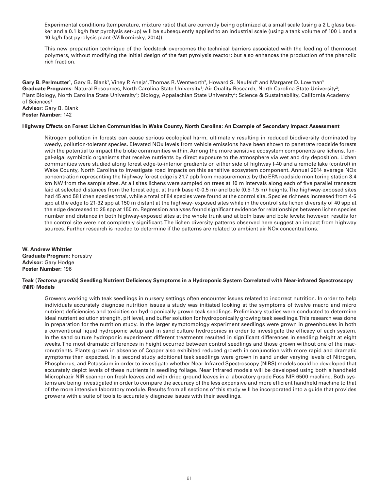Experimental conditions (temperature, mixture ratio) that are currently being optimized at a small scale (using a 2 L glass beaker and a 0.1 kg/h fast pyrolysis set-up) will be subsequently applied to an industrial scale (using a tank volume of 100 L and a 10 kg/h fast pyrolysis plant (Wilkomirsky, 2014)).

This new preparation technique of the feedstock overcomes the technical barriers associated with the feeding of thermoset polymers, without modifying the initial design of the fast pyrolysis reactor; but also enhances the production of the phenolic rich fraction.

**Gary B. Perlmutter'**, Gary B. Blank', Viney P. Aneja<sup>2</sup>, Thomas R. Wentworth<sup>3</sup>, Howard S. Neufeld<sup>4</sup> and Margaret D. Lowman<sup>5</sup> Graduate Programs: Natural Resources, North Carolina State University<sup>1</sup>; Air Quality Research, North Carolina State University<sup>2</sup>; Plant Biology, North Carolina State University<sup>3</sup>; Biology, Appalachian State University<sup>4</sup>; Science & Sustainability, California Academy of Sciences<sup>5</sup> **Advisor:** Gary B. Blank

**Poster Number:** 142

# **Highway Effects on Forest Lichen Communities in Wake County, North Carolina: An Example of Secondary Impact Assessment**

Nitrogen pollution in forests can cause serious ecological harm, ultimately resulting in reduced biodiversity dominated by weedy, pollution-tolerant species. Elevated NOx levels from vehicle emissions have been shown to penetrate roadside forests with the potential to impact the biotic communities within. Among the more sensitive ecosystem components are lichens, fungal-algal symbiotic organisms that receive nutrients by direct exposure to the atmosphere via wet and dry deposition. Lichen communities were studied along forest edge-to-interior gradients on either side of highway I-40 and a remote lake (control) in Wake County, North Carolina to investigate road impacts on this sensitive ecosystem component. Annual 2014 average NOx concentration representing the highway forest edge is 21.7 ppb from measurements by the EPA roadside monitoring station 3.4 km NW from the sample sites. At all sites lichens were sampled on trees at 10 m intervals along each of five parallel transects laid at selected distances from the forest edge, at trunk base (0-0.5 m) and bole (0.5-1.5 m) heights. The highway-exposed sites had 45 and 58 lichen species total, while a total of 84 species were found at the control site. Species richness increased from 4-5 spp at the edge to 21-32 spp at 150 m distant at the highway- exposed sites while in the control site lichen diversity of 40 spp at the edge decreased to 25 spp at 150 m. Regression analyses found significant evidence for relationships between lichen species number and distance in both highway-exposed sites at the whole trunk and at both base and bole levels; however, results for the control site were not completely significant. The lichen diversity patterns observed here suggest an impact from highway sources. Further research is needed to determine if the patterns are related to ambient air NOx concentrations.

**W. Andrew Whittier Graduate Program:** Forestry **Advisor:** Gary Hodge **Poster Number:** 196

# **Teak (***Tectona grandis***) Seedling Nutrient Deficiency Symptoms in a Hydroponic System Correlated with Near-infrared Spectroscopy (NIR) Models**

Growers working with teak seedlings in nursery settings often encounter issues related to incorrect nutrition. In order to help individuals accurately diagnose nutrition issues a study was initiated looking at the symptoms of twelve macro and micro nutrient deficiencies and toxicities on hydroponically grown teak seedlings. Preliminary studies were conducted to determine ideal nutrient solution strength, pH level, and buffer solution for hydroponically growing teak seedlings. This research was done in preparation for the nutrition study. In the larger symptomology experiment seedlings were grown in greenhouses in both a conventional liquid hydroponic setup and in sand culture hydroponics in order to investigate the efficacy of each system. In the sand culture hydroponic experiment different treatments resulted in significant differences in seedling height at eight weeks. The most dramatic differences in height occurred between control seedlings and those grown without one of the macronutrients. Plants grown in absence of Copper also exhibited reduced growth in conjunction with more rapid and dramatic symptoms than expected. In a second study additional teak seedlings were grown in sand under varying levels of Nitrogen, Phosphorus, and Potassium in order to investigate whether Near Infrared Spectroscopy (NIRS) models could be developed that accurately depict levels of these nutrients in seedling foliage. Near Infrared models will be developed using both a handheld Microphazir NIR scanner on fresh leaves and with dried ground leaves in a laboratory grade Foss NIR 6500 machine. Both systems are being investigated in order to compare the accuracy of the less expensive and more efficient handheld machine to that of the more intensive laboratory module. Results from all sections of this study will be incorporated into a guide that provides growers with a suite of tools to accurately diagnose issues with their seedlings.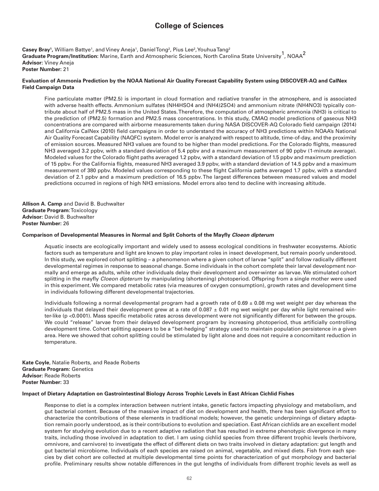# **College of Sciences**

**Casey Bray<sup>1</sup>,** William Battye<sup>1</sup>, and Viney Aneja<sup>1</sup>, DanielTong<sup>2</sup>, Pius Lee<sup>2</sup>, YouhuaTang<sup>2</sup> **Graduate Program/Institution:** Marine, Earth and Atmospheric Sciences, North Carolina State University<sup>1</sup>, NOAA<sup>2</sup> **Advisor:** Viney Aneja **Poster Number:** 21

# **Evaluation of Ammonia Prediction by the NOAA National Air Quality Forecast Capability System using DISCOVER-AQ and CalNex Field Campaign Data**

Fine particulate matter (PM2.5) is important in cloud formation and radiative transfer in the atmosphere, and is associated with adverse health effects. Ammonium sulfates (NH4HSO4 and (NH4)2SO4) and ammonium nitrate (NH4NO3) typically contribute about half of PM2.5 mass in the United States. Therefore, the computation of atmospheric ammonia (NH3) is critical to the prediction of (PM2.5) formation and PM2.5 mass concentrations. In this study, CMAQ model predictions of gaseous NH3 concentrations are compared with airborne measurements taken during NASA DISCOVER-AQ Colorado field campaign (2014) and California CalNex (2010) field campaigns in order to understand the accuracy of NH3 predictions within NOAA's National Air Quality Forecast Capability (NAQFC) system. Model error is analyzed with respect to altitude, time-of-day, and the proximity of emission sources. Measured NH3 values are found to be higher than model predictions. For the Colorado flights, measured NH3 averaged 3.2 ppbv, with a standard deviation of 5.4 ppbv and a maximum measurement of 90 ppbv (1-minute average). Modeled values for the Colorado flight paths averaged 1.2 ppbv, with a standard deviation of 1.5 ppbv and maximum prediction of 15 ppbv. For the California flights, measured NH3 averaged 3.9 ppbv, with a standard deviation of 14.5 ppbv and a maximum measurement of 380 ppbv. Modeled values corresponding to these flight California paths averaged 1.7 ppbv, with a standard deviation of 2.1 ppbv and a maximum prediction of 16.5 ppbv. The largest differences between measured values and model predictions occurred in regions of high NH3 emissions. Model errors also tend to decline with increasing altitude.

**Allison A. Camp** and David B. Buchwalter **Graduate Program**: Toxicology **Advisor:** David B. Buchwalter **Poster Number:** 26

# **Comparison of Developmental Measures in Normal and Split Cohorts of the Mayfly** *Cloeon dipterum*

Aquatic insects are ecologically important and widely used to assess ecological conditions in freshwater ecosystems. Abiotic factors such as temperature and light are known to play important roles in insect development, but remain poorly understood. In this study, we explored cohort splitting – a phenomenon where a given cohort of larvae "split" and follow radically different developmental regimes in response to seasonal change. Some individuals in the cohort complete their larval development normally and emerge as adults, while other individuals delay their development and over-winter as larvae. We stimulated cohort splitting in the mayfly *Cloeon dipterum* by manipulating (shortening) photoperiod. Offspring from a single mother were used in this experiment. We compared metabolic rates (via measures of oxygen consumption), growth rates and development time in individuals following different developmental trajectories.

Individuals following a normal developmental program had a growth rate of  $0.69 \pm 0.08$  mg wet weight per day whereas the individuals that delayed their development grew at a rate of  $0.087 \pm 0.01$  mg wet weight per day while light remained winter-like (p <0.0001). Mass specific metabolic rates across development were not significantly different for between the groups. We could "release" larvae from their delayed development program by increasing photoperiod, thus artificially controlling development time. Cohort splitting appears to be a "bet-hedging" strategy used to maintain population persistence in a given area. Here we showed that cohort splitting could be stimulated by light alone and does not require a concomitant reduction in temperature.

**Kate Coyle**, Natalie Roberts, and Reade Roberts **Graduate Program:** Genetics **Advisor:** Reade Roberts **Poster Number:** 33

# **Impact of Dietary Adaptation on Gastrointestinal Biology Across Trophic Levels in East African Cichlid Fishes**

Response to diet is a complex interaction between nutrient intake, genetic factors impacting physiology and metabolism, and gut bacterial content. Because of the massive impact of diet on development and health, there has been significant effort to characterize the contributions of these elements in traditional models; however, the genetic underpinnings of dietary adaptation remain poorly understood, as is their contributions to evolution and speciation. East African cichlids are an excellent model system for studying evolution due to a recent adaptive radiation that has resulted in extreme phenotypic divergence in many traits, including those involved in adaptation to diet. I am using cichlid species from three different trophic levels (herbivore, omnivore, and carnivore) to investigate the effect of different diets on two traits involved in dietary adaptation: gut length and gut bacterial microbiome. Individuals of each species are raised on animal, vegetable, and mixed diets. Fish from each species by diet cohort are collected at multiple developmental time points for characterization of gut morphology and bacterial profile. Preliminary results show notable differences in the gut lengths of individuals from different trophic levels as well as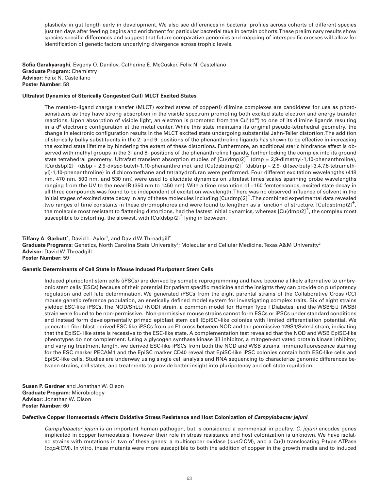plasticity in gut length early in development. We also see differences in bacterial profiles across cohorts of different species just ten days after feeding begins and enrichment for particular bacterial taxa in certain cohorts. These preliminary results show species-specific differences and suggest that future comparative genomics and mapping of interspecific crosses will allow for identification of genetic factors underlying divergence across trophic levels.

**Sofia Garakyaraghi**, Evgeny O. Danilov, Catherine E. McCusker, Felix N. Castellano **Graduate Program:** Chemistry **Advisor:** Felix N. Castellano **Poster Number:** 58

# **Ultrafast Dynamics of Sterically Congested Cu(I) MLCT Excited States**

The metal-to-ligand charge transfer (MLCT) excited states of copper(I) diimine complexes are candidates for use as photosensitizers as they have strong absorption in the visible spectrum promoting both excited state electron and energy transfer reactions. Upon absorption of visible light, an electron is promoted from the Cu<sup>1</sup> (d<sup>10</sup>) to one of its diimine ligands resulting in a  $d<sup>9</sup>$  electronic configuration at the metal center. While this state maintains its original pseudo-tetrahedral geometry, the change in electronic configuration results in the MLCT excited state undergoing substantial Jahn-Teller distortion. The addition of sterically bulky substituents in the 2- and 9- positions of the phenanthroline ligands has shown to be effective in increasing the excited state lifetime by hindering the extent of these distortions. Furthermore, an additional steric hindrance effect is observed with methyl groups in the 3- and 8- positions of the phenanthroline ligands, further locking the complex into its ground state tetrahedral geometry. Ultrafast transient absorption studies of  $\left[Cu(dmp)2\right]^+$  (dmp = 2,9-dimethyl-1,10-phenanthroline),  $\left[Cu(dsbp)2\right]^+$  (dsbp = 2,9-di(*sec*-butyl)-1,10-phenanthroline), and  $\left[Cu(dsbtmp)2\right]^+$  (dsbtmp = 2,9-di(*sec*-butyl-3,4,7,8-tetramethyl)-1,10-phenanthroline) in dichloromethane and tetrahydrofuran were performed. Four different excitation wavelengths (418 nm, 470 nm, 500 nm, and 530 nm) were used to elucidate dynamics on ultrafast times scales spanning probe wavelengths ranging from the UV to the near-IR (350 nm to 1450 nm). With a time resolution of ~150 femtoseconds, excited state decay in all three compounds was found to be independent of excitation wavelength. There was no observed influence of solvent in the initial stages of excited state decay in any of these molecules including [Cu(dmp)2]+ . The combined experimental data revealed two ranges of time constants in these chromophores and were found to lengthen as a function of structure; [Cu(dsbtmp)2]<sup>+</sup>, the molecule most resistant to flattening distortions, had the fastest initial dynamics, whereas  $[Cu(\text{dmp})2]^+$ , the complex most susceptible to distorting, the slowest, with  $\left[Cu(\text{dsbp})^2\right]^+$  lying in between.

#### **Tiffany A. Garbutt**<sup>1</sup>, David L. Aylor<sup>1</sup>, and David W. Threadgill<sup>2</sup>

**Graduate Programs:** Genetics, North Carolina State University<sup>1</sup>; Molecular and Cellular Medicine, Texas A&M University<sup>2</sup> **Advisor:** David W. Threadgill **Poster Number:** 59

# **Genetic Determinants of Cell State in Mouse Induced Pluripotent Stem Cells**

Induced pluripotent stem cells (iPSCs) are derived by somatic reprogramming and have become a likely alternative to embryonic stem cells (ESCs) because of their potential for patient specific medicine and the insights they can provide on pluripotency regulation and cell fate determination. We generated iPSCs from the eight parental strains of the Collaborative Cross (CC) mouse genetic reference population, an enetically defined model system for investigating complex traits. Six of eight strains yielded ESC-like iPSCs. The NOD/ShLtJ (NOD) strain, a common model for Human Type I Diabetes, and the WSB/EiJ (WSB) strain were found to be non-permissive. Non-permissive mouse strains cannot form ESCs or iPSCs under standard conditions and instead form developmentally primed epiblast stem cell (EpiSC)-like colonies with limited differentiation potential. We generated fibroblast-derived ESC-like iPSCs from an F1 cross between NOD and the permissive 129S1/SvImJ strain, indicating that the EpiSC- like state is recessive to the ESC-like state. A complementation test revealed that the NOD and WSB EpiSC-like phenotypes do not complement. Using a glycogen synthase kinase 3β inhibitor, a mitogen-activated protein kinase inhibitor, and varying treatment length, we derived ESC-like iPSCs from both the NOD and WSB strains. Immunofluorescence staining for the ESC marker PECAM1 and the EpiSC marker CD40 reveal that EpiSC-like iPSC colonies contain both ESC-like cells and EpiSC-like cells. Studies are underway using single cell analysis and RNA sequencing to characterize genomic differences between strains, cell states, and treatments to provide better insight into pluripotency and cell state regulation.

**Susan P. Gardner** and Jonathan W. Olson **Graduate Program:** Microbiology **Advisor:** Jonathan W. Olson **Poster Number:** 60

#### **Defective Copper Homeostasis Affects Oxidative Stress Resistance and Host Colonization of** *Campylobacter jejuni*

*Campylobacter jejuni* is an important human pathogen, but is considered a commensal in poultry. *C. jejuni* encodes genes implicated in copper homeostasis, however their role in stress resistance and host colonization is unknown. We have isolated strains with mutations in two of these genes: a multicopper oxidase (*cueO*:CM), and a Cu(I) translocating P-type ATPase (*copA*:CM). In vitro, these mutants were more susceptible to both the addition of copper in the growth media and to induced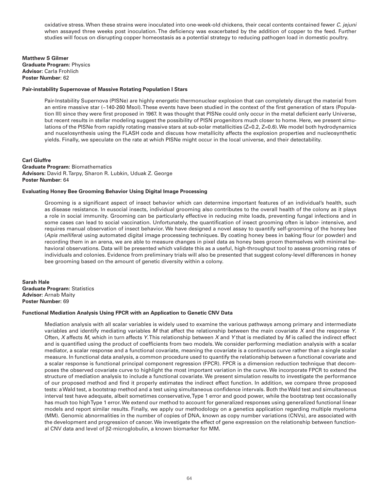oxidative stress. When these strains were inoculated into one-week-old chickens, their cecal contents contained fewer *C. jejuni*  when assayed three weeks post inoculation. The deficiency was exacerbated by the addition of copper to the feed. Further studies will focus on disrupting copper homeostasis as a potential strategy to reducing pathogen load in domestic poultry.

**Matthew S Gilmer Graduate Program:** Physics **Advisor:** Carla Frohlich **Poster Number**: 62

### **Pair-instability Supernovae of Massive Rotating Population I Stars**

Pair-Instability Supernova (PISNe) are highly energetic thermonuclear explosion that can completely disrupt the material from an entire massive star (~140-260 Msol). These events have been studied in the context of the first generation of stars (Population III) since they were first proposed in 1967. It was thought that PISNe could only occur in the metal deficient early Universe, but recent results in stellar modeling suggest the possibility of PISN progenitors much closer to home. Here, we present simulations of the PISNe from rapidly rotating massive stars at sub-solar metallicities (Z=0.2, Z=0.6). We model both hydrodynamics and nucelosynthesis using the FLASH code and discuss how metallicity affects the explosion properties and nucleosynthetic yields. Finally, we speculate on the rate at which PISNe might occur in the local universe, and their detectability.

#### **Carl Giuffre**

**Graduate Program:** Biomathematics **Advisors:** David R. Tarpy, Sharon R. Lubkin, Uduak Z. George **Poster Number:** 64

#### **Evaluating Honey Bee Grooming Behavior Using Digital Image Processing**

Grooming is a significant aspect of insect behavior which can determine important features of an individual's health, such as disease resistance. In eusocial insects, individual grooming also contributes to the overall health of the colony as it plays a role in social immunity. Grooming can be particularly effective in reducing mite loads, preventing fungal infections and in some cases can lead to social vaccination. Unfortunately, the quantification of insect grooming often is labor- intensive, and requires manual observation of insect behavior. We have designed a novel assay to quantify self-grooming of the honey bee (*Apis mellifera*) using automated digital image processing techniques. By coating honey bees in baking flour (or powder) and recording them in an arena, we are able to measure changes in pixel data as honey bees groom themselves with minimal behavioral observations. Data will be presented which validate this as a useful, high-throughput tool to assess grooming rates of individuals and colonies. Evidence from preliminary trials will also be presented that suggest colony-level differences in honey bee grooming based on the amount of genetic diversity within a colony.

**Sarah Hale Graduate Program:** Statistics **Advisor:** Arnab Maity **Poster Number:** 69

#### **Functional Mediation Analysis Using FPCR with an Application to Genetic CNV Data**

Mediation analysis with all scalar variables is widely used to examine the various pathways among primary and intermediate variables and identify mediating variables *M* that affect the relationship between the main covariate *X* and the response *Y*. Often, *X* affects *M,* which in turn affects *Y*. This relationship between *X* and *Y* that is mediated by *M* is called the indirect effect and is quantified using the product of coefficients from two models. We consider performing mediation analysis with a scalar mediator, a scalar response and a functional covariate, meaning the covariate is a continuous curve rather than a single scalar measure. In functional data analysis, a common procedure used to quantify the relationship between a functional covariate and a scalar response is functional principal component regression (FPCR). FPCR is a dimension reduction technique that decomposes the observed covariate curve to highlight the most important variation in the curve. We incorporate FPCR to extend the structure of mediation analysis to include a functional covariate. We present simulation results to investigate the performance of our proposed method and find it properly estimates the indirect effect function. In addition, we compare three proposed tests: a Wald test, a bootstrap method and a test using simultaneous confidence intervals. Both the Wald test and simultaneous interval test have adequate, albeit sometimes conservative, Type 1 error and good power, while the bootstrap test occasionally has much too high Type 1 error. We extend our method to account for generalized responses using generalized functional linear models and report similar results. Finally, we apply our methodology on a genetics application regarding multiple myeloma (MM). Genomic abnormalities in the number of copies of DNA, known as copy number variations (CNVs), are associated with the development and progression of cancer. We investigate the effect of gene expression on the relationship between functional CNV data and level of β2-microglobulin, a known biomarker for MM.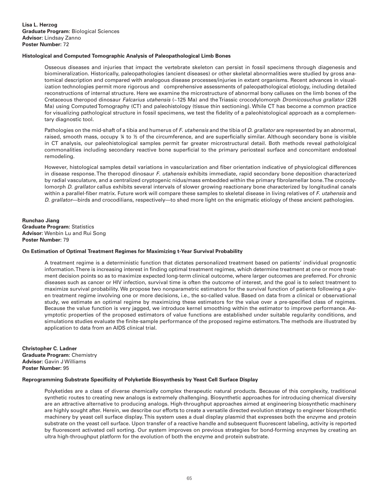# **Histological and Computed Tomographic Analysis of Paleopathological Limb Bones**

Osseous diseases and injuries that impact the vertebrate skeleton can persist in fossil specimens through diagenesis and biomineralization. Historically, paleopathologies (ancient diseases) or other skeletal abnormalities were studied by gross anatomical description and compared with analogous disease processes/injuries in extant organisms. Recent advances in visualization technologies permit more rigorous and comprehensive assessments of paleopathological etiology, including detailed reconstructions of internal structure. Here we examine the microstructure of abnormal bony calluses on the limb bones of the Cretaceous theropod dinosaur *Falcarius utahensis* (~125 Ma) and the Triassic crocodylomorph *Dromicosuchus grallator* (226 Ma) using Computed Tomography (CT) and paleohistology (tissue thin sectioning). While CT has become a common practice for visualizing pathological structure in fossil specimens, we test the fidelity of a paleohistological approach as a complementary diagnostic tool.

Pathologies on the mid-shaft of a tibia and humerus of *F*. *utahensis* and the tibia of *D*. *grallator* are represented by an abnormal, raised, smooth mass, occupy ¼ to ½ of the circumference, and are superficially similar. Although secondary bone is visible in CT analysis, our paleohistological samples permit far greater microstructural detail. Both methods reveal pathololgical commonalities including secondary reactive bone superficial to the primary periosteal surface and concomitant endosteal remodeling.

However, histological samples detail variations in vascularization and fiber orientation indicative of physiological differences in disease response. The theropod dinosaur *F*. *utahensis* exhibits immediate, rapid secondary bone deposition characterized by radial vasculature, and a centralized cryptogenic nidus/mass embedded within the primary fibrolamellar bone. The crocodylomorph *D*. *grallator* callus exhibits several intervals of slower growing reactionary bone characterized by longitudinal canals within a parallel-fiber matrix. Future work will compare these samples to skeletal disease in living relatives of *F*. *utahensis* and *D*. *grallator*—birds and crocodilians, respectively—to shed more light on the enigmatic etiology of these ancient pathologies.

**Runchao Jiang Graduate Program:** Statistics **Advisor:** Wenbin Lu and Rui Song **Poster Number:** 79

# **On Estimation of Optimal Treatment Regimes for Maximizing t-Year Survival Probability**

A treatment regime is a deterministic function that dictates personalized treatment based on patients' individual prognostic information. There is increasing interest in finding optimal treatment regimes, which determine treatment at one or more treatment decision points so as to maximize expected long-term clinical outcome, where larger outcomes are preferred. For chronic diseases such as cancer or HIV infection, survival time is often the outcome of interest, and the goal is to select treatment to maximize survival probability. We propose two nonparametric estimators for the survival function of patients following a given treatment regime involving one or more decisions, i.e., the so-called value. Based on data from a clinical or observational study, we estimate an optimal regime by maximizing these estimators for the value over a pre-specified class of regimes. Because the value function is very jagged, we introduce kernel smoothing within the estimator to improve performance. Asymptotic properties of the proposed estimators of value functions are established under suitable regularity conditions, and simulations studies evaluate the finite-sample performance of the proposed regime estimators. The methods are illustrated by application to data from an AIDS clinical trial.

**Christopher C. Ladner Graduate Program:** Chemistry **Advisor:** Gavin J Williams **Poster Number:** 95

#### **Reprogramming Substrate Specificity of Polyketide Biosynthesis by Yeast Cell Surface Display**

Polyketides are a class of diverse chemically complex therapeutic natural products. Because of this complexity, traditional synthetic routes to creating new analogs is extremely challenging. Biosynthetic approaches for introducing chemical diversity are an attractive alternative to producing analogs. High-throughput approaches aimed at engineering biosynthetic machinery are highly sought after. Herein, we describe our efforts to create a versatile directed evolution strategy to engineer biosynthetic machinery by yeast cell surface display. This system uses a dual display plasmid that expresses both the enzyme and protein substrate on the yeast cell surface. Upon transfer of a reactive handle and subsequent fluorescent labeling, activity is reported by fluorescent activated cell sorting. Our system improves on previous strategies for bond-forming enzymes by creating an ultra high-throughput platform for the evolution of both the enzyme and protein substrate.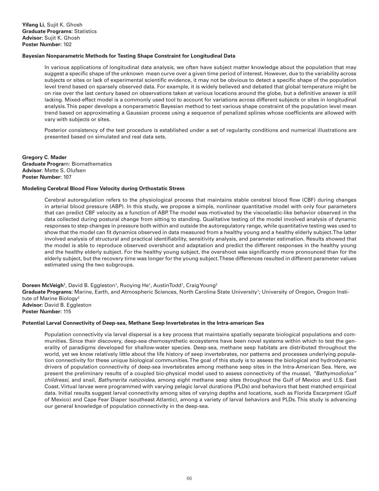# **Bayesian Nonparametric Methods for Testing Shape Constraint for Longitudinal Data**

In various applications of longitudinal data analysis, we often have subject matter knowledge about the population that may suggest a specific shape of the unknown mean curve over a given time period of interest. However, due to the variability across subjects or sites or lack of experimental scientific evidence, it may not be obvious to detect a specific shape of the population level trend based on sparsely observed data. For example, it is widely believed and debated that global temperature might be on rise over the last century based on observations taken at various locations around the globe, but a definitive answer is still lacking. Mixed-effect model is a commonly used tool to account for variations across different subjects or sites in longitudinal analysis. This paper develops a nonparametric Bayesian method to test various shape constraint of the population level mean trend based on approximating a Gaussian process using a sequence of penalized splines whose coefficients are allowed with vary with subjects or sites.

Posterior consistency of the test procedure is established under a set of regularity conditions and numerical illustrations are presented based on simulated and real data sets.

**Gregory C. Mader Graduate Progra**m: Biomathematics **Advisor**: Mette S. Olufsen **Poster Number:** 107

#### **Modeling Cerebral Blood Flow Velocity during Orthostatic Stress**

Cerebral autoregulation refers to the physiological process that maintains stable cerebral blood flow (CBF) during changes in arterial blood pressure (ABP). In this study, we propose a simple, nonlinear quantitative model with only four parameters that can predict CBF velocity as a function of ABP. The model was motivated by the viscoelastic-like behavior observed in the data collected during postural change from sitting to standing. Qualitative testing of the model involved analysis of dynamic responses to step-changes in pressure both within and outside the autoregulatory range, while quantitative testing was used to show that the model can fit dynamics observed in data measured from a healthy young and a healthy elderly subject. The latter involved analysis of structural and practical identifiability, sensitivity analysis, and parameter estimation. Results showed that the model is able to reproduce observed overshoot and adaptation and predict the different responses in the healthy young and the healthy elderly subject. For the healthy young subject, the overshoot was significantly more pronounced than for the elderly subject, but the recovery time was longer for the young subject. These differences resulted in different parameter values estimated using the two subgroups.

**Doreen McVeigh<sup>1</sup>,** David B. Eggleston<sup>1</sup>, Ruoying He<sup>1</sup>, AustinTodd<sup>1</sup>, Craig Young<sup>2</sup> Graduate Programs: Marine, Earth, and Atmospheric Sciences, North Carolina State University<sup>1</sup>; University of Oregon, Oregon Institute of Marine Biology<sup>2</sup> **Advisor:** David B. Eggleston **Poster Number:** 115

#### **Potential Larval Connectivity of Deep-sea, Methane Seep Invertebrates in the Intra-american Sea**

Population connectivity via larval dispersal is a key process that maintains spatially separate biological populations and communities. Since their discovery, deep-sea chemosynthetic ecosystems have been novel systems within which to test the generality of paradigms developed for shallow-water species. Deep-sea, methane seep habitats are distributed throughout the world, yet we know relatively little about the life history of seep invertebrates, nor patterns and processes underlying population connectivity for these unique biological communities. The goal of this study is to assess the biological and hydrodynamic drivers of population connectivity of deep-sea invertebrates among methane seep sites in the Intra-American Sea. Here, we present the preliminary results of a coupled bio-physical model used to assess connectivity of the mussel, *"Bathymodiolus" childressi*, and snail, *Bathynerita naticoidea*, among eight methane seep sites throughout the Gulf of Mexico and U.S. East Coast. Virtual larvae were programmed with varying pelagic larval durations (PLDs) and behaviors that best matched empirical data. Initial results suggest larval connectivity among sites of varying depths and locations, such as Florida Escarpment (Gulf of Mexico) and Cape Fear Diaper (southeast Atlantic), among a variety of larval behaviors and PLDs. This study is advancing our general knowledge of population connectivity in the deep-sea.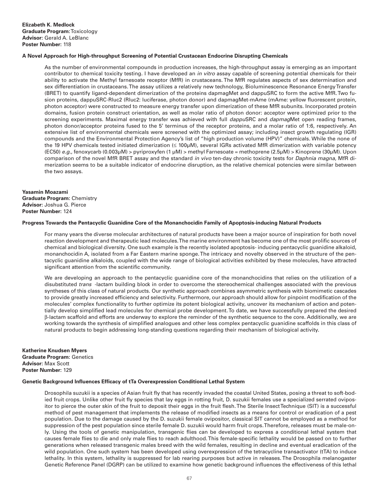# **A Novel Approach for High-throughput Screening of Potential Crustacean Endocrine Disrupting Chemicals**

As the number of environmental compounds in production increases, the high-throughput assay is emerging as an important contributor to chemical toxicity testing. I have developed an *in vitro* assay capable of screening potential chemicals for their ability to activate the Methyl farnesoate receptor (MfR) in crustaceans. The MfR regulates aspects of sex determination and sex differentiation in crustaceans. The assay utilizes a relatively new technology, Bioluminescence Resonance Energy Transfer (BRET) to quantify ligand-dependent dimerization of the proteins dapmagMet and dappuSRC to form the active MfR. Two fusion proteins, dappuSRC-Rluc2 (Rluc2: luciferase, photon donor) and dapmagMet-mAme (mAme: yellow fluorescent protein, photon acceptor) were constructed to measure energy transfer upon dimerization of these MfR subunits. Incorporated protein domains, fusion protein construct orientation, as well as molar ratio of photon donor: acceptor were optimized prior to the screening experiments. Maximal energy transfer was achieved with full *dappu*SRC and *dapmag*Met open reading frames, photon donor/acceptor proteins fused to the 5' terminus of the receptor proteins, and a molar ratio of 1:6, respectively. An extensive list of environmental chemicals were screened with the optimized assay; including insect growth regulating (IGR) compounds and the Environmental Protection Agency's list of "high production volume (HPV)" chemicals. While the none of the 19 HPV chemicals tested initiated dimerization (≤ 100µM), several IGRs activated MfR dimerization with variable potency (EC50) *e.g.,* fenoxycarb (0.003µM) > pyriproxyfen (1 µM) > methyl Farnesoate = methoprene (2.5µM) > Kinoprene (30µM). Upon comparison of the novel MfR BRET assay and the standard *in vivo* ten-day chronic toxicity tests for *Daphnia magna*, MfR dimerization seems to be a suitable indicator of endocrine disruption, as the relative chemical potencies were similar between the two assays.

# **Yasamin Moazami Graduate Program:** Chemistry **Advisor:** Joshua G. Pierce **Poster Number:** 124

#### **Progress Towards the Pentacyclic Guanidine Core of the Monanchocidin Family of Apoptosis-inducing Natural Products**

For many years the diverse molecular architectures of natural products have been a major source of inspiration for both novel reaction development and therapeutic lead molecules. The marine environment has become one of the most prolific sources of chemical and biological diversity. One such example is the recently isolated apoptosis- inducing pentacyclic guanidine alkaloid, monanchocidin A, isolated from a Far Eastern marine sponge. The intricacy and novelty observed in the structure of the pentacyclic guanidine alkaloids, coupled with the wide range of biological activities exhibited by these molecules, have attracted significant attention from the scientific community.

We are developing an approach to the pentacyclic guanidine core of the monanchocidins that relies on the utilization of a disubstituted *trans* -lactam building block in order to overcome the stereochemical challenges associated with the previous syntheses of this class of natural products. Our synthetic approach combines asymmetric synthesis with biomimetic cascades to provide greatly increased efficiency and selectivity. Furthermore, our approach should allow for pinpoint modification of the molecules' complex functionality to further optimize its potent biological activity, uncover its mechanism of action and potentially develop simplified lead molecules for chemical probe development. To date, we have successfully prepared the desired β-lactam scaffold and efforts are underway to explore the reminder of the synthetic sequence to the core. Additionally, we are working towards the synthesis of simplified analogues and other less complex pentacyclic guanidine scaffolds in this class of natural products to begin addressing long-standing questions regarding their mechanism of biological activity.

#### **Katherine Knudsen Myers Graduate Program:** Genetics **Advisor:** Max Scott

**Poster Number:** 129

# **Genetic Background Influences Efficacy of tTa Overexpression Conditional Lethal System**

Drosophila suzukii is a species of Asian fruit fly that has recently invaded the coastal United States, posing a threat to soft-bodied fruit crops. Unlike other fruit fly species that lay eggs in rotting fruit, D. suzukii females use a specialized serrated ovipositor to pierce the outer skin of the fruit to deposit their eggs in the fruit flesh. The Sterile Insect Technique (SIT) is a successful method of pest management that implements the release of modified insects as a means for control or eradication of a pest population. Due to the damage caused by the D. suzukii female ovipositor, classical SIT cannot be employed as a method for suppression of the pest population since sterile female D. suzukii would harm fruit crops. Therefore, releases must be male-only. Using the tools of genetic manipulation, transgenic flies can be developed to express a conditional lethal system that causes female flies to die and only male flies to reach adulthood. This female-specific lethality would be passed on to further generations when released transgenic males breed with the wild females, resulting in decline and eventual eradication of the wild population. One such system has been developed using overexpression of the tetracycline transactivator (tTA) to induce lethality. In this system, lethality is suppressed for lab rearing purposes but active in releases. The Drosophila melanogaster Genetic Reference Panel (DGRP) can be utilized to examine how genetic background influences the effectiveness of this lethal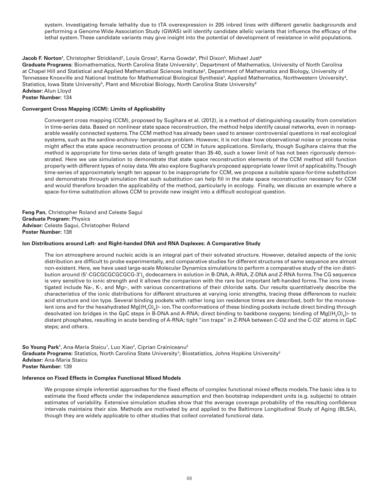system. Investigating female lethality due to tTA overexpression in 205 inbred lines with different genetic backgrounds and performing a Genome Wide Association Study (GWAS) will identify candidate allelic variants that influence the efficacy of the lethal system. These candidate variants may give insight into the potential of development of resistance in wild populations.

# $\bf{Jacob}$  **F. Norton**1, Christopher Strickland<sup>2</sup>, Louis Gross $^3$ , Karna Gowda $^4$ , Phil Dixon $^5$ , Michael Just $^6$

Graduate Programs: Biomathematics, North Carolina State University<sup>1</sup>, Department of Mathematics, University of North Carolina at Chapel Hill and Statistical and Applied Mathematical Sciences Institute<sup>2</sup>, Department of Mathematics and Biology, University of Tennessee Knoxville and National Institute for Mathematical Biological Synthesis<sup>3</sup>, Applied Mathematics, Northwestern University<sup>4</sup>, Statistics, Iowa State University $^5$ , Plant and Microbial Biology, North Carolina State University $^6$ **Advisor:** Alun Lloyd **Poster Number:** 134

# **Convergent Cross Mapping (CCM): Limits of Applicability**

Convergent cross mapping (CCM), proposed by Sugihara et al. (2012), is a method of distinguishing causality from correlation in time-series data. Based on nonlinear state space reconstruction, the method helps identify causal networks, even in nonseparable weakly connected systems. The CCM method has already been used to answer controversial questions in real ecological systems, such as the sardine-anchovy- temperature problem. However, it is not clear how observational noise or process noise might affect the state space reconstruction process of CCM in future applications. Similarly, though Sugihara claims that the method is appropriate for time-series data of length greater than 35-40, such a lower limit of has not been rigorously demonstrated. Here we use simulation to demonstrate that state space reconstruction elements of the CCM method still function properly with different types of noisy data. We also explore Sugihara's proposed appropriate lower limit of applicability. Though time-series of approximately length ten appear to be inappropriate for CCM, we propose a suitable space-for-time substitution and demonstrate through simulation that such substitution can help fill in the state space reconstruction necessary for CCM and would therefore broaden the applicability of the method, particularly in ecology. Finally, we discuss an example where a space-for-time substitution allows CCM to provide new insight into a difficult ecological question.

**Feng Pan**, Christopher Roland and Celeste Sagui **Graduate Program:** Physics **Advisor:** Celeste Sagui, Christopher Roland **Poster Number:** 138

# **Ion Distributions around Left- and Right-handed DNA and RNA Duplexes: A Comparative Study**

The ion atmosphere around nucleic acids is an integral part of their solvated structure. However, detailed aspects of the ionic distribution are difficult to probe experimentally, and comparative studies for different structures of same sequence are almost non-existent. Here, we have used large-scale Molecular Dynamics simulations to perform a comparative study of the ion distribution around (5'-CGCGCGCGCG-3') $_{\rm 2}$  dodecamers in solution in B-DNA, A-RNA, Z-DNA and Z-RNA forms. The CG sequence is very sensitive to ionic strength and it allows the comparison with the rare but important left-handed forms. The ions investigated include Na+, K+, and Mg2+, with various concentrations of their chloride salts. Our results quantitatively describe the characteristics of the ionic distributions for different structures at varying ionic strengths, tracing these differences to nucleic acid structure and ion type. Several binding pockets with rather long ion residence times are described, both for the monovalent ions and for the hexahydrated Mg[(H<sub>2</sub>O)<sub>6</sub>]2+ ion.The conformations of these binding pockets include direct binding through desolvated ion bridges in the GpC steps in B-DNA and A-RNA; direct binding to backbone oxygens; binding of Mg[(H<sub>2</sub>O)<sub>6</sub>]2+ to distant phosphates, resulting in acute bending of A-RNA; tight "ion traps" in Z-RNA between C-O2 and the C-O2' atoms in GpC steps; and others.

**So Young Park**<sup>1</sup>, Ana-Maria Staicu<sup>1</sup>, Luo Xiao<sup>2</sup>, Ciprian Crainiceanu<sup>2</sup> Graduate Programs: Statistics, North Carolina State University<sup>1</sup>; Biostatistics, Johns Hopkins University<sup>2</sup> **Advisor:** Ana-Maria Staicu **Poster Number:** 139

# **Inference on Fixed Effects in Complex Functional Mixed Models**

We propose simple inferential approaches for the fixed effects of complex functional mixed effects models. The basic idea is to estimate the fixed effects under the independence assumption and then bootstrap independent units (e.g. subjects) to obtain estimates of variability. Extensive simulation studies show that the average coverage probability of the resulting confidence intervals maintains their size. Methods are motivated by and applied to the Baltimore Longitudinal Study of Aging (BLSA), though they are widely applicable to other studies that collect correlated functional data.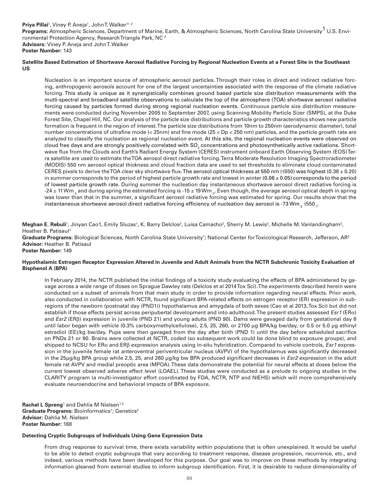# Priya Pillai<sup>1</sup>, Viney P. Aneja<sup>1</sup>, John T. Walker<sup>1, 2</sup> **Programs:** Atmospheric Sciences, Department of Marine, Earth, & Atmospheric Sciences, North Carolina State University<sup>1</sup> U.S. Environmental Protection Agency, Research Triangle Park, NC 2 **Advisors:** Viney P. Aneja and John T. Walker **Poster Number:** 143

# **Satellite Based Estimation of Shortwave Aerosol Radiative Forcing by Regional Nucleation Events at a Forest Site in the Southeast US**

Nucleation is an important source of atmospheric aerosol particles. Through their roles in direct and indirect radiative forcing, anthropogenic aerosols account for one of the largest uncertainties associated with the response of the climate radiative forcing. This study is unique as it synergistically combines ground based particle size distribution measurements with the mutli-spectral and broadband satellite observations to calculate the top of the atmosphere (TOA) shortwave aerosol radiative forcing caused by particles formed during strong regional nucleation events. Continuous particle size distribution measurements were conducted during November 2005 to September 2007, using Scanning Mobility Particle Sizer (SMPS), at the Duke Forest Site, Chapel Hill, NC. Our analysis of the particle size distributions and particle growth characteristics shows new particle formation is frequent in the region of interest. The particle size distributions from 10nm to 250nm (aerodynamic diameter), total number concentrations of ultrafine mode (< 25nm) and fine mode (25 < Dp < 250 nm) particles, and the particle growth rate are analyzed to classify the nucleation as regional nucleation event. At this site, the regional nucleation events were observed on cloud free days and are strongly positively correlated with SO $_{_2}$  concentrations and photosynthetically active radiations. Shortwave flux from the Clouds and Earth's Radiant Energy System (CERES) instrument onboard Earth Observing System (EOS) Terra satellite are used to estimate the TOA aerosol direct radiative forcing. Terra Moderate Resolution Imaging Spectroradiometer (MODIS) 550 nm aerosol optical thickness and cloud fraction data are used to set thresholds to eliminate cloud contaminated CERES pixels to derive the TOA clear sky shortwave flux. The aerosol optical thickness at 550 nm ( $\tau$ 550) was highest (0.38  $\pm$  0.20) in summer corresponds to the period of highest particle growth rate and lowest in winter  $(0.06 \pm 0.05)$  corresponds to the period of lowest particle growth rate. During summer the nucleation day instantaneous shortwave aerosol direct radiative forcing is -24  $\pm$  11 Wm<sub>-2</sub> and during spring the estimated forcing is -15  $\pm$  19 Wm<sub>-2</sub>. Even though, the average aerosol optical depth in spring was lower than that in the summer, a significant aerosol radiative forcing was estimated for spring. Our results show that the instantaneous shortwave aerosol direct radiative forcing efficiency of nucleation day aerosol is -73 Wm<sub>-2</sub>  $\text{t}550$ <sub>-1</sub>.

**Meghan E. Rebuli**', Jinyan Cao1, Emily Sluzas', K. Barry Delclos<sup>2</sup>, Luísa Camacho<sup>2</sup>, Sherry M. Lewis<sup>2</sup>, Michelle M. Vanlandingham<sup>2</sup>, Heather B. Patisaul<sup>1</sup>

Graduate Programs: Biological Sciences, North Carolina State University<sup>1</sup>; National Center for Toxicological Research, Jefferson, AR<sup>2</sup> **Advisor:** Heather B. Patisaul

# **Poster Number:** 149

# **Hypothalamic Estrogen Receptor Expression Altered in Juvenile and Adult Animals from the NCTR Subchronic Toxicity Evaluation of Bisphenol A (BPA)**

In February 2014, the NCTR published the initial findings of a toxicity study evaluating the effects of BPA administered by gavage across a wide range of doses on Sprague Dawley rats (Delclos et al 2014 Tox Sci). The experiments described herein were conducted on a subset of animals from that main study in order to provide information regarding neural effects. Prior work, also conducted in collaboration with NCTR, found significant BPA-related effects on estrogen receptor (ER) expression in subregions of the newborn (postnatal day (PND1)) hypothalamus and amygdala of both sexes (Cao et al 2013, Tox Sci) but did not establish if those effects persist across peripubertal development and into adulthood. The present studies assessed *Esr1* (ERα) and *Esr2* (ERβ) expression in juvenile (PND 21) and young adults (PND 90). Dams were gavaged daily from gestational day 6 until labor began with vehicle (0.3% carboxymethylcellulose), 2.5, 25, 260, or 2700 µg BPA/kg bw/day, or 0.5 or 5.0 µg ethinyl estradiol (EE)/kg bw/day. Pups were then gavaged from the day after birth (PND 1) until the day before scheduled sacrifice on PNDs 21 or 90. Brains were collected at NCTR, coded (so subsequent work could be done blind to exposure groups), and shipped to NCSU for ERα and ERβ expression analysis using in-situ hybridization. Compared to vehicle controls, *Esr1* expression in the juvenile female rat anteroventral periventricular nucleus (AVPV) of the hypothalamus was significantly decreased in the 25µg/kg BPA group while 2.5, 25, and 260 µg/kg bw BPA produced significant decreases in *Esr2* expression in the adult female rat AVPV and medial preoptic area (MPOA). These data demonstrate the potential for neural effects at doses below the current lowest observed adverse effect level (LOAEL). These studies were conducted as a prelude to ongoing studies in the CLARITY program (a multi-investigator effort coordinated by FDA, NCTR, NTP and NIEHS) which will more comprehensively evaluate neuroendocrine and behavioral impacts of BPA exposure.

Rachel L Spreng<sup>1</sup> and Dahlia M Nielsen<sup>1,2</sup> Graduate Programs: Bioinformatics<sup>1</sup>; Genetics<sup>2</sup> **Advisor:** Dahlia M. Nielsen **Poster Number:** 168

# **Detecting Cryptic Subgroups of Individuals Using Gene Expression Data**

From drug response to survival time, there exists variability within populations that is often unexplained. It would be useful to be able to detect cryptic subgroups that vary according to treatment response, disease progression, recurrence, etc., and indeed, various methods have been developed for this purpose. Our goal was to improve on these methods by integrating information gleaned from external studies to inform subgroup identification. First, it is desirable to reduce dimensionality of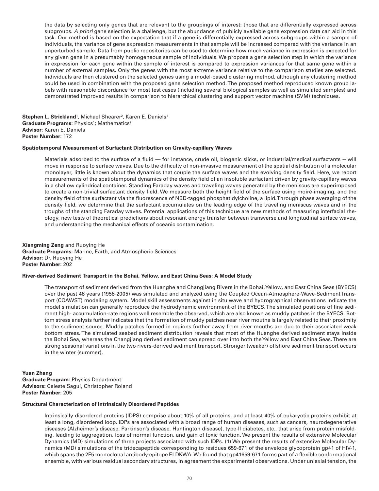the data by selecting only genes that are relevant to the groupings of interest: those that are differentially expressed across subgroups. *A priori* gene selection is a challenge, but the abundance of publicly available gene expression data can aid in this task. Our method is based on the expectation that if a gene is differentially expressed across subgroups within a sample of individuals, the variance of gene expression measurements in that sample will be increased compared with the variance in an unperturbed sample. Data from public repositories can be used to determine how much variance in expression is expected for any given gene in a presumably homogeneous sample of individuals. We propose a gene selection step in which the variance in expression for each gene within the sample of interest is compared to expression variances for that same gene within a number of external samples. Only the genes with the most extreme variance relative to the comparison studies are selected. Individuals are then clustered on the selected genes using a model-based clustering method, although any clustering method could be used in combination with the proposed gene selection method. The proposed method reproduced known group labels with reasonable discordance for most test cases (including several biological samples as well as simulated samples) and demonstrated improved results in comparison to hierarchical clustering and support vector machine (SVM) techniques.

**Stephen L. Strickland**<sup>1</sup>, Michael Shearer<sup>2</sup>, Karen E. Daniels<sup>1</sup> **Graduate Programs: Physics<sup>1</sup>; Mathematics<sup>2</sup> Advisor**: Karen E. Daniels **Poster Number:** 172

#### **Spatiotemporal Measurement of Surfactant Distribution on Gravity-capillary Waves**

Materials adsorbed to the surface of a fluid — for instance, crude oil, biogenic slicks, or industrial/medical surfactants -- will move in response to surface waves. Due to the difficulty of non-invasive measurement of the spatial distribution of a molecular monolayer, little is known about the dynamics that couple the surface waves and the evolving density field. Here, we report measurements of the spatiotemporal dynamics of the density field of an insoluble surfactant driven by gravity-capillary waves in a shallow cylindrical container. Standing Faraday waves and traveling waves generated by the meniscus are superimposed to create a non-trivial surfactant density field. We measure both the height field of the surface using moiré-imaging, and the density field of the surfactant via the fluorescence of NBD-tagged phosphatidylcholine, a lipid. Through phase averaging of the density field, we determine that the surfactant accumulates on the leading edge of the traveling meniscus waves and in the troughs of the standing Faraday waves. Potential applications of this technique are new methods of measuring interfacial rheology, new tests of theoretical predictions about resonant energy transfer between transverse and longitudinal surface waves, and understanding the mechanical effects of oceanic contamination.

**Xiangming Zeng** and Ruoying He **Graduate Programs:** Marine, Earth, and Atmospheric Sciences **Advisor:** Dr. Ruoying He **Poster Number:** 202

#### **River-derived Sediment Transport in the Bohai, Yellow, and East China Seas: A Model Study**

The transport of sediment derived from the Huanghe and Changjiang Rivers in the Bohai, Yellow, and East China Seas (BYECS) over the past 48 years (1958-2005) was simulated and analyzed using the Coupled Ocean-Atmosphere-Wave-Sediment Transport (COAWST) modeling system. Model skill assessments against in situ wave and hydrographical observations indicate the model simulation can generally reproduce the hydrodynamic environment of the BYECS. The simulated positions of fine sediment high- accumulation-rate regions well resemble the observed, which are also known as muddy patches in the BYECS. Bottom stress analysis further indicates that the formation of muddy patches near river mouths is largely related to their proximity to the sediment source. Muddy patches formed in regions further away from river mouths are due to their associated weak bottom stress. The simulated seabed sediment distribution reveals that most of the Huanghe derived sediment stays inside the Bohai Sea, whereas the Changjiang derived sediment can spread over into both the Yellow and East China Seas. There are strong seasonal variations in the two rivers-derived sediment transport. Stronger (weaker) offshore sediment transport occurs in the winter (summer).

**Yuan Zhang Graduate Program:** Physics Department **Advisors:** Celeste Sagui, Christopher Roland **Poster Number:** 205

#### **Structural Characterization of Intrinsically Disordered Peptides**

Intrinsically disordered proteins (IDPS) comprise about 10% of all proteins, and at least 40% of eukaryotic proteins exhibit at least a long, disordered loop. IDPs are associated with a broad range of human diseases, such as cancers, neurodegenerative diseases (Alzheimer's disease, Parkinson's disease, Huntington disease), type-II diabetes, etc., that arise from protein misfolding, leading to aggregation, loss of normal function, and gain of toxic function. We present the results of extensive Molecular Dynamics (MD) simulations of three projects associated with such IDPs. (1) We present the results of extensive Molecular Dynamics (MD) simulations of the tridecapeptide corresponding to residues 659-671 of the envelope glycoprotein gp41 of HIV-1, which spans the 2F5 monoclonal antibody epitope ELDKWA. We found that gp41659-671 forms part of a flexible conformational ensemble, with various residual secondary structures, in agreement the experimental observations. Under uniaxial tension, the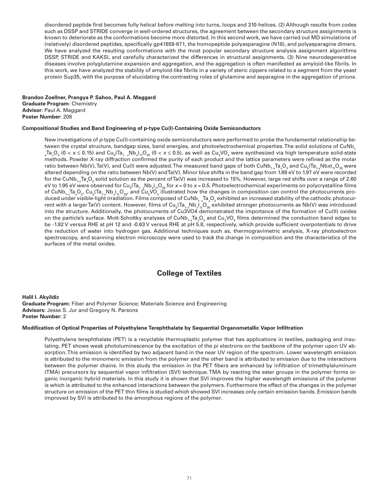disordered peptide first becomes fully helical before melting into turns, loops and 310-helices. (2) Although results from codes such as DSSP and STRIDE converge in well-ordered structures, the agreement between the secondary structure assignments is known to deteriorate as the conformations become more distorted. In this second work, we have carried out MD simulations of (relatively) disordered peptides, specifically gp41659-671, the homopeptide polyasparagine (N18), and polyasparagine dimers. We have analyzed the resulting conformations with the most popular secondary structure analysis assignment algorithms DSSP, STRIDE and KAKSI, and carefully characterized the differences in structural assignments. (3) Nine neurodegenerative diseases involve polyglutamine expansion and aggregation, and the aggregation is often manifested as amyloid-like fibrils. In this work, we have analyzed the stability of amyloid-like fibrils in a variety of steric zippers related to a segment from the yeast protein Sup35, with the purpose of elucidating the contrasting roles of glutamine and asparagine in the aggregation of prions.

**Brandon Zoellner, Prangya P. Sahoo, Paul A. Maggard Graduate Program**: Chemistry **Advisor**: Paul A. Maggard **Poster Number:** 208

#### **Compositional Studies and Band Engineering of p-type Cu(I)-Containing Oxide Semiconductors**

New investigations of *p*-type Cu(I)-containing oxide semiconductors were performed to probe the fundamental relationship between the crystal structure, bandgap sizes, band energies, and photoelectrochemical properties. The solid solutions of CuNb<sub>1</sub> *x*Ta<sub>x</sub>O<sub>3</sub> (0 < *x* ≤ 0.15) and Cu<sub>5</sub>(Ta<sub>1- x</sub>Nb<sub>x</sub>)<sub>1i</sub>O<sub>30</sub> (0 < *x* ≤ 0.5), as well as Cu<sub>3</sub>VO<sub>4</sub> were synthesized via high temperature solid-state methods. Powder X-ray diffraction confirmed the purity of each product and the lattice parameters were refined as the molar ratio between Nb(V), Ta(V), and Cu(I) were adjusted. The measured band gaps of both CuNb<sub>+x</sub>Ta<sub>x</sub>O<sub>3</sub> and Cu<sub>5</sub>(Ta<sub>+x</sub>Nb*x*)<sub>11</sub>O<sub>30</sub> were altered depending on the ratio between Nb(V) and Ta(V). Minor blue shifts in the band gap from 1.89 eV to 1.97 eV were recorded for the CuNb<sub>1-x</sub>Ta<sub>x</sub>O<sub>3</sub> solid solution as the percent ofTa(V) was increased to 15%. However, large red shifts over a range of 2.60 eV to 1.95 eV were observed for Cu<sub>5</sub>(Ta<sub>1, x</sub>Nb<sub>x</sub>)<sub>11</sub>O<sub>30</sub> for *x* = 0 to *x* = 0.5. Photoelectrochemical experiments on polycrystalline films of CuNb<sub>1×</sub>Ta<sub>x</sub>O<sub>3</sub>, Cu<sub>5</sub>(Ta<sub>1×</sub>Nb<sub>x</sub>)<sub>11</sub>O<sub>30</sub>, and Cu<sub>3</sub>VO<sub>4</sub> illustrated how the changes in composition can control the photocurrents produced under visible-light irradiation. Films composed of CuNb<sub>1-x</sub>Ta<sub>x</sub>O<sub>3</sub> exhibited an increased stability of the cathodic photocurrent with a largerTa(V) content. However, films of Cu<sub>s</sub>(Ta<sub>1-x</sub>Nb<sub>x</sub>)<sub>11</sub>O<sub>30</sub> exhibited stronger photocurrents as Nb(V) was introduced into the structure. Additionally, the photocurrents of Cu3VO4 demonstrated the importance of the formation of Cu(II) oxides on the particle's surface. Mott-Schottky analyses of CuNb<sub>1-x</sub>Ta<sub>x</sub>O<sub>3</sub> and Cu<sub>3</sub>VO<sub>4</sub> films determined the conduction band edges to be -1.82 V versus RHE at pH 12 and -0.63 V versus RHE at pH 5.8, respectively, which provide sufficient overpotentials to drive the reduction of water into hydrogen gas. Additional techniques such as, thermogravimetric analysis, X-ray photoelectron spectroscopy, and scanning electron microscopy were used to track the change in composition and the characteristics of the surfaces of the metal oxides.

# **College of Textiles**

**Halil I. Akyildiz Graduate Program:** Fiber and Polymer Science; Materials Science and Engineering **Advisors:** Jesse S. Jur and Gregory N. Parsons **Poster Number:** 2

#### **Modification of Optical Properties of Polyethylene Terephthalate by Sequential Organometallic Vapor Infiltration**

Polyethylene terephthalate (PET) is a recyclable thermoplastic polymer that has applications in textiles, packaging and insulating. PET shows weak photoluminescence by the excitation of the pi electrons on the backbone of the polymer upon UV absorption. This emission is identified by two adjacent band in the near UV region of the spectrum. Lower wavelength emission is attributed to the monomeric emission from the polymer and the other band is attributed to emission due to the interactions between the polymer chains. In this study the emission in the PET fibers are enhanced by infiltration of trimethylaluminum (TMA) precursors by sequential vapor infiltration (SVI) technique. TMA by reacting the ester groups in the polymer forms organic inorganic hybrid materials. In this study it is shown that SVI improves the higher wavelength emissions of the polymer is which is attributed to the enhanced interactions between the polymers. Furthermore the effect of the changes in the polymer structure on emission of the PET thin films is studied which showed SVI increases only certain emission bands. Emission bands improved by SVI is attributed to the amorphous regions of the polymer.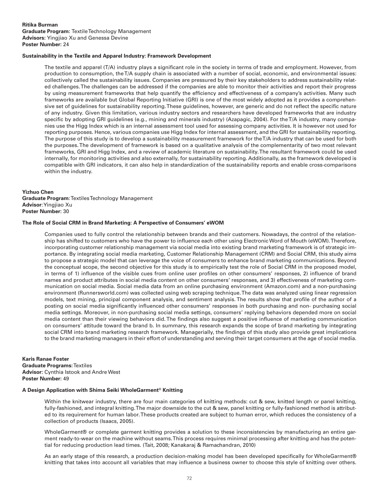#### **Ritika Burman Graduate Program:** Textile Technology Management **Advisors:** Yingjiao Xu and Genessa Devine **Poster Number:** 24

#### **Sustainability in the Textile and Apparel Industry: Framework Development**

The textile and apparel (T/A) industry plays a significant role in the society in terms of trade and employment. However, from production to consumption, the T/A supply chain is associated with a number of social, economic, and environmental issues: collectively called the sustainability issues. Companies are pressured by their key stakeholders to address sustainability related challenges. The challenges can be addressed if the companies are able to monitor their activities and report their progress by using measurement frameworks that help quantify the efficiency and effectiveness of a company's activities. Many such frameworks are available but Global Reporting Initiative (GRI) is one of the most widely adopted as it provides a comprehensive set of guidelines for sustainability reporting. These guidelines, however, are generic and do not reflect the specific nature of any industry. Given this limitation, various industry sectors and researchers have developed frameworks that are industry specific by adopting GRI guidelines (e.g., mining and minerals industry) (Azapagic, 2004). For the T/A industry, many companies use the Higg Index which is an internal assessment tool used for assessing company activities. It is however not used for reporting purposes. Hence, various companies use Higg Index for internal assessment, and the GRI for sustainability reporting. The purpose of this study is to develop a sustainability measurement framework for the T/A industry that can be used for both the purposes. The development of framework is based on a qualitative analysis of the complementarity of two most relevant frameworks, GRI and Higg Index, and a review of academic literature on sustainability. The resultant framework could be used internally, for monitoring activities and also externally, for sustainability reporting. Additionally, as the framework developed is compatible with GRI indicators, it can also help in standardization of the sustainability reports and enable cross-comparisons within the industry.

#### **Yizhuo Chen Graduate Program**: Textiles Technology Management **Advisor**: Yingjiao Xu **Poster Number:** 30

#### **The Role of Social CRM in Brand Marketing: A Perspective of Consumers' eWOM**

Companies used to fully control the relationship between brands and their customers. Nowadays, the control of the relationship has shifted to customers who have the power to influence each other using Electronic Word of Mouth (eWOM). Therefore, incorporating customer relationship management via social media into existing brand marketing framework is of strategic importance. By integrating social media marketing, Customer Relationship Management (CRM) and Social CRM, this study aims to propose a strategic model that can leverage the voice of consumers to enhance brand marketing communications. Beyond the conceptual scope, the second objective for this study is to empirically test the role of Social CRM in the proposed model, in terms of 1) influence of the visible cues from online user profiles on other consumers' responses, 2) influence of brand names and product attributes in social media content on other consumers' responses, and 3) effectiveness of marketing communication on social media. Social media data from an online purchasing environment (Amazon.com) and a non-purchasing environment (Runnersworld.com) was collected using web scraping technique. The data was analyzed using linear regression models, text mining, principal component analysis, and sentiment analysis. The results show that profile of the author of a posting on social media significantly influenced other consumers' responses in both purchasing and non- purchasing social media settings. Moreover, in non-purchasing social media settings, consumers' replying behaviors depended more on social media content than their viewing behaviors did. The findings also suggest a positive influence of marketing communication on consumers' attitude toward the brand b. In summary, this research expands the scope of brand marketing by integrating social CRM into brand marketing research framework. Managerially, the findings of this study also provide great implications to the brand marketing managers in their effort of understanding and serving their target consumers at the age of social media.

#### **Karis Ranae Foster Graduate Programs:** Textiles **Advisor:** Cynthia Istook and Andre West **Poster Number:** 49

#### **A Design Application with Shima Seiki WholeGarment**® **Knitting**

Within the knitwear industry, there are four main categories of knitting methods: cut & sew, knitted length or panel knitting, fully-fashioned, and integral knitting. The major downside to the cut & sew, panel knitting or fully-fashioned method is attributed to its requirement for human labor. These products created are subject to human error, which reduces the consistency of a collection of products (Isaacs, 2005).

WholeGarment® or complete garment knitting provides a solution to these inconsistencies by manufacturing an entire garment ready-to-wear on the machine without seams. This process requires minimal processing after knitting and has the potential for reducing production lead times. (Tait, 2008; Kanakaraj & Ramachandran, 2010)

As an early stage of this research, a production decision-making model has been developed specifically for WholeGarment® knitting that takes into account all variables that may influence a business owner to choose this style of knitting over others.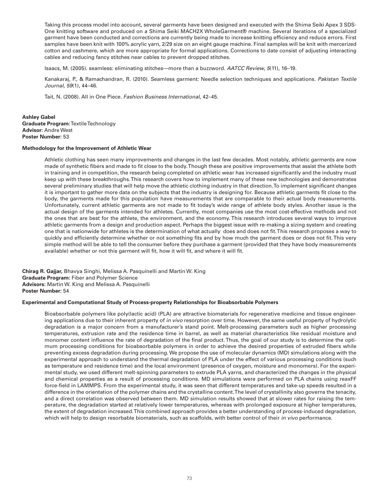Taking this process model into account, several garments have been designed and executed with the Shima Seiki Apex 3 SDS-One knitting software and produced on a Shima Seiki MACH2X WholeGarment® machine. Several iterations of a specialized garment have been conducted and corrections are currently being made to increase knitting efficiency and reduce errors. First samples have been knit with 100% acrylic yarn, 2/29 size on an eight gauge machine. Final samples will be knit with mercerized cotton and cashmere, which are more appropriate for formal applications. Corrections to date consist of adjusting interacting cables and reducing fancy stitches near cables to prevent dropped stitches.

Isaacs, M. (2005). seamless: eliminating stitches—more than a buzzword. *AATCC Review*, *5*(11), 16–19.

Kanakaraj, P., & Ramachandran, R. (2010). Seamless garment: Needle selection techniques and applications. *Pakistan Textile Journal*, *59*(1), 44–46.

Tait, N. (2008). All in One Piece. *Fashion Business International*, 42–45.

#### **Ashley Gabel Graduate Program:** Textile Technology **Advisor:** Andre West **Poster Number:** 53

#### **Methodology for the Improvement of Athletic Wear**

Athletic clothing has seen many improvements and changes in the last few decades. Most notably, athletic garments are now made of synthetic fibers and made to fit close to the body. Though these are positive improvements that assist the athlete both in training and in competition, the research being completed on athletic wear has increased significantly and the industry must keep up with these breakthroughs. This research covers how to implement many of these new technologies and demonstrates several preliminary studies that will help move the athletic clothing industry in that direction. To implement significant changes it is important to gather more data on the subjects that the industry is designing for. Because athletic garments fit close to the body, the garments made for this population have measurements that are comparable to their actual body measurements. Unfortunately, current athletic garments are not made to fit today's wide range of athlete body styles. Another issue is the actual design of the garments intended for athletes. Currently, most companies use the most cost-effective methods and not the ones that are best for the athlete, the environment, and the economy. This research introduces several ways to improve athletic garments from a design and production aspect. Perhaps the biggest issue with re-making a sizing system and creating one that is nationwide for athletes is the determination of what actually does and does not fit. This research proposes a way to quickly and efficiently determine whether or not something fits and by how much the garment does or does not fit. This very simple method will be able to tell the consumer before they purchase a garment (provided that they have body measurements available) whether or not this garment will fit, how it will fit, and where it will fit.

**Chirag R. Gajjar,** Bhavya Singhi, Melissa A. Pasquinelli and Martin W. King **Graduate Program:** Fiber and Polymer Science **Advisors:** Martin W. King and Melissa A. Pasquinelli **Poster Number:** 54

#### **Experimental and Computational Study of Process-property Relationships for Bioabsorbable Polymers**

Bioabsorbable polymers like poly(lactic acid) (PLA) are attractive biomaterials for regenerative medicine and tissue engineering applications due to their inherent property of *in vivo* resorption over time. However, the same useful property of hydrolytic degradation is a major concern from a manufacturer's stand point. Melt-processing parameters such as higher processing temperatures, extrusion rate and the residence time in barrel, as well as material characteristics like residual moisture and monomer content influence the rate of degradation of the final product. Thus, the goal of our study is to determine the optimum processing conditions for bioabsorbable polymers in order to achieve the desired properties of extruded fibers while preventing excess degradation during processing. We propose the use of molecular dynamics (MD) simulations along with the experimental approach to understand the thermal degradation of PLA under the effect of various processing conditions (such as temperature and residence time) and the local environment (presence of oxygen, moisture and monomers). For the experimental study, we used different melt-spinning parameters to extrude PLA yarns, and characterized the changes in the physical and chemical properties as a result of processing conditions. MD simulations were performed on PLA chains using reaxFF force-field in LAMMPS. From the experimental study, it was seen that different temperatures and take-up speeds resulted in a difference in the orientation of the polymer chains and the crystalline content. The level of crystallinity also governs the tenacity, and a direct correlation was observed between them. MD simulation results showed that at slower rates for raising the temperature, the degradation started at relatively lower temperatures, whereas with prolonged exposure at higher temperatures, the extent of degradation increased. This combined approach provides a better understanding of process-induced degradation, which will help to design resorbable biomaterials, such as scaffolds, with better control of their *in vivo* performance.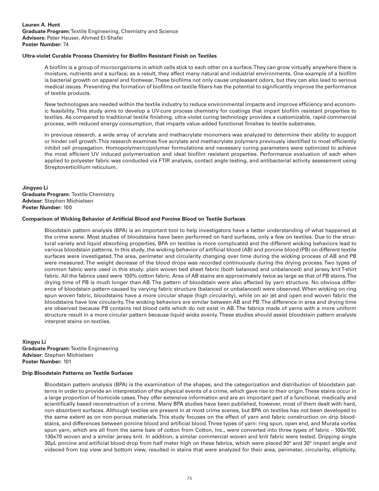#### **Ultra-violet Curable Process Chemistry for Biofilm Resistant Finish on Textiles**

A biofilm is a group of microorganisms in which cells stick to each other on a surface. They can grow virtually anywhere there is moisture, nutrients and a surface; as a result, they affect many natural and industrial environments. One example of a biofilm is bacterial growth on apparel and footwear. These biofilms not only cause unpleasant odors, but they can also lead to serious medical issues. Preventing the formation of biofilms on textile fibers has the potential to significantly improve the performance of textile products.

New technologies are needed within the textile industry to reduce environmental impacts and improve efficiency and economic feasibility. This study aims to develop a UV-cure process chemistry for coatings that impart biofilm resistant properties to textiles. As compared to traditional textile finishing, ultra-violet curing technology provides a customizable, rapid commercial process, with reduced energy consumption, that imparts value-added functional finishes to textile substrates.

In previous research, a wide array of acrylate and methacrylate monomers was analyzed to determine their ability to support or hinder cell growth. This research examines five acrylate and methacrylate polymers previously identified to most efficiently inhibit cell propagation. Homopolymer/copolymer formulations and necessary curing parameters were optimized to achieve the most efficient UV induced polymerization and ideal biofilm resistant properties. Performance evaluation of each when applied to polyester fabric was conducted via FTIR analysis, contact angle testing, and antibacterial activity assessment using Streptoverticillium reticulum.

**Jingyao Li Graduate Program:** Textile Chemistry **Advisor:** Stephen Michielsen **Poster Number:** 100

#### **Comparison of Wicking Behavior of Artificial Blood and Porcine Blood on Textile Surfaces**

Bloodstain pattern analysis (BPA) is an important tool to help investigators have a better understanding of what happened at the crime scene. Most studies of bloodstains have been performed on hard surfaces, only a few on textiles. Due to the structural variety and liquid absorbing properties, BPA on textiles is more complicated and the different wicking behaviors lead to various bloodstain patterns. In this study, the wicking behavior of artificial blood (AB) and porcine blood (PB) on different textile surfaces were investigated. The area, perimeter and circularity changing over time during the wicking process of AB and PB were measured. The weight decrease of the blood drops was recorded continuously during the drying process. Two types of common fabric were used in this study: plain woven bed sheet fabric (both balanced and unbalanced) and jersey knit T-shirt fabric. All the fabrics used were 100% cotton fabric. Area of AB stains are approximately twice as large as that of PB stains. The drying time of PB is much longer than AB. The pattern of bloodstain were also affected by yarn structure. No obvious difference of bloodstain pattern caused by varying fabric structure (balanced or unbalanced) were observed. When wicking on ring spun woven fabric, bloodstains have a more circular shape (high circularity), while on air jet and open end woven fabric the bloodstains have low circularity. The wicking behaviors are similar between AB and PB. The difference in area and drying time are observed because PB contains red blood cells which do not exist in AB. The fabrics made of yarns with a more uniform structure result in a more circular pattern because liquid wicks evenly. These studies should assist bloodstain pattern analysts interpret stains on textiles.

**Xingyu Li Graduate Program:** Textile Engineering **Advisor:** Stephen Michielsen **Poster Number:** 101

#### **Drip Bloodstain Patterns on Textile Surfaces**

Bloodstain pattern analysis (BPA) is the examination of the shapes, and the categorization and distribution of bloodstain patterns in order to provide an interpretation of the physical events of a crime, which gave rise to their origin. These stains occur in a large proportion of homicide cases. They offer extensive information and are an important part of a functional, medically and scientifically based reconstruction of a crime. Many BPA studies have been published, however, most of them dealt with hard, non-absorbent surfaces. Although textiles are present in at most crime scenes, but BPA on textiles has not been developed to the same extent as on non-porous materials. This study focuses on the effect of yarn and fabric construction on drip bloodstains, and differences between porcine blood and artificial blood. Three types of yarn: ring spun, open end, and Murata vortex spun yarn, which are all from the same bale of cotton from Cotton, Inc., were converted into three types of fabric - 100x100, 130x70 woven and a similar jersey knit. In addition, a similar commercial woven and knit fabric were tested. Dripping single 30µL porcine and artificial blood drop from half meter high on these fabrics, which were placed 90° and 30° impact angle and videoed from top view and bottom view, resulted in stains that were analyzed for their area, perimeter, circularity, ellipticity,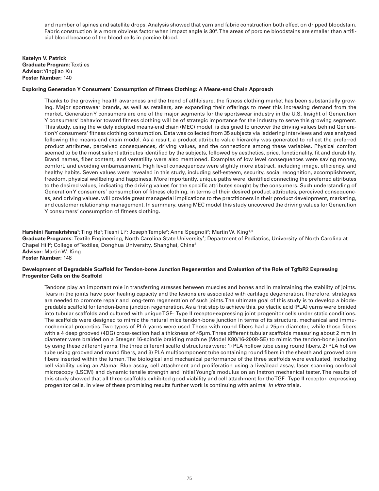and number of spines and satellite drops. Analysis showed that yarn and fabric construction both effect on dripped bloodstain. Fabric construction is a more obvious factor when impact angle is 30°. The areas of porcine bloodstains are smaller than artificial blood because of the blood cells in porcine blood.

**Katelyn V. Patrick Graduate Program:** Textiles **Advisor:** Yingjiao Xu **Poster Number:** 140

#### **Exploring Generation Y Consumers' Consumption of Fitness Clothing: A Means-end Chain Approach**

Thanks to the growing health awareness and the trend of athleisure, the fitness clothing market has been substantially growing. Major sportswear brands, as well as retailers, are expanding their offerings to meet this increasing demand from the market. Generation Y consumers are one of the major segments for the sportswear industry in the U.S. Insight of Generation Y consumers' behavior toward fitness clothing will be of strategic importance for the industry to serve this growing segment. This study, using the widely adopted means-end chain (MEC) model, is designed to uncover the driving values behind Generation Y consumers' fitness clothing consumption. Data was collected from 35 subjects via laddering interviews and was analyzed following the means-end chain model. As a result, a product attribute-value hierarchy was generated to reflect the preferred product attributes, perceived consequences, driving values, and the connections among these variables. Physical comfort seemed to be the most salient attributes identified by the subjects, followed by aesthetics, price, functionality, fit and durability. Brand names, fiber content, and versatility were also mentioned. Examples of low level consequences were saving money, comfort, and avoiding embarrassment. High level consequences were slightly more abstract, including image, efficiency, and healthy habits. Seven values were revealed in this study, including self-esteem, security, social recognition, accomplishment, freedom, physical wellbeing and happiness. More importantly, unique paths were identified connecting the preferred attributes to the desired values, indicating the driving values for the specific attributes sought by the consumers. Such understanding of Generation Y consumers' consumption of fitness clothing, in terms of their desired product attributes, perceived consequences, and driving values, will provide great managerial implications to the practitioners in their product development, marketing, and customer relationship management. In summary, using MEC model this study uncovered the driving values for Generation Y consumers' consumption of fitness clothing.

**Harshini Ramakrishna'**;Ting He';Tieshi Li<sup>2</sup>; JosephTemple<sup>2</sup>; Anna Spagnoli<sup>2</sup>; Martin W. King<sup>1,3</sup> Graduate Programs: Textile Engineering, North Carolina State University<sup>1</sup>; Department of Pediatrics, University of North Carolina at Chapel Hill<sup>2</sup>; College of Textiles, Donghua University, Shanghai, China<sup>3</sup> **Advisor:** Martin W. King **Poster Number:** 148

#### **Development of Degradable Scaffold for Tendon-bone Junction Regeneration and Evaluation of the Role of TgfbR2 Expressing Progenitor Cells on the Scaffold**

Tendons play an important role in transferring stresses between muscles and bones and in maintaining the stability of joints. Tears in the joints have poor healing capacity and the lesions are associated with cartilage degeneration. Therefore, strategies are needed to promote repair and long-term regeneration of such joints. The ultimate goal of this study is to develop a biodegradable scaffold for tendon-bone junction regeneration. As a first step to achieve this, polylactic acid (PLA) yarns were braided into tubular scaffolds and cultured with unique TGF- Type II receptor-expressing joint progenitor cells under static conditions. The scaffolds were designed to mimic the natural mice tendon-bone junction in terms of its structure, mechanical and immunochemical properties. Two types of PLA yarns were used. Those with round fibers had a 25µm diameter, while those fibers with a 4 deep grooved (4DG) cross-section had a thickness of 45µm. Three different tubular scaffolds measuring about 2 mm in diameter were braided on a Steeger 16-spindle braiding machine (Model K80/16-2008-SE) to mimic the tendon-bone junction by using these different yarns. The three different scaffold structures were: 1) PLA hollow tube using round fibers, 2) PLA hollow tube using grooved and round fibers, and 3) PLA multicomponent tube containing round fibers in the sheath and grooved core fibers inserted within the lumen. The biological and mechanical performance of the three scaffolds were evaluated, including cell viability using an Alamar Blue assay, cell attachment and proliferation using a live/dead assay, laser scanning confocal microscopy (LSCM) and dynamic tensile strength and initial Young's modulus on an Instron mechanical tester. The results of this study showed that all three scaffolds exhibited good viability and cell attachment for the TGF- Type II receptor- expressing progenitor cells. In view of these promising results further work is continuing with animal *in vitro* trials.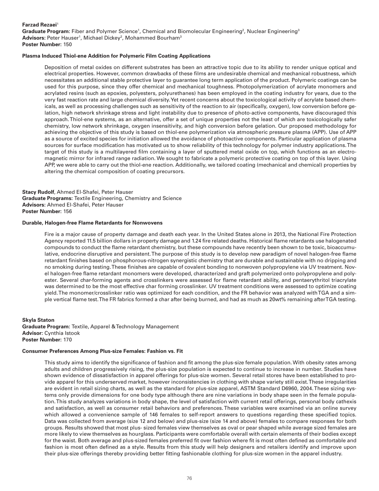#### **Farzad Rezaei<sup>1</sup>**

Graduate Program: Fiber and Polymer Science<sup>1</sup>, Chemical and Biomolecular Engineering<sup>2</sup>, Nuclear Engineering<sup>3</sup> **Advisors:** Peter Hauser<sup>1</sup>, Michael Dickey<sup>2</sup>, Mohammed Bourham<sup>3</sup> **Poster Number:** 150

#### **Plasma Induced Thiol-ene Addition for Polymeric Film Coating Applications**

Deposition of metal oxides on different substrates has been an attractive topic due to its ability to render unique optical and electrical properties. However, common drawbacks of these films are undesirable chemical and mechanical robustness, which necessitates an additional stable protective layer to guarantee long term application of the product. Polymeric coatings can be used for this purpose, since they offer chemical and mechanical toughness. Photopolymerization of acrylate monomers and acrylated resins (such as epoxies, polyesters, polyurethanes) has been employed in the coating industry for years, due to the very fast reaction rate and large chemical diversity. Yet recent concerns about the toxicological activity of acrylate based chemicals, as well as processing challenges such as sensitivity of the reaction to air (specifically, oxygen), low conversion before gelation, high network shrinkage stress and light instability due to presence of photo-active components, have discouraged this approach. Thiol-ene systems, as an alternative, offer a set of unique properties not the least of which are toxicologically safer chemistry, low network shrinkage, oxygen insensitivity, and high conversion before gelation. Our proposed methodology for achieving the objective of this study is based on thiol-ene polymerization via atmospheric pressure plasma (APP). Use of APP as a source of excited species for initiation allowed the avoidance of photoactive components. Particular application of plasma sources for surface modification has motivated us to show reliability of this technology for polymer industry applications. The target of this study is a multilayered film containing a layer of sputtered metal oxide on top, which functions as an electromagnetic mirror for infrared range radiation. We sought to fabricate a polymeric protective coating on top of this layer. Using APP, we were able to carry out the thiol-ene reaction. Additionally, we tailored coating (mechanical and chemical) properties by altering the chemical composition of coating precursors.

**Stacy Rudolf**, Ahmed El-Shafei, Peter Hauser **Graduate Programs:** Textile Engineering, Chemistry and Science **Advisors:** Ahmed El-Shafei, Peter Hauser **Poster Number:** 156

#### **Durable, Halogen-free Flame Retardants for Nonwovens**

Fire is a major cause of property damage and death each year. In the United States alone in 2013, the National Fire Protection Agency reported 11.5 billion dollars in property damage and 1.24 fire related deaths. Historical flame retardants use halogenated compounds to conduct the flame retardant chemistry, but these compounds have recently been shown to be toxic, bioaccumulative, endocrine disruptive and persistent. The purpose of this study is to develop new paradigm of novel halogen-free flame retardant finishes based on phosphorous-nitrogen synergistic chemistry that are durable and sustainable with no dripping and no smoking during testing. These finishes are capable of covalent bonding to nonwoven polypropylene via UV treatment. Novel halogen-free flame retardant monomers were developed, characterized and graft polymerized onto polypropylene and polyester. Several char-forming agents and crosslinkers were assessed for flame retardant ability, and pentaerythritol triacrylate was determined to be the most effective char forming crosslinker. UV treatment conditions were assessed to optimize coating yield. The monomer/crosslinker ratio was optimized for each condition, and the FR behavior was analyzed with TGA and a simple vertical flame test. The FR fabrics formed a char after being burned, and had as much as 20wt% remaining after TGA testing.

**Skyla Staton Graduate Program:** Textile, Apparel & Technology Management **Advisor:** Cynthia Istook **Poster Number:** 170

#### **Consumer Preferences Among Plus-size Females: Fashion vs. Fit**

This study aims to identify the significance of fashion and fit among the plus-size female population. With obesity rates among adults and children progressively rising, the plus-size population is expected to continue to increase in number. Studies have shown evidence of dissatisfaction in apparel offerings for plus-size women. Several retail stores have been established to provide apparel for this underserved market, however inconsistencies in clothing with shape variety still exist. These irregularities are evident in retail sizing charts, as well as the standard for plus-size apparel, ASTM Standard D6960, 2004. These sizing systems only provide dimensions for one body type although there are nine variations in body shape seen in the female population. This study analyzes variations in body shape, the level of satisfaction with current retail offerings, personal body cathexis and satisfaction, as well as consumer retail behaviors and preferences. These variables were examined via an online survey which allowed a convenience sample of 146 females to self-report answers to questions regarding these specified topics. Data was collected from average (size 12 and below) and plus-size (size 14 and above) females to compare responses for both groups. Results showed that most plus- sized females view themselves as oval or pear shaped while average sized females are more likely to view themselves as hourglass. Participants were comfortable overall with certain elements of their bodies except for the waist. Both average and plus-sized females preferred fit over fashion where fit is most often defined as comfortable and fashion is most often defined as a style. Results from this study will help designers and retailers identify and improve upon their plus-size offerings thereby providing better fitting fashionable clothing for plus-size women in the apparel industry.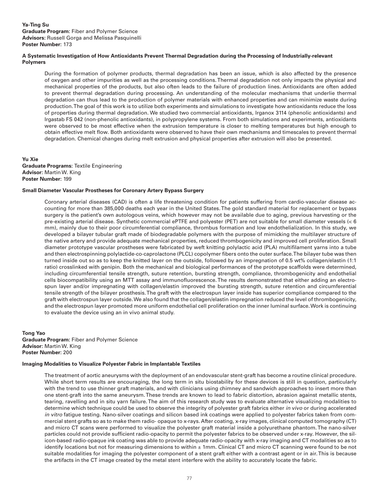#### **A Systematic Investigation of How Antioxidants Prevent Thermal Degradation during the Processing of Industrially-relevant Polymers**

During the formation of polymer products, thermal degradation has been an issue, which is also affected by the presence of oxygen and other impurities as well as the processing conditions. Thermal degradation not only impacts the physical and mechanical properties of the products, but also often leads to the failure of production lines. Antioxidants are often added to prevent thermal degradation during processing. An understanding of the molecular mechanisms that underlie thermal degradation can thus lead to the production of polymer materials with enhanced properties and can minimize waste during production. The goal of this work is to utilize both experiments and simulations to investigate how antioxidants reduce the loss of properties during thermal degradation. We studied two commercial antioxidants, Irganox 3114 (phenolic antioxidants) and Irgastab FS 042 (non-phenolic antioxidants), in polypropylene systems. From both simulations and experiments, antioxidants were observed to be most effective when the extrusion temperature is closer to melting temperatures but high enough to obtain effective melt flow. Both antioxidants were observed to have their own mechanisms and timescales to prevent thermal degradation. Chemical changes during melt extrusion and physical properties after extrusion will also be presented.

**Yu Xie Graduate Programs:** Textile Engineering **Advisor:** Martin W. King **Poster Number:** 199

## **Small Diameter Vascular Prostheses for Coronary Artery Bypass Surgery**

Coronary arterial diseases (CAD) is often a life threatening condition for patients suffering from cardio-vascular disease accounting for more than 385,000 deaths each year in the United States. The gold standard material for replacement or bypass surgery is the patient's own autologous veins, which however may not be available due to aging, previous harvesting or the pre-existing arterial disease. Synthetic commercial ePTFE and polyester (PET) are not suitable for small diameter vessels (< 6 mm), mainly due to their poor circumferential compliance, thrombus formation and low endothelialization. In this study, we developed a bilayer tubular graft made of biodegradable polymers with the purpose of mimicking the multilayer structure of the native artery and provide adequate mechanical properties, reduced thrombogenicity and improved cell proliferation. Small diameter prototype vascular prostheses were fabricated by weft knitting polylactic acid (PLA) multifilament yarns into a tube and then electrospinning polylactide-co-caprolactone (PLCL) copolymer fibers onto the outer surface. The bilayer tube was then turned inside out so as to keep the knitted layer on the outside, followed by an impregnation of 0.5 wt% collagen/elastin (1:1 ratio) crosslinked with genipin. Both the mechanical and biological performances of the prototype scaffolds were determined, including circumferential tensile strength, suture retention, bursting strength, compliance, thrombogenicity and endothelial cells biocompatibility using an MTT assay and immunofluorescence. The results demonstrated that either adding an electrospun layer and/or impregnating with collagen/elastin improved the bursting strength, suture retention and circumferential tensile strength of the bilayer prosthesis. The graft with the electrospun layer inside has superior compliance compared to the graft with electrospun layer outside. We also found that the collagen/elastin impregnation reduced the level of thrombogenicity, and the electrospun layer promoted more uniform endothelial cell proliferation on the inner luminal surface. Work is continuing to evaluate the device using an in vivo animal study.

**Tong Yao Graduate Program:** Fiber and Polymer Science **Advisor:** Martin W. King **Poster Number:** 200

#### **Imaging Modalities to Visualize Polyester Fabric in Implantable Textiles**

The treatment of aortic aneurysms with the deployment of an endovascular stent-graft has become a routine clinical procedure. While short term results are encouraging, the long term in situ biostability for these devices is still in question, particularly with the trend to use thinner graft materials, and with clinicians using chimney and sandwich approaches to insert more than one stent-graft into the same aneurysm. These trends are known to lead to fabric distortion, abrasion against metallic stents, tearing, ravelling and in situ yarn failure. The aim of this research study was to evaluate alternative visualizing modalities to determine which technique could be used to observe the integrity of polyester graft fabrics either *in vivo* or during accelerated *in vitro* fatigue testing. Nano-silver coatings and silicon based ink coatings were applied to polyester fabrics taken from commercial stent grafts so as to make them radio- opaque to x-rays. After coating, x-ray images, clinical computed tomography (CT) and micro CT scans were performed to visualize the polyester graft material inside a polyurethane phantom. The nano-silver particles could not provide sufficient radio-opacity to permit the polyester fabrics to be observed under x-ray. However, the silicon-based radio-opaque ink coating was able to provide adequate radio-opacity with x-ray imaging and CT modalities so as to identify locations but not for measuring dimensions to within ± 1mm. Clinical CT and micro CT scanning were found to be not suitable modalities for imaging the polyester component of a stent graft either with a contrast agent or in air. This is because the artifacts in the CT image created by the metal stent interfere with the ability to accurately locate the fabric.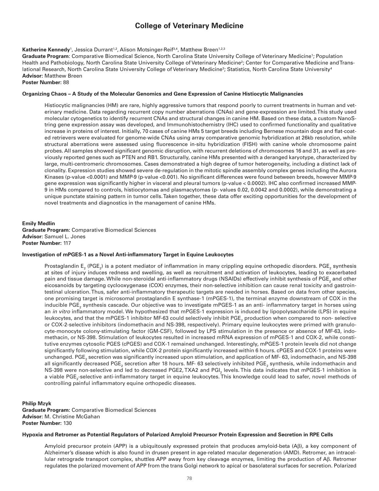# **College of Veterinary Medicine**

**Katherine Kennedy**1, Jessica Durrant<sup>1,2</sup>, Alison Motsinger-Reif<sup>3,4</sup>, Matthew Breen<sup>1,2,3</sup>

Graduate Program: Comparative Biomedical Science, North Carolina State University College of Veterinary Medicine<sup>1</sup>; Population Health and Pathobiology, North Carolina State University College of Veterinary Medicine<sup>2</sup>; Center for Comparative Medicine andTranslational Research, North Carolina State University College of Veterinary Medicine<sup>3</sup>; Statistics, North Carolina State University<sup>4</sup> **Advisor:** Matthew Breen

### **Poster Number:** 88

#### **Organizing Chaos – A Study of the Molecular Genomics and Gene Expression of Canine Histiocytic Malignancies**

Histiocytic malignancies (HM) are rare, highly aggressive tumors that respond poorly to current treatments in human and veterinary medicine. Data regarding recurrent copy number aberrations (CNAs) and gene-expression are limited. This study used molecular cytogenetics to identify recurrent CNAs and structural changes in canine HM. Based on these data, a custom NanoString gene expression assay was developed, and Immunohistochemistry (IHC) used to confirmed functionality and qualitative increase in proteins of interest. Initially, 70 cases of canine HMs 5 target breeds including Bernese mountain dogs and flat-coated retrievers were evaluated for genome-wide CNAs using array comparative genomic hybridization at 26kb resolution, while structural aberrations were assessed using fluorescence in-situ hybridization (FISH) with canine whole chromosome paint probes. All samples showed significant genomic disruption, with recurrent deletions of chromosomes 16 and 31, as well as previously reported genes such as PTEN and RB1. Structurally, canine HMs presented with a deranged karyotype, characterized by large, multi-centromeric chromosomes. Cases demonstrated a high degree of tumor heterogeneity, including a distinct lack of clonality. Expression studies showed severe de-regulation in the mitotic spindle assembly complex genes including the Aurora Kinases (p-value <0.0001) and MMP-9 (p-value <0.001). No significant differences were found between breeds, however MMP-9 gene expression was significantly higher in visceral and pleural tumors (p-value < 0.0002). IHC also confirmed increased MMP-9 in HMs compared to controls, histiocytomas and plasmacytomas (p- values 0.02, 0.0042 and 0.0002), while demonstrating a unique punctate staining pattern in tumor cells. Taken together, these data offer exciting opportunities for the development of novel treatments and diagnostics in the management of canine HMs.

#### **Emily Medlin**

**Graduate Program:** Comparative Biomedical Sciences **Advisor:** Samuel L. Jones **Poster Number:** 117

#### **Investigation of mPGES-1 as a Novel Anti-inflammatory Target in Equine Leukocytes**

Prostaglandin E<sub>2</sub> (PGE<sub>2</sub>) is a potent mediator of inflammation in many crippling equine orthopedic disorders. PGE<sub>2</sub> synthesis at sites of injury induces redness and swelling, as well as recruitment and activation of leukocytes, leading to exacerbated pain and tissue damage. While non-steroidal anti-inflammatory drugs (NSAIDs) effectively inhibit synthesis of PGE $_{\rm _2}$  and other eicosanoids by targeting cyclooxygenase (COX) enzymes, their non-selective inhibition can cause renal toxicity and gastrointestinal ulceration. Thus, safer anti-inflammatory therapeutic targets are needed in horses. Based on data from other species, one promising target is microsomal prostaglandin E synthase-1 (mPGES-1), the terminal enzyme downstream of COX in the inducible PGE<sub>2</sub> synthesis cascade. Our objective was to investigate mPGES-1 as an anti- inflammatory target in horses using an *in vitro* inflammatory model. We hypothesized that mPGES-1 expression is induced by lipopolysaccharide (LPS) in equine leukocytes, and that the mPGES-1 inhibitor MF-63 could selectively inhibit PGE<sub>2</sub> production when compared to non- selective or COX-2-selective inhibitors (indomethacin and NS-398, respectively). Primary equine leukocytes were primed with granulocyte-monocyte colony-stimulating factor (GM-CSF), followed by LPS stimulation in the presence or absence of MF-63, indomethacin, or NS-398. Stimulation of leukocytes resulted in increased mRNA expression of mPGES-1 and COX-2, while constitutive enzymes cytosolic PGES (cPGES) and COX-1 remained unchanged. Interestingly, mPGES-1 protein levels did not change significantly following stimulation, while COX-2 protein significantly increased within 6 hours. cPGES and COX-1 proteins were unchanged. PGE $_{_2}$  secretion was significantly increased upon stimulation, and application of MF- 63, indomethacin, and NS-398 all significantly decreased PGE<sub>2</sub> secretion after 18 hours. MF- 63 selectively inhibited PGE<sub>2</sub> synthesis, while indomethacin and NS-398 were non-selective and led to decreased PGE2, TXA2 and PGI<sub>2</sub> levels. This data indicates that mPGES-1 inhibition is a viable PGE<sub>2</sub>-selective anti-inflammatory target in equine leukocytes. This knowledge could lead to safer, novel methods of controlling painful inflammatory equine orthopedic diseases.

#### **Philip Mzyk Graduate Program:** Comparative Biomedical Sciences **Advisor:** M. Christine McGahan **Poster Number:** 130

#### **Hypoxia and Retromer as Potential Regulators of Polarized Amyloid Precursor Protein Expression and Secretion in RPE Cells**

Amyloid precursor protein (APP) is a ubiquitously expressed protein that produces amyloid-beta (Aβ), a key component of Alzheimer's disease which is also found in drusen present in age-related macular degeneration (AMD). Retromer, an intracellular retrograde transport complex, shuttles APP away from key cleavage enzymes, limiting the production of Aβ. Retromer regulates the polarized movement of APP from the trans Golgi network to apical or basolateral surfaces for secretion. Polarized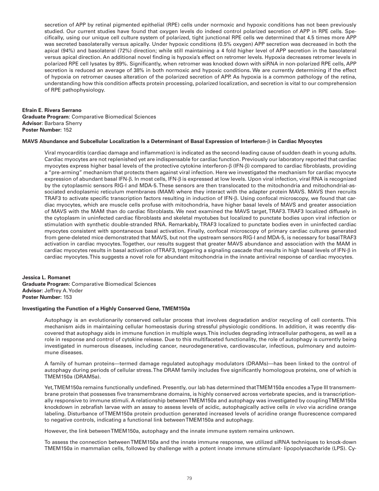secretion of APP by retinal pigmented epithelial (RPE) cells under normoxic and hypoxic conditions has not been previously studied. Our current studies have found that oxygen levels do indeed control polarized secretion of APP in RPE cells. Specifically, using our unique cell culture system of polarized, tight junctional RPE cells we determined that 4.5 times more APP was secreted basolaterally versus apically. Under hypoxic conditions (0.5% oxygen) APP secretion was decreased in both the apical (94%) and basolateral (72%) direction; while still maintaining a 4 fold higher level of APP secretion in the basolateral versus apical direction. An additional novel finding is hypoxia's effect on retromer levels. Hypoxia decreases retromer levels in polarized RPE cell lysates by 89%. Significantly, when retromer was knocked down with siRNA in non-polarized RPE cells, APP secretion is reduced an average of 38% in both normoxic and hypoxic conditions. We are currently determining if the effect of hypoxia on retromer causes alteration of the polarized secretion of APP. As hypoxia is a common pathology of the retina, understanding how this condition affects protein processing, polarized localization, and secretion is vital to our comprehension of RPE pathophysiology.

#### **Efrain E. Rivera Serrano Graduate Program**: Comparative Biomedical Sciences **Advisor**: Barbara Sherry **Poster Number:** 152

#### **MAVS Abundance and Subcellular Localization Is a Determinant of Basal Expression of Interferon-**β **in Cardiac Myocytes**

Viral myocarditis (cardiac damage and inflammation) is indicated as the second-leading cause of sudden death in young adults. Cardiac myocytes are not replenished yet are indispensable for cardiac function. Previously our laboratory reported that cardiac myocytes express higher basal levels of the protective cytokine interferon-β (IFN-β) compared to cardiac fibroblasts, providing a "pre-arming" mechanism that protects them against viral infection. Here we investigated the mechanism for cardiac myocyte expression of abundant basal IFN-β. In most cells, IFN-β is expressed at low levels. Upon viral infection, viral RNA is recognized by the cytoplasmic sensors RIG-I and MDA-5. These sensors are then translocated to the mitochondria and mitochondrial-associated endoplasmic reticulum membranes (MAM) where they interact with the adapter protein MAVS. MAVS then recruits TRAF3 to activate specific transcription factors resulting in induction of IFN-β. Using confocal microscopy, we found that cardiac myocytes, which are muscle cells profuse with mitochondria, have higher basal levels of MAVS and greater association of MAVS with the MAM than do cardiac fibroblasts. We next examined the MAVS target, TRAF3. TRAF3 localized diffusely in the cytoplasm in uninfected cardiac fibroblasts and skeletal myotubes but localized to punctate bodies upon viral infection or stimulation with synthetic double-stranded RNA. Remarkably, TRAF3 localized to punctate bodies even in uninfected cardiac myocytes consistent with spontaneous basal activation. Finally, confocal microscopy of primary cardiac cultures generated from gene-deleted mice demonstrated that MAVS, but not the upstream sensors RIG-I and MDA-5, is necessary for basal TRAF3 activation in cardiac myocytes. Together, our results suggest that greater MAVS abundance and association with the MAM in cardiac myocytes results in basal activation of TRAF3, triggering a signaling cascade that results in high basal levels of IFN-β in cardiac myocytes. This suggests a novel role for abundant mitochondria in the innate antiviral response of cardiac myocytes.

#### **Jessica L. Romanet**

**Graduate Program:** Comparative Biomedical Sciences **Advisor:** Jeffrey A. Yoder **Poster Number:** 153

#### **Investigating the Function of a Highly Conserved Gene, TMEM150a**

Autophagy is an evolutionarily conserved cellular process that involves degradation and/or recycling of cell contents. This mechanism aids in maintaining cellular homeostasis during stressful physiologic conditions. In addition, it was recently discovered that autophagy aids in immune function in multiple ways. This includes degrading intracellular pathogens, as well as a role in response and control of cytokine release. Due to this multifaceted functionality, the role of autophagy is currently being investigated in numerous diseases, including cancer, neurodegenerative, cardiovascular, infectious, pulmonary and autoimmune diseases.

A family of human proteins—termed damage regulated autophagy modulators (DRAMs)—has been linked to the control of autophagy during periods of cellular stress. The DRAM family includes five significantly homologous proteins, one of which is TMEM150a (DRAM5a).

Yet, TMEM150a remains functionally undefined. Presently, our lab has determined that TMEM150a encodes a Type III transmembrane protein that possesses five transmembrane domains, is highly conserved across vertebrate species, and is transcriptionally responsive to immune stimuli. A relationship between TMEM150a and autophagy was investigated by coupling TMEM150a knockdown in zebrafish larvae with an assay to assess levels of acidic, autophagically active cells *in vivo* via acridine orange labeling. Disturbance of TMEM150a protein production generated increased levels of acridine orange fluorescence compared to negative controls, indicating a functional link between TMEM150a and autophagy.

However, the link between TMEM150a, autophagy and the innate immune system remains unknown.

To assess the connection between TMEM150a and the innate immune response, we utilized siRNA techniques to knock-down TMEM150a in mammalian cells, followed by challenge with a potent innate immune stimulant- lipopolysaccharide (LPS). Cy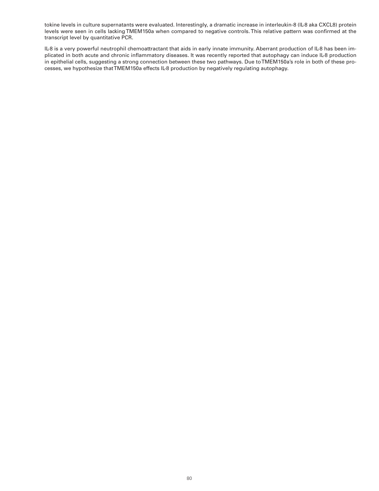tokine levels in culture supernatants were evaluated. Interestingly, a dramatic increase in interleukin-8 (IL-8 aka CXCL8) protein levels were seen in cells lacking TMEM150a when compared to negative controls. This relative pattern was confirmed at the transcript level by quantitative PCR.

IL-8 is a very powerful neutrophil chemoattractant that aids in early innate immunity. Aberrant production of IL-8 has been implicated in both acute and chronic inflammatory diseases. It was recently reported that autophagy can induce IL-8 production in epithelial cells, suggesting a strong connection between these two pathways. Due to TMEM150a's role in both of these processes, we hypothesize that TMEM150a effects IL-8 production by negatively regulating autophagy.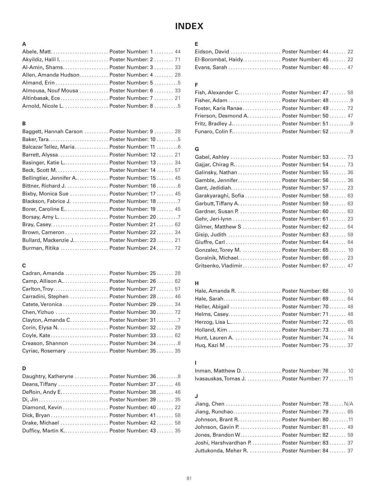# **INDEX**

# **A**

| Abele, Matt Poster Number: 1 44           |  |
|-------------------------------------------|--|
|                                           |  |
| Al-Amin, Shams Poster Number: 3 33        |  |
| Allen, Amanda Hudson Poster Number: 4 28  |  |
|                                           |  |
| Almousa, Nouf Mousa  Poster Number: 6  33 |  |
| Altinbasak, Ece Poster Number: 7 21       |  |
| Arnold, Nicole L.  Poster Number: 8 5     |  |

## **B**

| Baggett, Hannah Carson  Poster Number: 9  28 |
|----------------------------------------------|
| Baker, Tara Poster Number: 10  5             |
| Balcazar Tellez, Maria Poster Number: 11  6  |
| Barrett, Alyssa Poster Number: 12 21         |
| Basinger, Katie L Poster Number: 13 34       |
| Beck, Scott M.  Poster Number: 14  57        |
| Bellingtier, Jennifer A Poster Number: 15 45 |
| Bittner, Richard J.  Poster Number: 16 6     |
| Bixby, Monica Sue  Poster Number: 17  45     |
| Blackson, Fabrice J.  Poster Number: 18 7    |
|                                              |
| Borsay, Amy L.  Poster Number: 20 7          |
| Bray, Casey Poster Number: 21 62             |
| Brown, Cameron  Poster Number: 22  34        |
| Bullard, Mackenzie J. Poster Number: 23 21   |
| Burman, Ritika  Poster Number: 24  72        |

# **C**

| Cadran, Amanda  Poster Number: 25  28     |
|-------------------------------------------|
| Camp, Allison A Poster Number: 26 62      |
| Carlton, Troy Poster Number: 27 57        |
| Carradini, Stephen  Poster Number: 28  46 |
| Catete, Veronica  Poster Number: 29  34   |
| Chen, Yizhuo  Poster Number: 30  72       |
| Clayton, Amanda C. Poster Number: 31 7    |
| Corin, Elysa N.  Poster Number: 32 29     |
| Coyle, Kate Poster Number: 33 62          |
| Creason, Shannon  Poster Number: 348      |
| Cyriac, Rosemary  Poster Number: 35 35    |
|                                           |

# **D**

| Daughtry, Katheryne  Poster Number: 36  8 |  |
|-------------------------------------------|--|
| Deans, Tiffany  Poster Number: 37  46     |  |
| DeRoin, Andy E Poster Number: 38 46       |  |
|                                           |  |
| Diamond, Kevin  Poster Number: 40  22     |  |
|                                           |  |
| Drake, Michael  Poster Number: 42 58      |  |
| Dufficy, Martin K Poster Number: 43 35    |  |

# **E**

| El-Borombal, Haidy Poster Number: 45 22 |  |
|-----------------------------------------|--|
|                                         |  |

# **F**

| Fish, Alexander C Poster Number: 47 58    |  |
|-------------------------------------------|--|
| Fisher, Adam  Poster Number: 48  9        |  |
| Foster, Karis Ranae Poster Number: 49 72  |  |
| Frierson, Desmond A. Poster Number: 50 47 |  |
| Fritz, Bradley J Poster Number: 519       |  |
| Funaro, Colin F Poster Number: 529        |  |

## **G**

| Gabel, Ashley  Poster Number: 53 73        |  |
|--------------------------------------------|--|
| Gajjar, Chirag R Poster Number: 54 73      |  |
| Galinsky, Nathan  Poster Number: 55 36     |  |
| Gamble, Jennifer Poster Number: 56 36      |  |
|                                            |  |
| Garakyaraghi, Sofia  Poster Number: 58  63 |  |
| Garbutt, Tiffany A. Poster Number: 59 63   |  |
| Gardner, Susan P.  Poster Number: 60  63   |  |
| Gehr, Jeri-lynn  Poster Number: 61  23     |  |
| Gilmer, Matthew S  Poster Number: 62  64   |  |
| Gisip, Judith  Poster Number: 63 59        |  |
| Giuffre, Carl  Poster Number: 64  64       |  |
| Gonzalez, Torey M.  Poster Number: 65 10   |  |
| Goralnik, Michael Poster Number: 66 23     |  |
| Gritsenko, Vladimir Poster Number: 67  47  |  |

# **H**

| Hale, Sarah Poster Number: 69 64       |  |
|----------------------------------------|--|
| Heller, Abigail  Poster Number: 70 48  |  |
| Helms, Casey Poster Number: 71 48      |  |
| Herzog, Lisa L Poster Number: 72 65    |  |
|                                        |  |
| Hunt, Lauren A.  Poster Number: 74  74 |  |
| Huq, Kazi M  Poster Number: 75 37      |  |

# **I**

| Inman, Matthew D Poster Number: 76 10     |  |  |
|-------------------------------------------|--|--|
| Ivasauskas, Tomas J. Poster Number: 77 11 |  |  |

# **J**

| Jiang, Chen  Poster Number: 78  N/A         |  |
|---------------------------------------------|--|
| Jiang, Runchao Poster Number: 79 65         |  |
|                                             |  |
| Johnson, Gavin P.  Poster Number: 81 49     |  |
| Jones, Brandon W Poster Number: 82 59       |  |
| Joshi, Harshvardhan P. Poster Number: 83 37 |  |
| Juttukonda, Meher R.  Poster Number: 84 37  |  |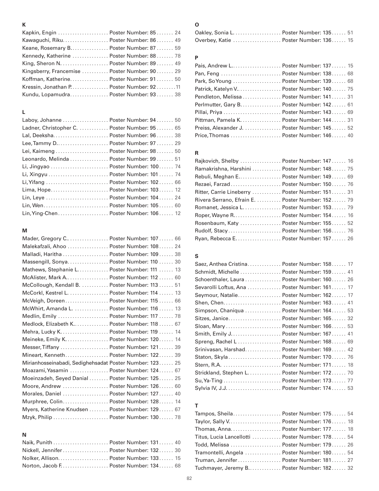# **K**

| Kapkin, Engin  Poster Number: 85 24           |
|-----------------------------------------------|
| Kawaguchi, Riku Poster Number: 86 49          |
| Keane, Rosemary B Poster Number: 87 59        |
| Kennedy, Katherine  Poster Number: 88  78     |
| King, Sheron N.  Poster Number: 89 49         |
| Kingsberry, Francemise  Poster Number: 90  29 |
| Koffman, Katherine Poster Number: 91 50       |
| Kressin, Jonathan P. Poster Number: 92 11     |
| Kundu, Lopamudra Poster Number: 93 38         |
|                                               |

## **L**

| Laboy, Johanne  Poster Number: 94 50        | Pittma   |
|---------------------------------------------|----------|
| Ladner, Christopher C. Poster Number: 95 65 | Preiss,  |
|                                             | Price, T |
| Lee, Tammy D Poster Number: 97 29           |          |
| Lei, Kaimeng  Poster Number: 98  50         | R        |
| Leonardo, Melinda  Poster Number: 99  51    | Rajkov   |
| Li, Jingyao  Poster Number: 100 74          | Ramak    |
| Li, Xingyu  Poster Number: 101  74          | Rebuli,  |
| Li, Yifang  Poster Number: 102 66           | Rezaei   |
| Lima, Hope Poster Number: 103 12            | Ritter,  |
| Lin, Leye  Poster Number: 104 24            | Rivera   |
|                                             | Romar    |
| Lin, Ying-Chen Poster Number: 106 12        | Roper,   |
|                                             |          |

## **M**

| Mader, Gregory C Poster Number: 107 66                  |  |
|---------------------------------------------------------|--|
| Malekafzali, Ahoo  Poster Number: 108 24                |  |
| Malladi, Haritha  Poster Number: 109 38                 |  |
| Massengill, Sonya Poster Number: 110  30                |  |
| Mathews, Stephanie L. Poster Number: 111 13             |  |
| McAlister, Mark A Poster Number: 112  60                |  |
| McCollough, Kendall B.  Poster Number: 113  51          |  |
| McCorkl, Kestrel L.  Poster Number: 114  13             |  |
| McVeigh, Doreen Poster Number: 115 66                   |  |
| McWhirt, Amanda L.  Poster Number: 116  13              |  |
| Medlin, Emily  Poster Number: 117  78                   |  |
| Medlock, Elizabeth K Poster Number: 118  67             |  |
|                                                         |  |
| Meineke, Emily K. Poster Number: 120 14                 |  |
| Messer, Tiffany  Poster Number: 121 39                  |  |
| Mineart, Kenneth Poster Number: 122 39                  |  |
| Mirianhosseinabadi, Sedighehsadat Poster Number: 123 25 |  |
| Moazami, Yasamin  Poster Number: 124 67                 |  |
| Moeinzadeh, Seyed Danial  Poster Number: 125 25         |  |
| Moore, Andrew  Poster Number: 126 60                    |  |
| Morales, Daniel  Poster Number: 127 40                  |  |
| Murphree, Colin Poster Number: 128 14                   |  |
| Myers, Katherine Knudsen  Poster Number: 129 67         |  |
| Mzyk, Philip  Poster Number: 130 78                     |  |
|                                                         |  |

# **N**

| Nickell, Jennifer  Poster Number: 132 30 |  |  |
|------------------------------------------|--|--|
| Nolker, Allison Poster Number: 133 15    |  |  |
| Norton, Jacob F. Poster Number: 134. 68  |  |  |

# **O**

| Oakley, Sonia L Poster Number: 135 51 |  |
|---------------------------------------|--|
| Overbey, Katie  Poster Number: 136 15 |  |

# **P**

| -49    | Pais, Andrew L Poster Number: 137 15        |
|--------|---------------------------------------------|
| 29     | Pan, Feng  Poster Number: 138 68            |
| 50     | Park, So Young  Poster Number: 139 68       |
| . 11   | Patrick, Katelyn V Poster Number: 140 75    |
| 38     | Pendleton, Melissa  Poster Number: 141 31   |
|        | Perlmutter, Gary B. Poster Number: 142 61   |
|        | Pillai, Priya  Poster Number: 143 69        |
| 50     | Pittman, Pamela K. Poster Number: 144 31    |
| 65     | Preiss, Alexander J. Poster Number: 145. 52 |
| 38     | Price, Thomas  Poster Number: 146 40        |
| $\cap$ |                                             |

| . . 51 | Rajkovich, Shelby  Poster Number: 147 16         |  |
|--------|--------------------------------------------------|--|
| . . 74 | Ramakrishna, Harshini  Poster Number: 148 75     |  |
| . . 74 | Rebuli, Meghan E Poster Number: 149 69           |  |
| 66     | Rezaei, Farzad  Poster Number: 150 76            |  |
| . . 12 | Ritter, Carrie Lineberry  Poster Number: 151 31  |  |
| . . 24 | Rivera Serrano, Efrain E.  Poster Number: 152 79 |  |
| 60     | Romanet, Jessica L. Poster Number: 153. 79       |  |
| . . 12 | Roper, Wayne R Poster Number: 154 16             |  |
|        | Rosenbaum, Katy  Poster Number: 155 52           |  |
|        | Rudolf, Stacy Poster Number: 156 76              |  |
| 66     | Ryan, Rebecca E Poster Number: 157 26            |  |
|        |                                                  |  |

# **S**

| 30         | Saez, Anthea Cristina Poster Number: 158 17  |
|------------|----------------------------------------------|
| 13         | Schmidt, Michelle  Poster Number: 159 41     |
| 60         | Schoenthaler, Laura  Poster Number: 160 26   |
| 51         | Sevarolli Loftus, Ana  Poster Number: 161 17 |
| 13         | Seymour, Natalie Poster Number: 162 17       |
| 66         |                                              |
| 13         | Simpson, Chaniqua  Poster Number: 164 53     |
| 78         | Sitzes, Janice Poster Number: 165 32         |
| 67         | Sloan, Mary  Poster Number: 166 53           |
| 14         |                                              |
| 14         | Spreng, Rachel L  Poster Number: 168 69      |
| 39         | Srinivasan, Harshad Poster Number: 169 42    |
| 39         | Staton, Skyla Poster Number: 170 76          |
| 25         | Stern, R.A.  Poster Number: 171 18           |
| 67         | Strickland, Stephen L Poster Number: 172 70  |
| 25         | Su, Ya-Ting  Poster Number: 173 77           |
| 60         | Sylvia IV, J.J.  Poster Number: 174 53       |
| $\sqrt{2}$ |                                              |

# **T**

| Tampos, Sheila Poster Number: 175 54            |  |
|-------------------------------------------------|--|
|                                                 |  |
| Thomas, Anna Poster Number: 177 18              |  |
| Titus, Lucia Lancellotti  Poster Number: 178 54 |  |
| Todd, Melissa  Poster Number: 179 26            |  |
| Tramontelli, Angela  Poster Number: 180 54      |  |
| Truman, Jennifer Poster Number: 181 27          |  |
| Tuchmayer, Jeremy B Poster Number: 182 32       |  |